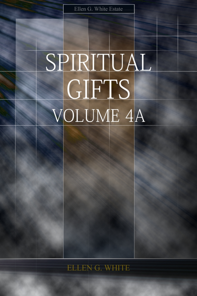Ellen G. White Estate

# SPIRITUAL GIFTS VOLUME 4A

ELLEN G. WHITE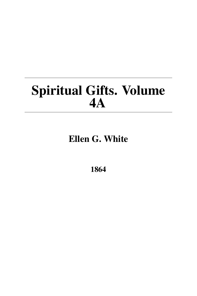## Spiritual Gifts. Volume 4A

Ellen G. White

1864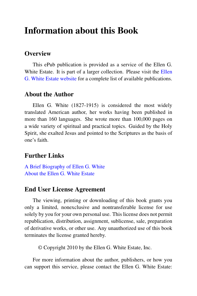### <span id="page-3-0"></span>Information about this Book

#### <span id="page-3-1"></span>**Overview**

This ePub publication is provided as a service of the Ellen G. White Estate. It is part of a larger collection. Please visit the [Ellen](http://www.whiteestate.org) [G. White Estate website](http://www.whiteestate.org) for a complete list of available publications.

#### <span id="page-3-2"></span>About the Author

Ellen G. White (1827-1915) is considered the most widely translated American author, her works having been published in more than 160 languages. She wrote more than 100,000 pages on a wide variety of spiritual and practical topics. Guided by the Holy Spirit, she exalted Jesus and pointed to the Scriptures as the basis of one's faith.

#### <span id="page-3-3"></span>Further Links

[A Brief Biography of Ellen G. White](http://www.whiteestate.org/about/egwbio.asp) [About the Ellen G. White Estate](http://www.whiteestate.org/about/estate.asp)

#### <span id="page-3-4"></span>End User License Agreement

The viewing, printing or downloading of this book grants you only a limited, nonexclusive and nontransferable license for use solely by you for your own personal use. This license does not permit republication, distribution, assignment, sublicense, sale, preparation of derivative works, or other use. Any unauthorized use of this book terminates the license granted hereby.

© Copyright 2010 by the Ellen G. White Estate, Inc.

For more information about the author, publishers, or how you can support this service, please contact the Ellen G. White Estate: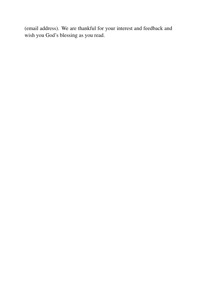(email address). We are thankful for your interest and feedback and wish you God's blessing as you read.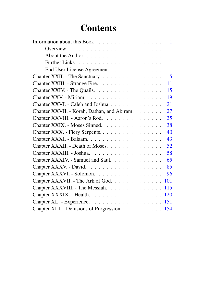## **Contents**

| Information about this Book                  | 1  |
|----------------------------------------------|----|
|                                              | 1  |
|                                              | 1  |
|                                              | 1  |
| End User License Agreement                   | 1  |
| Chapter XXII. - The Sanctuary.               | 5  |
| Chapter XXIII. - Strange Fire.               | 11 |
| Chapter XXIV. - The Quails.                  | 15 |
| Chapter XXV. - Miriam.                       | 19 |
| Chapter XXVI. - Caleb and Joshua             | 21 |
| Chapter XXVII. - Korah, Dathan, and Abiram.  | 27 |
| Chapter XXVIII. - Aaron's Rod.               | 35 |
| Chapter XXIX. - Moses Sinned.                | 38 |
| Chapter XXX. - Fiery Serpents.               | 40 |
|                                              | 43 |
| Chapter XXXII. - Death of Moses.             | 52 |
| Chapter XXXIII. - Joshua.                    | 58 |
| Chapter XXXIV. - Samuel and Saul.            | 65 |
| Chapter XXXV. - David.                       | 85 |
| Chapter XXXVI. - Solomon.                    | 96 |
| Chapter XXXVII. - The Ark of God.<br>101     |    |
| Chapter XXXVIII. - The Messiah.<br>115       |    |
| Chapter XXXIX. - Health.<br>120              |    |
| Chapter XL. - Experience. 151                |    |
| Chapter XLI. - Delusions of Progression. 154 |    |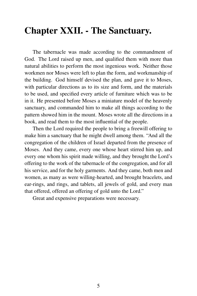## <span id="page-6-0"></span>Chapter XXII. - The Sanctuary.

The tabernacle was made according to the commandment of God. The Lord raised up men, and qualified them with more than natural abilities to perform the most ingenious work. Neither those workmen nor Moses were left to plan the form, and workmanship of the building. God himself devised the plan, and gave it to Moses, with particular directions as to its size and form, and the materials to be used, and specified every article of furniture which was to be in it. He presented before Moses a miniature model of the heavenly sanctuary, and commanded him to make all things according to the pattern showed him in the mount. Moses wrote all the directions in a book, and read them to the most influential of the people.

Then the Lord required the people to bring a freewill offering to make him a sanctuary that he might dwell among them. "And all the congregation of the children of Israel departed from the presence of Moses. And they came, every one whose heart stirred him up, and every one whom his spirit made willing, and they brought the Lord's offering to the work of the tabernacle of the congregation, and for all his service, and for the holy garments. And they came, both men and women, as many as were willing-hearted, and brought bracelets, and ear-rings, and rings, and tablets, all jewels of gold, and every man that offered, offered an offering of gold unto the Lord."

Great and expensive preparations were necessary.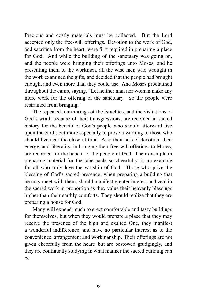Precious and costly materials must be collected. But the Lord accepted only the free-will offerings. Devotion to the work of God, and sacrifice from the heart, were first required in preparing a place for God. And while the building of the sanctuary was going on, and the people were bringing their offerings unto Moses, and he presenting them to the workmen, all the wise men who wrought in the work examined the gifts, and decided that the people had brought enough, and even more than they could use. And Moses proclaimed throughout the camp, saying, "Let neither man nor woman make any more work for the offering of the sanctuary. So the people were restrained from bringing."

The repeated murmurings of the Israelites, and the visitations of God's wrath because of their transgressions, are recorded in sacred history for the benefit of God's people who should afterward live upon the earth; but more especially to prove a warning to those who should live near the close of time. Also their acts of devotion, their energy, and liberality, in bringing their free-will offerings to Moses, are recorded for the benefit of the people of God. Their example in preparing material for the tabernacle so cheerfully, is an example for all who truly love the worship of God. Those who prize the blessing of God's sacred presence, when preparing a building that he may meet with them, should manifest greater interest and zeal in the sacred work in proportion as they value their heavenly blessings higher than their earthly comforts. They should realize that they are preparing a house for God.

Many will expend much to erect comfortable and tasty buildings for themselves; but when they would prepare a place that they may receive the presence of the high and exalted One, they manifest a wonderful indifference, and have no particular interest as to the convenience, arrangement and workmanship. Their offerings are not given cheerfully from the heart; but are bestowed grudgingly, and they are continually studying in what manner the sacred building can be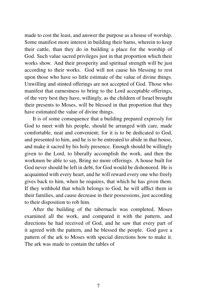made to cost the least, and answer the purpose as a house of worship. Some manifest more interest in building their barns, wherein to keep their cattle, than they do in building a place for the worship of God. Such value sacred privileges just in that proportion which their works show. And their prosperity and spiritual strength will be just according to their works. God will not cause his blessing to rest upon those who have so little estimate of the value of divine things. Unwilling and stinted offerings are not accepted of God. Those who manifest that earnestness to bring to the Lord acceptable offerings, of the very best they have, willingly, as the children of Israel brought their presents to Moses, will be blessed in that proportion that they have estimated the value of divine things.

It is of some consequence that a building prepared expressly for God to meet with his people, should be arranged with care, made comfortable, neat and convenient; for it is to be dedicated to God, and presented to him, and he is to be entreated to abide in that house, and make it sacred by his holy presence. Enough should be willingly given to the Lord, to liberally accomplish the work, and then the workmen be able to say, Bring no more offerings. A house built for God never should be left in debt, for God would be dishonored. He is acquainted with every heart, and he will reward every one who freely gives back to him, when he requires, that which he has given them. If they withhold that which belongs to God, he will afflict them in their families, and cause decrease in their possessions, just according to their disposition to rob him.

After the building of the tabernacle was completed, Moses examined all the work, and compared it with the pattern, and directions he had received of God, and he saw that every part of it agreed with the pattern, and he blessed the people. God gave a pattern of the ark to Moses with special directions how to make it. The ark was made to contain the tables of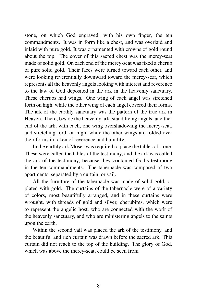stone, on which God engraved, with his own finger, the ten commandments. It was in form like a chest, and was overlaid and inlaid with pure gold. It was ornamented with crowns of gold round about the top. The cover of this sacred chest was the mercy-seat made of solid gold. On each end of the mercy-seat was fixed a cherub of pure solid gold. Their faces were turned toward each other, and were looking reverentially downward toward the mercy-seat, which represents all the heavenly angels looking with interest and reverence to the law of God deposited in the ark in the heavenly sanctuary. These cherubs had wings. One wing of each angel was stretched forth on high, while the other wing of each angel covered their forms. The ark of the earthly sanctuary was the pattern of the true ark in Heaven. There, beside the heavenly ark, stand living angels, at either end of the ark, with each, one wing overshadowing the mercy-seat, and stretching forth on high, while the other wings are folded over their forms in token of reverence and humility.

In the earthly ark Moses was required to place the tables of stone. These were called the tables of the testimony, and the ark was called the ark of the testimony, because they contained God's testimony in the ten commandments. The tabernacle was composed of two apartments, separated by a curtain, or vail.

All the furniture of the tabernacle was made of solid gold, or plated with gold. The curtains of the tabernacle were of a variety of colors, most beautifully arranged, and in these curtains were wrought, with threads of gold and silver, cherubims, which were to represent the angelic host, who are connected with the work of the heavenly sanctuary, and who are ministering angels to the saints upon the earth.

Within the second vail was placed the ark of the testimony, and the beautiful and rich curtain was drawn before the sacred ark. This curtain did not reach to the top of the building. The glory of God, which was above the mercy-seat, could be seen from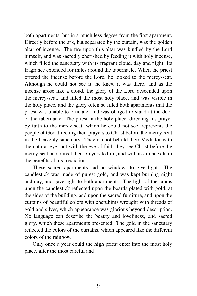both apartments, but in a much less degree from the first apartment. Directly before the ark, but separated by the curtain, was the golden altar of incense. The fire upon this altar was kindled by the Lord himself, and was sacredly cherished by feeding it with holy incense, which filled the sanctuary with its fragrant cloud, day and night. Its fragrance extended for miles around the tabernacle. When the priest offered the incense before the Lord, he looked to the mercy-seat. Although he could not see it, he knew it was there, and as the incense arose like a cloud, the glory of the Lord descended upon the mercy-seat, and filled the most holy place, and was visible in the holy place, and the glory often so filled both apartments that the priest was unable to officiate, and was obliged to stand at the door of the tabernacle. The priest in the holy place, directing his prayer by faith to the mercy-seat, which he could not see, represents the people of God directing their prayers to Christ before the mercy-seat in the heavenly sanctuary. They cannot behold their Mediator with the natural eye, but with the eye of faith they see Christ before the mercy-seat, and direct their prayers to him, and with assurance claim the benefits of his mediation.

These sacred apartments had no windows to give light. The candlestick was made of purest gold, and was kept burning night and day, and gave light to both apartments. The light of the lamps upon the candlestick reflected upon the boards plated with gold, at the sides of the building, and upon the sacred furniture, and upon the curtains of beautiful colors with cherubims wrought with threads of gold and silver, which appearance was glorious beyond description. No language can describe the beauty and loveliness, and sacred glory, which these apartments presented. The gold in the sanctuary reflected the colors of the curtains, which appeared like the different colors of the rainbow.

Only once a year could the high priest enter into the most holy place, after the most careful and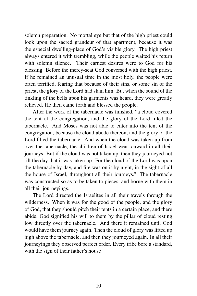solemn preparation. No mortal eye but that of the high priest could look upon the sacred grandeur of that apartment, because it was the especial dwelling-place of God's visible glory. The high priest always entered it with trembling, while the people waited his return with solemn silence. Their earnest desires were to God for his blessing. Before the mercy-seat God conversed with the high priest. If he remained an unusual time in the most holy, the people were often terrified, fearing that because of their sins, or some sin of the priest, the glory of the Lord had slain him. But when the sound of the tinkling of the bells upon his garments was heard, they were greatly relieved. He then came forth and blessed the people.

After the work of the tabernacle was finished, "a cloud covered the tent of the congregation, and the glory of the Lord filled the tabernacle. And Moses was not able to enter into the tent of the congregation, because the cloud abode thereon, and the glory of the Lord filled the tabernacle. And when the cloud was taken up from over the tabernacle, the children of Israel went onward in all their journeys. But if the cloud was not taken up, then they journeyed not till the day that it was taken up. For the cloud of the Lord was upon the tabernacle by day, and fire was on it by night, in the sight of all the house of Israel, throughout all their journeys." The tabernacle was constructed so as to be taken to pieces, and borne with them in all their journeyings.

The Lord directed the Israelites in all their travels through the wilderness. When it was for the good of the people, and the glory of God, that they should pitch their tents in a certain place, and there abide, God signified his will to them by the pillar of cloud resting low directly over the tabernacle. And there it remained until God would have them journey again. Then the cloud of glory was lifted up high above the tabernacle, and then they journeyed again. In all their journeyings they observed perfect order. Every tribe bore a standard, with the sign of their father's house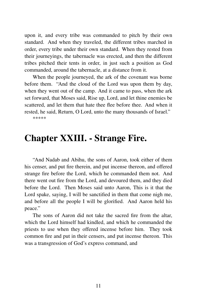upon it, and every tribe was commanded to pitch by their own standard. And when they traveled, the different tribes marched in order, every tribe under their own standard. When they rested from their journeyings, the tabernacle was erected, and then the different tribes pitched their tents in order, in just such a position as God commanded, around the tabernacle, at a distance from it.

When the people journeyed, the ark of the covenant was borne before them. "And the cloud of the Lord was upon them by day, when they went out of the camp. And it came to pass, when the ark set forward, that Moses said, Rise up, Lord, and let thine enemies be scattered, and let them that hate thee flee before thee. And when it rested, he said, Return, O Lord, unto the many thousands of Israel."

\*\*\*\*\*

#### <span id="page-12-0"></span>Chapter XXIII. - Strange Fire.

"And Nadab and Abihu, the sons of Aaron, took either of them his censer, and put fire therein, and put incense thereon, and offered strange fire before the Lord, which he commanded them not. And there went out fire from the Lord, and devoured them, and they died before the Lord. Then Moses said unto Aaron, This is it that the Lord spake, saying, I will be sanctified in them that come nigh me, and before all the people I will be glorified. And Aaron held his peace."

The sons of Aaron did not take the sacred fire from the altar, which the Lord himself had kindled, and which he commanded the priests to use when they offered incense before him. They took common fire and put in their censers, and put incense thereon. This was a transgression of God's express command, and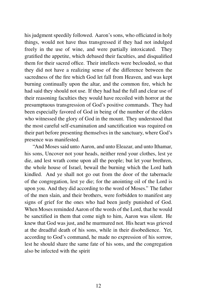his judgment speedily followed. Aaron's sons, who officiated in holy things, would not have thus transgressed if they had not indulged freely in the use of wine, and were partially intoxicated. They gratified the appetite, which debased their faculties, and disqualified them for their sacred office. Their intellects were beclouded, so that they did not have a realizing sense of the difference between the sacredness of the fire which God let fall from Heaven, and was kept burning continually upon the altar, and the common fire, which he had said they should not use. If they had had the full and clear use of their reasoning faculties they would have recoiled with horror at the presumptuous transgression of God's positive commands. They had been especially favored of God in being of the number of the elders who witnessed the glory of God in the mount. They understood that the most careful self-examination and sanctification was required on their part before presenting themselves in the sanctuary, where God's presence was manifested.

"And Moses said unto Aaron, and unto Eleazar, and unto Ithamar, his sons, Uncover not your heads, neither rend your clothes, lest ye die, and lest wrath come upon all the people; but let your brethren, the whole house of Israel, bewail the burning which the Lord hath kindled. And ye shall not go out from the door of the tabernacle of the congregation, lest ye die; for the anointing oil of the Lord is upon you. And they did according to the word of Moses." The father of the men slain, and their brothers, were forbidden to manifest any signs of grief for the ones who had been justly punished of God. When Moses reminded Aaron of the words of the Lord, that he would be sanctified in them that come nigh to him, Aaron was silent. He knew that God was just, and he murmured not. His heart was grieved at the dreadful death of his sons, while in their disobedience. Yet, according to God's command, he made no expression of his sorrow, lest he should share the same fate of his sons, and the congregation also be infected with the spirit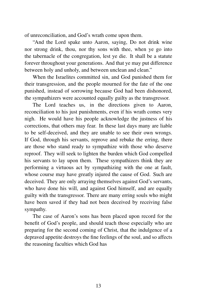of unreconciliation, and God's wrath come upon them.

"And the Lord spake unto Aaron, saying, Do not drink wine nor strong drink, thou, nor thy sons with thee, when ye go into the tabernacle of the congregation, lest ye die. It shall be a statute forever throughout your generations. And that ye may put difference between holy and unholy, and between unclean and clean."

When the Israelites committed sin, and God punished them for their transgression, and the people mourned for the fate of the one punished, instead of sorrowing because God had been dishonored, the sympathizers were accounted equally guilty as the transgressor.

The Lord teaches us, in the directions given to Aaron, reconciliation to his just punishments, even if his wrath comes very nigh. He would have his people acknowledge the justness of his corrections, that others may fear. In these last days many are liable to be self-deceived, and they are unable to see their own wrongs. If God, through his servants, reprove and rebuke the erring, there are those who stand ready to sympathize with those who deserve reproof. They will seek to lighten the burden which God compelled his servants to lay upon them. These sympathizers think they are performing a virtuous act by sympathizing with the one at fault, whose course may have greatly injured the cause of God. Such are deceived. They are only arraying themselves against God's servants, who have done his will, and against God himself, and are equally guilty with the transgressor. There are many erring souls who might have been saved if they had not been deceived by receiving false sympathy.

The case of Aaron's sons has been placed upon record for the benefit of God's people, and should teach those especially who are preparing for the second coming of Christ, that the indulgence of a depraved appetite destroys the fine feelings of the soul, and so affects the reasoning faculties which God has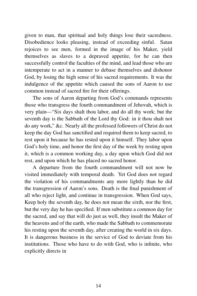given to man, that spiritual and holy things lose their sacredness. Disobedience looks pleasing, instead of exceeding sinful. Satan rejoices to see men, formed in the image of his Maker, yield themselves as slaves to a depraved appetite, for he can then successfully control the faculties of the mind, and lead those who are intemperate to act in a manner to debase themselves and dishonor God, by losing the high sense of his sacred requirements. It was the indulgence of the appetite which caused the sons of Aaron to use common instead of sacred fire for their offerings.

The sons of Aaron departing from God's commands represents those who transgress the fourth commandment of Jehovah, which is very plain—"Six days shalt thou labor, and do all thy work; but the seventh day is the Sabbath of the Lord thy God: in it thou shalt not do any work," &c. Nearly all the professed followers of Christ do not keep the day God has sanctified and required them to keep sacred, to rest upon it because he has rested upon it himself. They labor upon God's holy time, and honor the first day of the week by resting upon it, which is a common working day, a day upon which God did not rest, and upon which he has placed no sacred honor.

A departure from the fourth commandment will not now be visited immediately with temporal death. Yet God does not regard the violation of his commandments any more lightly than he did the transgression of Aaron's sons. Death is the final punishment of all who reject light, and continue in transgression. When God says, Keep holy the seventh day, he does not mean the sixth, nor the first, but the very day he has specified. If men substitute a common day for the sacred, and say that will do just as well, they insult the Maker of the heavens and of the earth, who made the Sabbath to commemorate his resting upon the seventh day, after creating the world in six days. It is dangerous business in the service of God to deviate from his institutions. Those who have to do with God, who is infinite, who explicitly directs in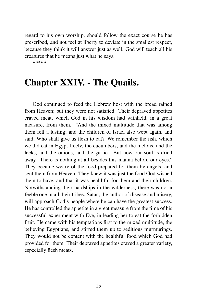regard to his own worship, should follow the exact course he has prescribed, and not feel at liberty to deviate in the smallest respect, because they think it will answer just as well. God will teach all his creatures that he means just what he says.

\*\*\*\*\*

#### <span id="page-16-0"></span>Chapter XXIV. - The Quails.

God continued to feed the Hebrew host with the bread rained from Heaven; but they were not satisfied. Their depraved appetites craved meat, which God in his wisdom had withheld, in a great measure, from them. "And the mixed multitude that was among them fell a lusting; and the children of Israel also wept again, and said, Who shall give us flesh to eat? We remember the fish, which we did eat in Egypt freely, the cucumbers, and the melons, and the leeks, and the onions, and the garlic. But now our soul is dried away. There is nothing at all besides this manna before our eyes." They became weary of the food prepared for them by angels, and sent them from Heaven. They knew it was just the food God wished them to have, and that it was healthful for them and their children. Notwithstanding their hardships in the wilderness, there was not a feeble one in all their tribes. Satan, the author of disease and misery, will approach God's people where he can have the greatest success. He has controlled the appetite in a great measure from the time of his successful experiment with Eve, in leading her to eat the forbidden fruit. He came with his temptations first to the mixed multitude, the believing Egyptians, and stirred them up to seditious murmurings. They would not be content with the healthful food which God had provided for them. Their depraved appetites craved a greater variety, especially flesh meats.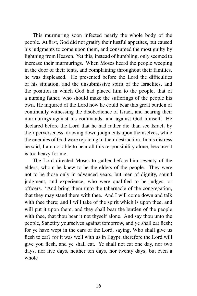This murmuring soon infected nearly the whole body of the people. At first, God did not gratify their lustful appetites, but caused his judgments to come upon them, and consumed the most guilty by lightning from Heaven. Yet this, instead of humbling, only seemed to increase their murmurings. When Moses heard the people weeping in the door of their tents, and complaining throughout their families, he was displeased. He presented before the Lord the difficulties of his situation, and the unsubmissive spirit of the Israelites, and the position in which God had placed him to the people, that of a nursing father, who should make the sufferings of the people his own. He inquired of the Lord how he could bear this great burden of continually witnessing the disobedience of Israel, and hearing their murmurings against his commands, and against God himself. He declared before the Lord that he had rather die than see Israel, by their perverseness, drawing down judgments upon themselves, while the enemies of God were rejoicing in their destruction. In his distress he said, I am not able to bear all this responsibility alone, because it is too heavy for me.

The Lord directed Moses to gather before him seventy of the elders, whom he knew to be the elders of the people. They were not to be those only in advanced years, but men of dignity, sound judgment, and experience, who were qualified to be judges, or officers. "And bring them unto the tabernacle of the congregation, that they may stand there with thee. And I will come down and talk with thee there; and I will take of the spirit which is upon thee, and will put it upon them, and they shall bear the burden of the people with thee, that thou bear it not thyself alone. And say thou unto the people, Sanctify yourselves against tomorrow, and ye shall eat flesh; for ye have wept in the ears of the Lord, saying, Who shall give us flesh to eat? for it was well with us in Egypt; therefore the Lord will give you flesh, and ye shall eat. Ye shall not eat one day, nor two days, nor five days, neither ten days, nor twenty days; but even a whole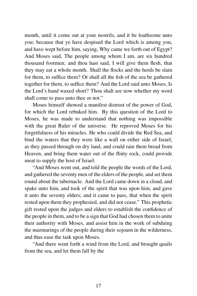month, until it come out at your nostrils, and it be loathsome unto you; because that ye have despised the Lord which is among you, and have wept before him, saying, Why came we forth out of Egypt? And Moses said, The people among whom I am, are six hundred thousand footmen; and thou hast said, I will give them flesh, that they may eat a whole month. Shall the flocks and the herds be slain for them, to suffice them? Or shall all the fish of the sea be gathered together for them, to suffice them? And the Lord said unto Moses, Is the Lord's hand waxed short? Thou shalt see now whether my word shall come to pass unto thee or not."

Moses himself showed a manifest distrust of the power of God, for which the Lord rebuked him. By this question of the Lord to Moses, he was made to understand that nothing was impossible with the great Ruler of the universe. He reproved Moses for his forgetfulness of his miracles. He who could divide the Red Sea, and bind the waters that they were like a wall on either side of Israel, as they passed through on dry land, and could rain them bread from Heaven, and bring them water out of the flinty rock, could provide meat to supply the host of Israel.

"And Moses went out, and told the people the words of the Lord, and gathered the seventy men of the elders of the people, and set them round about the tabernacle. And the Lord came down in a cloud, and spake unto him, and took of the spirit that was upon him, and gave it unto the seventy elders; and it came to pass, that when the spirit rested upon them they prophesied, and did not cease." This prophetic gift rested upon the judges and elders to establish the confidence of the people in them, and to be a sign that God had chosen them to unite their authority with Moses, and assist him in the work of subduing the murmurings of the people during their sojourn in the wilderness, and thus ease the task upon Moses.

"And there went forth a wind from the Lord, and brought quails from the sea, and let them fall by the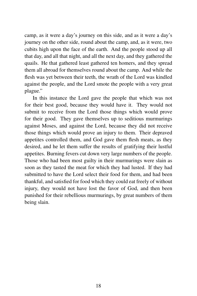camp, as it were a day's journey on this side, and as it were a day's journey on the other side, round about the camp, and, as it were, two cubits high upon the face of the earth. And the people stood up all that day, and all that night, and all the next day, and they gathered the quails. He that gathered least gathered ten homers, and they spread them all abroad for themselves round about the camp. And while the flesh was yet between their teeth, the wrath of the Lord was kindled against the people, and the Lord smote the people with a very great plague."

In this instance the Lord gave the people that which was not for their best good, because they would have it. They would not submit to receive from the Lord those things which would prove for their good. They gave themselves up to seditious murmurings against Moses, and against the Lord, because they did not receive those things which would prove an injury to them. Their depraved appetites controlled them, and God gave them flesh meats, as they desired, and he let them suffer the results of gratifying their lustful appetites. Burning fevers cut down very large numbers of the people. Those who had been most guilty in their murmurings were slain as soon as they tasted the meat for which they had lusted. If they had submitted to have the Lord select their food for them, and had been thankful, and satisfied for food which they could eat freely of without injury, they would not have lost the favor of God, and then been punished for their rebellious murmurings, by great numbers of them being slain.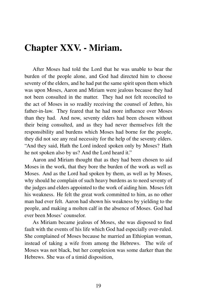#### <span id="page-20-0"></span>Chapter XXV. - Miriam.

After Moses had told the Lord that he was unable to bear the burden of the people alone, and God had directed him to choose seventy of the elders, and he had put the same spirit upon them which was upon Moses, Aaron and Miriam were jealous because they had not been consulted in the matter. They had not felt reconciled to the act of Moses in so readily receiving the counsel of Jethro, his father-in-law. They feared that he had more influence over Moses than they had. And now, seventy elders had been chosen without their being consulted, and as they had never themselves felt the responsibility and burdens which Moses had borne for the people, they did not see any real necessity for the help of the seventy elders. "And they said, Hath the Lord indeed spoken only by Moses? Hath he not spoken also by us? And the Lord heard it."

Aaron and Miriam thought that as they had been chosen to aid Moses in the work, that they bore the burden of the work as well as Moses. And as the Lord had spoken by them, as well as by Moses, why should he complain of such heavy burdens as to need seventy of the judges and elders appointed to the work of aiding him. Moses felt his weakness. He felt the great work committed to him, as no other man had ever felt. Aaron had shown his weakness by yielding to the people, and making a molten calf in the absence of Moses. God had ever been Moses' counselor.

As Miriam became jealous of Moses, she was disposed to find fault with the events of his life which God had especially over-ruled. She complained of Moses because he married an Ethiopian woman, instead of taking a wife from among the Hebrews. The wife of Moses was not black, but her complexion was some darker than the Hebrews. She was of a timid disposition,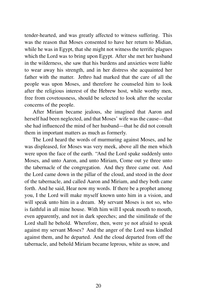tender-hearted, and was greatly affected to witness suffering. This was the reason that Moses consented to have her return to Midian, while he was in Egypt, that she might not witness the terrific plagues which the Lord was to bring upon Egypt. After she met her husband in the wilderness, she saw that his burdens and anxieties were liable to wear away his strength, and in her distress she acquainted her father with the matter. Jethro had marked that the care of all the people was upon Moses, and therefore he counseled him to look after the religious interest of the Hebrew host, while worthy men, free from covetousness, should be selected to look after the secular concerns of the people.

After Miriam became jealous, she imagined that Aaron and herself had been neglected, and that Moses' wife was the cause—that she had influenced the mind of her husband—that he did not consult them in important matters as much as formerly.

The Lord heard the words of murmuring against Moses, and he was displeased, for Moses was very meek, above all the men which were upon the face of the earth. "And the Lord spake suddenly unto Moses, and unto Aaron, and unto Miriam, Come out ye three unto the tabernacle of the congregation. And they three came out. And the Lord came down in the pillar of the cloud, and stood in the door of the tabernacle, and called Aaron and Miriam, and they both came forth. And he said, Hear now my words. If there be a prophet among you, I the Lord will make myself known unto him in a vision, and will speak unto him in a dream. My servant Moses is not so, who is faithful in all mine house. With him will I speak mouth to mouth, even apparently, and not in dark speeches; and the similitude of the Lord shall he behold. Wherefore, then, were ye not afraid to speak against my servant Moses? And the anger of the Lord was kindled against them, and he departed. And the cloud departed from off the tabernacle, and behold Miriam became leprous, white as snow, and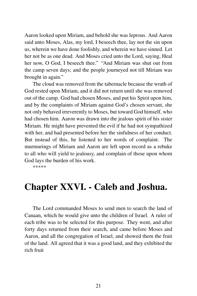Aaron looked upon Miriam, and behold she was leprous. And Aaron said unto Moses, Alas, my lord, I beseech thee, lay not the sin upon us, wherein we have done foolishly, and wherein we have sinned. Let her not be as one dead. And Moses cried unto the Lord, saying, Heal her now, O God, I beseech thee." "And Miriam was shut out from the camp seven days; and the people journeyed not till Miriam was brought in again."

The cloud was removed from the tabernacle because the wrath of God rested upon Miriam, and it did not return until she was removed out of the camp. God had chosen Moses, and put his Spirit upon him, and by the complaints of Miriam against God's chosen servant, she not only behaved irreverently to Moses, but toward God himself, who had chosen him. Aaron was drawn into the jealous spirit of his sister Miriam. He might have prevented the evil if he had not sympathized with her, and had presented before her the sinfulness of her conduct. But instead of this, he listened to her words of complaint. The murmurings of Miriam and Aaron are left upon record as a rebuke to all who will yield to jealousy, and complain of those upon whom God lays the burden of his work.

\*\*\*\*\*

### <span id="page-22-0"></span>Chapter XXVI. - Caleb and Joshua.

The Lord commanded Moses to send men to search the land of Canaan, which he would give unto the children of Israel. A ruler of each tribe was to be selected for this purpose. They went, and after forty days returned from their search, and came before Moses and Aaron, and all the congregation of Israel, and showed them the fruit of the land. All agreed that it was a good land, and they exhibited the rich fruit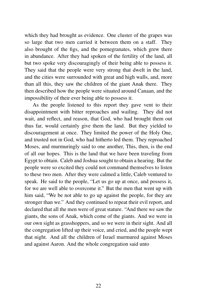which they had brought as evidence. One cluster of the grapes was so large that two men carried it between them on a staff. They also brought of the figs, and the pomegranates, which grew there in abundance. After they had spoken of the fertility of the land, all but two spoke very discouragingly of their being able to possess it. They said that the people were very strong that dwelt in the land, and the cities were surrounded with great and high walls, and, more than all this, they saw the children of the giant Anak there. They then described how the people were situated around Canaan, and the impossibility of their ever being able to possess it.

As the people listened to this report they gave vent to their disappointment with bitter reproaches and wailing. They did not wait, and reflect, and reason, that God, who had brought them out thus far, would certainly give them the land. But they yielded to discouragement at once. They limited the power of the Holy One, and trusted not in God, who had hitherto led them. They reproached Moses, and murmuringly said to one another, This, then, is the end of all our hopes. This is the land that we have been traveling from Egypt to obtain. Caleb and Joshua sought to obtain a hearing. But the people were so excited they could not command themselves to listen to these two men. After they were calmed a little, Caleb ventured to speak. He said to the people, "Let us go up at once, and possess it, for we are well able to overcome it." But the men that went up with him said, "We be not able to go up against the people, for they are stronger than we." And they continued to repeat their evil report, and declared that all the men were of great stature. "And there we saw the giants, the sons of Anak, which come of the giants. And we were in our own sight as grasshoppers, and so we were in their sight. And all the congregation lifted up their voice, and cried, and the people wept that night. And all the children of Israel murmured against Moses and against Aaron. And the whole congregation said unto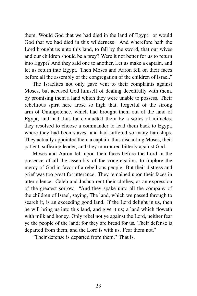them, Would God that we had died in the land of Egypt! or would God that we had died in this wilderness! And wherefore hath the Lord brought us unto this land, to fall by the sword, that our wives and our children should be a prey? Were it not better for us to return into Egypt? And they said one to another, Let us make a captain, and let us return into Egypt. Then Moses and Aaron fell on their faces before all the assembly of the congregation of the children of Israel."

The Israelites not only gave vent to their complaints against Moses, but accused God himself of dealing deceitfully with them, by promising them a land which they were unable to possess. Their rebellious spirit here arose so high that, forgetful of the strong arm of Omnipotence, which had brought them out of the land of Egypt, and had thus far conducted them by a series of miracles, they resolved to choose a commander to lead them back to Egypt, where they had been slaves, and had suffered so many hardships. They actually appointed them a captain, thus discarding Moses, their patient, suffering leader, and they murmured bitterly against God.

Moses and Aaron fell upon their faces before the Lord in the presence of all the assembly of the congregation, to implore the mercy of God in favor of a rebellious people. But their distress and grief was too great for utterance. They remained upon their faces in utter silence. Caleb and Joshua rent their clothes, as an expression of the greatest sorrow. "And they spake unto all the company of the children of Israel, saying, The land, which we passed through to search it, is an exceeding good land. If the Lord delight in us, then he will bring us into this land, and give it us; a land which floweth with milk and honey. Only rebel not ye against the Lord, neither fear ye the people of the land; for they are bread for us. Their defense is departed from them, and the Lord is with us. Fear them not."

"Their defense is departed from them." That is,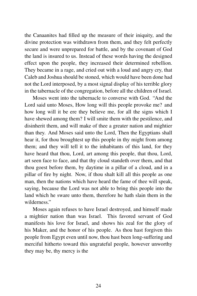the Canaanites had filled up the measure of their iniquity, and the divine protection was withdrawn from them, and they felt perfectly secure and were unprepared for battle, and by the covenant of God the land is insured to us. Instead of these words having the designed effect upon the people, they increased their determined rebellion. They became in a rage, and cried out with a loud and angry cry, that Caleb and Joshua should be stoned, which would have been done had not the Lord interposed, by a most signal display of his terrible glory in the tabernacle of the congregation, before all the children of Israel.

Moses went into the tabernacle to converse with God. "And the Lord said unto Moses, How long will this people provoke me? and how long will it be ere they believe me, for all the signs which I have shewed among them? I will smite them with the pestilence, and disinherit them, and will make of thee a greater nation and mightier than they. And Moses said unto the Lord, Then the Egyptians shall hear it, for thou broughtest up this people in thy might from among them; and they will tell it to the inhabitants of this land, for they have heard that thou, Lord, art among this people, that thou, Lord, art seen face to face, and that thy cloud standeth over them, and that thou goest before them, by daytime in a pillar of a cloud, and in a pillar of fire by night. Now, if thou shalt kill all this people as one man, then the nations which have heard the fame of thee will speak, saying, because the Lord was not able to bring this people into the land which he sware unto them, therefore he hath slain them in the wilderness."

Moses again refuses to have Israel destroyed, and himself made a mightier nation than was Israel. This favored servant of God manifests his love for Israel, and shows his zeal for the glory of his Maker, and the honor of his people. As thou hast forgiven this people from Egypt even until now, thou hast been long-suffering and merciful hitherto toward this ungrateful people, however unworthy they may be, thy mercy is the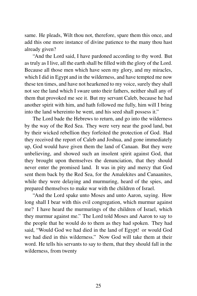same. He pleads, Wilt thou not, therefore, spare them this once, and add this one more instance of divine patience to the many thou hast already given?

"And the Lord said, I have pardoned according to thy word. But as truly as I live, all the earth shall be filled with the glory of the Lord. Because all those men which have seen my glory, and my miracles, which I did in Egypt and in the wilderness, and have tempted me now these ten times, and have not hearkened to my voice, surely they shall not see the land which I sware unto their fathers, neither shall any of them that provoked me see it. But my servant Caleb, because he had another spirit with him, and hath followed me fully, him will I bring into the land whereinto he went, and his seed shall possess it."

The Lord bade the Hebrews to return, and go into the wilderness by the way of the Red Sea. They were very near the good land, but by their wicked rebellion they forfeited the protection of God. Had they received the report of Caleb and Joshua, and gone immediately up, God would have given them the land of Canaan. But they were unbelieving, and showed such an insolent spirit against God, that they brought upon themselves the denunciation, that they should never enter the promised land. It was in pity and mercy that God sent them back by the Red Sea, for the Amalekites and Canaanites, while they were delaying and murmuring, heard of the spies, and prepared themselves to make war with the children of Israel.

"And the Lord spake unto Moses and unto Aaron, saying. How long shall I bear with this evil congregation, which murmur against me? I have heard the murmurings of the children of Israel, which they murmur against me." The Lord told Moses and Aaron to say to the people that he would do to them as they had spoken. They had said, "Would God we had died in the land of Egypt! or would God we had died in this wilderness." Now God will take them at their word. He tells his servants to say to them, that they should fall in the wilderness, from twenty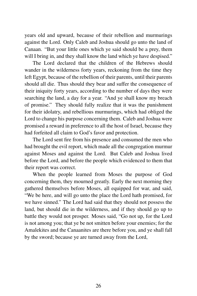years old and upward, because of their rebellion and murmurings against the Lord. Only Caleb and Joshua should go unto the land of Canaan. "But your little ones which ye said should be a prey, them will I bring in, and they shall know the land which ye have despised."

The Lord declared that the children of the Hebrews should wander in the wilderness forty years, reckoning from the time they left Egypt, because of the rebellion of their parents, until their parents should all die. Thus should they bear and suffer the consequence of their iniquity forty years, according to the number of days they were searching the land, a day for a year. "And ye shall know my breach of promise." They should fully realize that it was the punishment for their idolatry, and rebellious murmurings, which had obliged the Lord to change his purpose concerning them. Caleb and Joshua were promised a reward in preference to all the host of Israel, because they had forfeited all claim to God's favor and protection.

The Lord sent fire from his presence and consumed the men who had brought the evil report, which made all the congregation murmur against Moses and against the Lord. But Caleb and Joshua lived before the Lord, and before the people which evidenced to them that their report was correct.

When the people learned from Moses the purpose of God concerning them, they mourned greatly. Early the next morning they gathered themselves before Moses, all equipped for war, and said, "We be here, and will go unto the place the Lord hath promised, for we have sinned." The Lord had said that they should not possess the land, but should die in the wilderness, and if they should go up to battle they would not prosper. Moses said, "Go not up, for the Lord is not among you; that ye be not smitten before your enemies; for the Amalekites and the Canaanites are there before you, and ye shall fall by the sword; because ye are turned away from the Lord,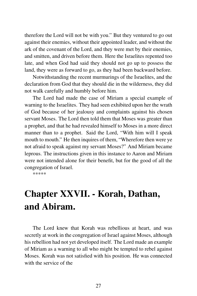therefore the Lord will not be with you." But they ventured to go out against their enemies, without their appointed leader, and without the ark of the covenant of the Lord, and they were met by their enemies, and smitten, and driven before them. Here the Israelites repented too late, and when God had said they should not go up to possess the land, they were as forward to go, as they had been backward before.

Notwithstanding the recent murmurings of the Israelites, and the declaration from God that they should die in the wilderness, they did not walk carefully and humbly before him.

The Lord had made the case of Miriam a special example of warning to the Israelites. They had seen exhibited upon her the wrath of God because of her jealousy and complaints against his chosen servant Moses. The Lord then told them that Moses was greater than a prophet, and that he had revealed himself to Moses in a more direct manner than to a prophet. Said the Lord, "With him will I speak mouth to mouth." He then inquires of them, "Wherefore then were ye not afraid to speak against my servant Moses?" And Miriam became leprous. The instructions given in this instance to Aaron and Miriam were not intended alone for their benefit, but for the good of all the congregation of Israel.

\*\*\*\*\*

## <span id="page-28-0"></span>Chapter XXVII. - Korah, Dathan, and Abiram.

The Lord knew that Korah was rebellious at heart, and was secretly at work in the congregation of Israel against Moses, although his rebellion had not yet developed itself. The Lord made an example of Miriam as a warning to all who might be tempted to rebel against Moses. Korah was not satisfied with his position. He was connected with the service of the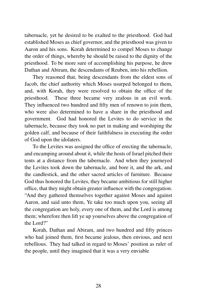tabernacle, yet he desired to be exalted to the priesthood. God had established Moses as chief governor, and the priesthood was given to Aaron and his sons. Korah determined to compel Moses to change the order of things, whereby he should be raised to the dignity of the priesthood. To be more sure of accomplishing his purpose, he drew Dathan and Abiram, the descendants of Reuben, into his rebellion.

They reasoned that, being descendants from the eldest sons of Jacob, the chief authority which Moses usurped belonged to them, and, with Korah, they were resolved to obtain the office of the priesthood. These three became very zealous in an evil work. They influenced two hundred and fifty men of renown to join them, who were also determined to have a share in the priesthood and government. God had honored the Levites to do service in the tabernacle, because they took no part in making and worshiping the golden calf, and because of their faithfulness in executing the order of God upon the idolaters.

To the Levites was assigned the office of erecting the tabernacle, and encamping around about it, while the hosts of Israel pitched their tents at a distance from the tabernacle. And when they journeyed the Levites took down the tabernacle, and bore it, and the ark, and the candlestick, and the other sacred articles of furniture. Because God thus honored the Levites, they became ambitious for still higher office, that they might obtain greater influence with the congregation. "And they gathered themselves together against Moses and against Aaron, and said unto them, Ye take too much upon you, seeing all the congregation are holy, every one of them, and the Lord is among them; wherefore then lift ye up yourselves above the congregation of the Lord?"

Korah, Dathan and Abiram, and two hundred and fifty princes who had joined them, first became jealous, then envious, and next rebellious. They had talked in regard to Moses' position as ruler of the people, until they imagined that it was a very enviable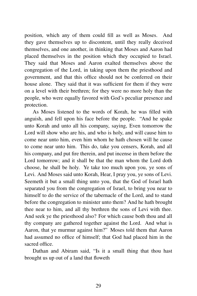position, which any of them could fill as well as Moses. And they gave themselves up to discontent, until they really deceived themselves, and one another, in thinking that Moses and Aaron had placed themselves in the position which they occupied to Israel. They said that Moses and Aaron exalted themselves above the congregation of the Lord, in taking upon them the priesthood and government, and that this office should not be conferred on their house alone. They said that it was sufficient for them if they were on a level with their brethren; for they were no more holy than the people, who were equally favored with God's peculiar presence and protection.

As Moses listened to the words of Korah, he was filled with anguish, and fell upon his face before the people. "And he spake unto Korah and unto all his company, saying, Even tomorrow the Lord will show who are his, and who is holy, and will cause him to come near unto him, even him whom he hath chosen will he cause to come near unto him. This do, take you censers, Korah, and all his company, and put fire therein, and put incense in them before the Lord tomorrow; and it shall be that the man whom the Lord doth choose, he shall be holy. Ye take too much upon you, ye sons of Levi. And Moses said unto Korah, Hear, I pray you, ye sons of Levi. Seemeth it but a small thing unto you, that the God of Israel hath separated you from the congregation of Israel, to bring you near to himself to do the service of the tabernacle of the Lord, and to stand before the congregation to minister unto them? And he hath brought thee near to him, and all thy brethren the sons of Levi with thee. And seek ye the priesthood also? For which cause both thou and all thy company are gathered together against the Lord. And what is Aaron, that ye murmur against him?" Moses told them that Aaron had assumed no office of himself; that God had placed him in the sacred office.

Dathan and Abiram said, "Is it a small thing that thou hast brought us up out of a land that floweth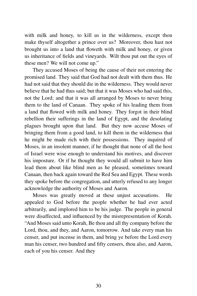with milk and honey, to kill us in the wilderness, except thou make thyself altogether a prince over us? Moreover, thou hast not brought us into a land that floweth with milk and honey, or given us inheritance of fields and vineyards. Wilt thou put out the eyes of these men? We will not come up."

They accused Moses of being the cause of their not entering the promised land. They said that God had not dealt with them thus. He had not said that they should die in the wilderness. They would never believe that he had thus said; but that it was Moses who had said this, not the Lord; and that it was all arranged by Moses to never bring them to the land of Canaan. They spoke of his leading them from a land that flowed with milk and honey. They forgot in their blind rebellion their sufferings in the land of Egypt, and the desolating plagues brought upon that land. But they now accuse Moses of bringing them from a good land, to kill them in the wilderness that he might be made rich with their possessions. They inquired of Moses, in an insolent manner, if he thought that none of all the host of Israel were wise enough to understand his motives, and discover his imposture. Or if he thought they would all submit to have him lead them about like blind men as he pleased, sometimes toward Canaan, then back again toward the Red Sea and Egypt. These words they spoke before the congregation, and utterly refused to any longer acknowledge the authority of Moses and Aaron.

Moses was greatly moved at these unjust accusations. He appealed to God before the people whether he had ever acted arbitrarily, and implored him to be his judge. The people in general were disaffected, and influenced by the misrepresentation of Korah. "And Moses said unto Korah, Be thou and all thy company before the Lord, thou, and they, and Aaron, tomorrow. And take every man his censer, and put incense in them, and bring ye before the Lord every man his censer, two hundred and fifty censers, thou also, and Aaron, each of you his censer. And they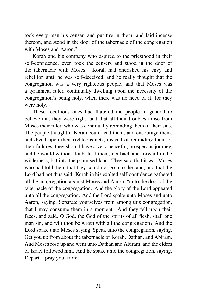took every man his censer, and put fire in them, and laid incense thereon, and stood in the door of the tabernacle of the congregation with Moses and Aaron."

Korah and his company who aspired to the priesthood in their self-confidence, even took the censers and stood in the door of the tabernacle with Moses. Korah had cherished his envy and rebellion until he was self-deceived, and he really thought that the congregation was a very righteous people, and that Moses was a tyrannical ruler, continually dwelling upon the necessity of the congregation's being holy, when there was no need of it, for they were holy.

These rebellious ones had flattered the people in general to believe that they were right, and that all their troubles arose from Moses their ruler, who was continually reminding them of their sins. The people thought if Korah could lead them, and encourage them, and dwell upon their righteous acts, instead of reminding them of their failures, they should have a very peaceful, prosperous journey, and he would without doubt lead them, not back and forward in the wilderness, but into the promised land. They said that it was Moses who had told them that they could not go into the land, and that the Lord had not thus said. Korah in his exalted self-confidence gathered all the congregation against Moses and Aaron, "unto the door of the tabernacle of the congregation. And the glory of the Lord appeared unto all the congregation. And the Lord spake unto Moses and unto Aaron, saying, Separate yourselves from among this congregation, that I may consume them in a moment. And they fell upon their faces, and said, O God, the God of the spirits of all flesh, shall one man sin, and wilt thou be wroth with all the congregation? And the Lord spake unto Moses saying, Speak unto the congregation, saying, Get you up from about the tabernacle of Korah, Dathan, and Abiram. And Moses rose up and went unto Dathan and Abiram, and the elders of Israel followed him. And he spake unto the congregation, saying, Depart, I pray you, from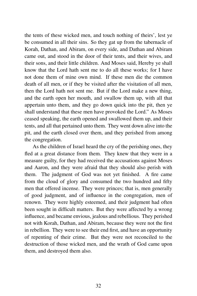the tents of these wicked men, and touch nothing of theirs', lest ye be consumed in all their sins. So they gat up from the tabernacle of Korah, Dathan, and Abiram, on every side, and Dathan and Abiram came out, and stood in the door of their tents, and their wives, and their sons, and their little children. And Moses said, Hereby ye shall know that the Lord hath sent me to do all these works; for I have not done them of mine own mind. If these men die the common death of all men, or if they be visited after the visitation of all men, then the Lord hath not sent me. But if the Lord make a new thing, and the earth open her mouth, and swallow them up, with all that appertain unto them, and they go down quick into the pit, then ye shall understand that these men have provoked the Lord." As Moses ceased speaking, the earth opened and swallowed them up, and their tents, and all that pertained unto them. They went down alive into the pit, and the earth closed over them, and they perished from among the congregation.

As the children of Israel heard the cry of the perishing ones, they fled at a great distance from them. They knew that they were in a measure guilty, for they had received the accusations against Moses and Aaron, and they were afraid that they should also perish with them. The judgment of God was not yet finished. A fire came from the cloud of glory and consumed the two hundred and fifty men that offered incense. They were princes; that is, men generally of good judgment, and of influence in the congregation, men of renown. They were highly esteemed, and their judgment had often been sought in difficult matters. But they were affected by a wrong influence, and became envious, jealous and rebellious. They perished not with Korah, Dathan, and Abiram, because they were not the first in rebellion. They were to see their end first, and have an opportunity of repenting of their crime. But they were not reconciled to the destruction of those wicked men, and the wrath of God came upon them, and destroyed them also.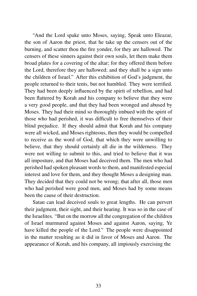"And the Lord spake unto Moses, saying, Speak unto Eleazar, the son of Aaron the priest, that he take up the censers out of the burning, and scatter thou the fire yonder, for they are hallowed. The censers of these sinners against their own souls, let them make them broad plates for a covering of the altar; for they offered them before the Lord, therefore they are hallowed; and they shall be a sign unto the children of Israel." After this exhibition of God's judgment, the people returned to their tents, but not humbled. They were terrified. They had been deeply influenced by the spirit of rebellion, and had been flattered by Korah and his company to believe that they were a very good people, and that they had been wronged and abused by Moses. They had their mind so thoroughly imbued with the spirit of those who had perished, it was difficult to free themselves of their blind prejudice. If they should admit that Korah and his company were all wicked, and Moses righteous, then they would be compelled to receive as the word of God, that which they were unwilling to believe, that they should certainly all die in the wilderness. They were not willing to submit to this, and tried to believe that it was all imposture, and that Moses had deceived them. The men who had perished had spoken pleasant words to them, and manifested especial interest and love for them, and they thought Moses a designing man. They decided that they could not be wrong; that after all, those men who had perished were good men, and Moses had by some means been the cause of their destruction.

Satan can lead deceived souls to great lengths. He can pervert their judgment, their sight, and their hearing. It was so in the case of the Israelites. "But on the morrow all the congregation of the children of Israel murmured against Moses and against Aaron, saying, Ye have killed the people of the Lord." The people were disappointed in the matter resulting as it did in favor of Moses and Aaron. The appearance of Korah, and his company, all impiously exercising the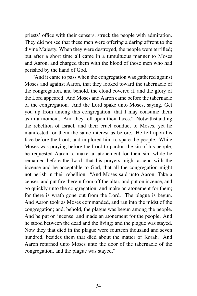priests' office with their censers, struck the people with admiration. They did not see that these men were offering a daring affront to the divine Majesty. When they were destroyed, the people were terrified; but after a short time all came in a tumultuous manner to Moses and Aaron, and charged them with the blood of those men who had perished by the hand of God.

"And it came to pass when the congregation was gathered against Moses and against Aaron, that they looked toward the tabernacle of the congregation, and behold, the cloud covered it, and the glory of the Lord appeared. And Moses and Aaron came before the tabernacle of the congregation. And the Lord spake unto Moses, saying, Get you up from among this congregation, that I may consume them as in a moment. And they fell upon their faces." Notwithstanding the rebellion of Israel, and their cruel conduct to Moses, yet he manifested for them the same interest as before. He fell upon his face before the Lord, and implored him to spare the people. While Moses was praying before the Lord to pardon the sin of his people, he requested Aaron to make an atonement for their sin, while he remained before the Lord, that his prayers might ascend with the incense and be acceptable to God, that all the congregation might not perish in their rebellion. "And Moses said unto Aaron, Take a censer, and put fire therein from off the altar, and put on incense, and go quickly unto the congregation, and make an atonement for them; for there is wrath gone out from the Lord. The plague is begun. And Aaron took as Moses commanded, and ran into the midst of the congregation; and, behold, the plague was begun among the people. And he put on incense, and made an atonement for the people. And he stood between the dead and the living; and the plague was stayed. Now they that died in the plague were fourteen thousand and seven hundred, besides them that died about the matter of Korah. And Aaron returned unto Moses unto the door of the tabernacle of the congregation, and the plague was stayed."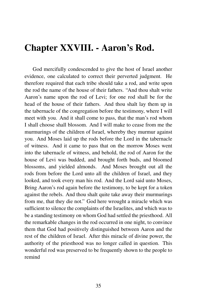# Chapter XXVIII. - Aaron's Rod.

God mercifully condescended to give the host of Israel another evidence, one calculated to correct their perverted judgment. He therefore required that each tribe should take a rod, and write upon the rod the name of the house of their fathers. "And thou shalt write Aaron's name upon the rod of Levi; for one rod shall be for the head of the house of their fathers. And thou shalt lay them up in the tabernacle of the congregation before the testimony, where I will meet with you. And it shall come to pass, that the man's rod whom I shall choose shall blossom. And I will make to cease from me the murmurings of the children of Israel, whereby they murmur against you. And Moses laid up the rods before the Lord in the tabernacle of witness. And it came to pass that on the morrow Moses went into the tabernacle of witness, and behold, the rod of Aaron for the house of Levi was budded, and brought forth buds, and bloomed blossoms, and yielded almonds. And Moses brought out all the rods from before the Lord unto all the children of Israel, and they looked, and took every man his rod. And the Lord said unto Moses, Bring Aaron's rod again before the testimony, to be kept for a token against the rebels. And thou shalt quite take away their murmurings from me, that they die not." God here wrought a miracle which was sufficient to silence the complaints of the Israelites, and which was to be a standing testimony on whom God had settled the priesthood. All the remarkable changes in the rod occurred in one night, to convince them that God had positively distinguished between Aaron and the rest of the children of Israel. After this miracle of divine power, the authority of the priesthood was no longer called in question. This wonderful rod was preserved to be frequently shown to the people to remind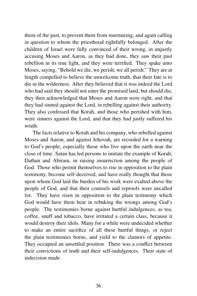them of the past, to prevent them from murmuring, and again calling in question to whom the priesthood rightfully belonged. After the children of Israel were fully convinced of their wrong, in unjustly accusing Moses and Aaron, as they had done, they saw their past rebellion in its true light, and they were terrified. They spake unto Moses, saying, "Behold we die, we perish; we all perish." They are at length compelled to believe the unwelcome truth, that their fate is to die in the wilderness. After they believed that it was indeed the Lord who had said they should not enter the promised land, but should die, they then acknowledged that Moses and Aaron were right, and that they had sinned against the Lord, in rebelling against their authority. They also confessed that Korah, and those who perished with him, were sinners against the Lord, and that they had justly suffered his wrath.

The facts relative to Korah and his company, who rebelled against Moses and Aaron, and against Jehovah, are recorded for a warning to God's people, especially those who live upon the earth near the close of time. Satan has led persons to imitate the example of Korah, Dathan and Abiram, in raising insurrection among the people of God. Those who permit themselves to rise in opposition to the plain testimony, become self-deceived, and have really thought that those upon whom God laid the burden of his work were exalted above the people of God, and that their counsels and reproofs were uncalled for. They have risen in opposition to the plain testimony which God would have them bear in rebuking the wrongs among God's people. The testimonies borne against hurtful indulgences, as tea, coffee, snuff and tobacco, have irritated a certain class, because it would destroy their idols. Many for a while were undecided whether to make an entire sacrifice of all these hurtful things, or reject the plain testimonies borne, and yield to the clamors of appetite. They occupied an unsettled position. There was a conflict between their convictions of truth and their self-indulgences. Their state of indecision made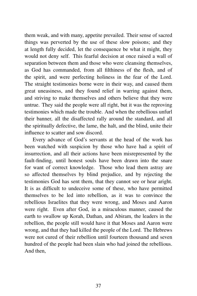them weak, and with many, appetite prevailed. Their sense of sacred things was perverted by the use of these slow poisons; and they at length fully decided, let the consequence be what it might, they would not deny self. This fearful decision at once raised a wall of separation between them and those who were cleansing themselves, as God has commanded, from all filthiness of the flesh, and of the spirit, and were perfecting holiness in the fear of the Lord. The straight testimonies borne were in their way, and caused them great uneasiness, and they found relief in warring against them, and striving to make themselves and others believe that they were untrue. They said the people were all right, but it was the reproving testimonies which made the trouble. And when the rebellious unfurl their banner, all the disaffected rally around the standard, and all the spiritually defective, the lame, the halt, and the blind, unite their influence to scatter and sow discord.

Every advance of God's servants at the head of the work has been watched with suspicion by those who have had a spirit of insurrection, and all their actions have been misrepresented by the fault-finding, until honest souls have been drawn into the snare for want of correct knowledge. Those who lead them astray are so affected themselves by blind prejudice, and by rejecting the testimonies God has sent them, that they cannot see or hear aright. It is as difficult to undeceive some of these, who have permitted themselves to be led into rebellion, as it was to convince the rebellious Israelites that they were wrong, and Moses and Aaron were right. Even after God, in a miraculous manner, caused the earth to swallow up Korah, Dathan, and Abiram, the leaders in the rebellion, the people still would have it that Moses and Aaron were wrong, and that they had killed the people of the Lord. The Hebrews were not cured of their rebellion until fourteen thousand and seven hundred of the people had been slain who had joined the rebellious. And then,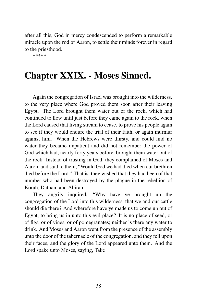after all this, God in mercy condescended to perform a remarkable miracle upon the rod of Aaron, to settle their minds forever in regard to the priesthood.

\*\*\*\*\*

### Chapter XXIX. - Moses Sinned.

Again the congregation of Israel was brought into the wilderness, to the very place where God proved them soon after their leaving Egypt. The Lord brought them water out of the rock, which had continued to flow until just before they came again to the rock, when the Lord caused that living stream to cease, to prove his people again to see if they would endure the trial of their faith, or again murmur against him. When the Hebrews were thirsty, and could find no water they became impatient and did not remember the power of God which had, nearly forty years before, brought them water out of the rock. Instead of trusting in God, they complained of Moses and Aaron, and said to them, "Would God we had died when our brethren died before the Lord." That is, they wished that they had been of that number who had been destroyed by the plague in the rebellion of Korah, Dathan, and Abiram.

They angrily inquired, "Why have ye brought up the congregation of the Lord into this wilderness, that we and our cattle should die there? And wherefore have ye made us to come up out of Egypt, to bring us in unto this evil place? It is no place of seed, or of figs, or of vines, or of pomegranates; neither is there any water to drink. And Moses and Aaron went from the presence of the assembly unto the door of the tabernacle of the congregation, and they fell upon their faces, and the glory of the Lord appeared unto them. And the Lord spake unto Moses, saying, Take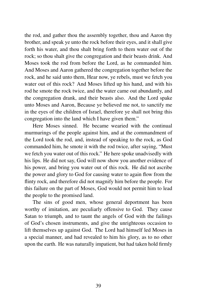the rod, and gather thou the assembly together, thou and Aaron thy brother, and speak ye unto the rock before their eyes, and it shall give forth his water, and thou shalt bring forth to them water out of the rock; so thou shalt give the congregation and their beasts drink. And Moses took the rod from before the Lord, as he commanded him. And Moses and Aaron gathered the congregation together before the rock, and he said unto them, Hear now, ye rebels, must we fetch you water out of this rock? And Moses lifted up his hand, and with his rod he smote the rock twice, and the water came out abundantly, and the congregation drank, and their beasts also. And the Lord spake unto Moses and Aaron, Because ye believed me not, to sanctify me in the eyes of the children of Israel, therefore ye shall not bring this congregation into the land which I have given them."

Here Moses sinned. He became wearied with the continual murmurings of the people against him, and at the commandment of the Lord took the rod, and, instead of speaking to the rock, as God commanded him, he smote it with the rod twice, after saying, "Must we fetch you water out of this rock." He here spoke unadvisedly with his lips. He did not say, God will now show you another evidence of his power, and bring you water out of this rock. He did not ascribe the power and glory to God for causing water to again flow from the flinty rock, and therefore did not magnify him before the people. For this failure on the part of Moses, God would not permit him to lead the people to the promised land.

The sins of good men, whose general deportment has been worthy of imitation, are peculiarly offensive to God. They cause Satan to triumph, and to taunt the angels of God with the failings of God's chosen instruments, and give the unrighteous occasion to lift themselves up against God. The Lord had himself led Moses in a special manner, and had revealed to him his glory, as to no other upon the earth. He was naturally impatient, but had taken hold firmly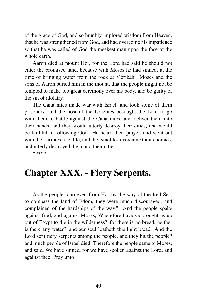of the grace of God, and so humbly implored wisdom from Heaven, that he was strengthened from God, and had overcome his impatience so that he was called of God the meekest man upon the face of the whole earth.

Aaron died at mount Hor, for the Lord had said he should not enter the promised land, because with Moses he had sinned, at the time of bringing water from the rock at Meribah. Moses and the sons of Aaron buried him in the mount, that the people might not be tempted to make too great ceremony over his body, and be guilty of the sin of idolatry.

The Canaanites made war with Israel, and took some of them prisoners, and the host of the Israelites besought the Lord to go with them to battle against the Canaanites, and deliver them into their hands, and they would utterly destroy their cities, and would be faithful in following God. He heard their prayer, and went out with their armies to battle, and the Israelites overcame their enemies, and utterly destroyed them and their cities.

\*\*\*\*\*

## Chapter XXX. - Fiery Serpents.

As the people journeyed from Hor by the way of the Red Sea, to compass the land of Edom, they were much discouraged, and complained of the hardships of the way." And the people spake against God, and against Moses, Wherefore have ye brought us up out of Egypt to die in the wilderness? for there is no bread, neither is there any water? and our soul loatheth this light bread. And the Lord sent fiery serpents among the people, and they bit the people? and much people of Israel died. Therefore the people came to Moses, and said, We have sinned, for we have spoken against the Lord, and against thee. Pray unto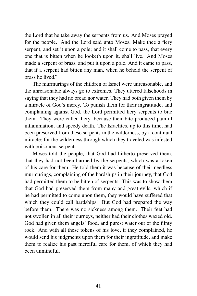the Lord that he take away the serpents from us. And Moses prayed for the people. And the Lord said unto Moses, Make thee a fiery serpent, and set it upon a pole; and it shall come to pass, that every one that is bitten when he looketh upon it, shall live. And Moses made a serpent of brass, and put it upon a pole. And it came to pass, that if a serpent had bitten any man, when he beheld the serpent of brass he lived."

The murmurings of the children of Israel were unreasonable, and the unreasonable always go to extremes. They uttered falsehoods in saying that they had no bread nor water. They had both given them by a miracle of God's mercy. To punish them for their ingratitude, and complaining against God, the Lord permitted fiery serpents to bite them. They were called fiery, because their bite produced painful inflammation, and speedy death. The Israelites, up to this time, had been preserved from these serpents in the wilderness, by a continual miracle; for the wilderness through which they traveled was infested with poisonous serpents.

Moses told the people, that God had hitherto preserved them, that they had not been harmed by the serpents, which was a token of his care for them. He told them it was because of their needless murmurings, complaining of the hardships in their journey, that God had permitted them to be bitten of serpents. This was to show them that God had preserved them from many and great evils, which if he had permitted to come upon them, they would have suffered that which they could call hardships. But God had prepared the way before them. There was no sickness among them. Their feet had not swollen in all their journeys, neither had their clothes waxed old. God had given them angels' food, and purest water out of the flinty rock. And with all these tokens of his love, if they complained, he would send his judgments upon them for their ingratitude, and make them to realize his past merciful care for them, of which they had been unmindful.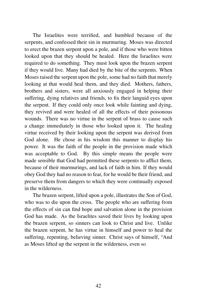The Israelites were terrified, and humbled because of the serpents, and confessed their sin in murmuring. Moses was directed to erect the brazen serpent upon a pole, and if those who were bitten looked upon that they should be healed. Here the Israelites were required to do something. They must look upon the brazen serpent if they would live. Many had died by the bite of the serpents. When Moses raised the serpent upon the pole, some had no faith that merely looking at that would heal them, and they died. Mothers, fathers, brothers and sisters, were all anxiously engaged in helping their suffering, dying relatives and friends, to fix their languid eyes upon the serpent. If they could only once look while fainting and dying, they revived and were healed of all the effects of their poisonous wounds. There was no virtue in the serpent of brass to cause such a change immediately in those who looked upon it. The healing virtue received by their looking upon the serpent was derived from God alone. He chose in his wisdom this manner to display his power. It was the faith of the people in the provision made which was acceptable to God. By this simple means the people were made sensible that God had permitted these serpents to afflict them, because of their murmurings, and lack of faith in him. If they would obey God they had no reason to fear, for he would be their friend, and preserve them from dangers to which they were continually exposed in the wilderness.

The brazen serpent, lifted upon a pole, illustrates the Son of God, who was to die upon the cross. The people who are suffering from the effects of sin can find hope and salvation alone in the provision God has made. As the Israelites saved their lives by looking upon the brazen serpent, so sinners can look to Christ and live. Unlike the brazen serpent, he has virtue in himself and power to heal the suffering, repenting, believing sinner. Christ says of himself, "And as Moses lifted up the serpent in the wilderness, even so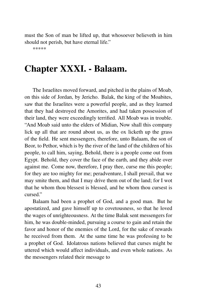must the Son of man be lifted up, that whosoever believeth in him should not perish, but have eternal life."

\*\*\*\*\*

#### Chapter XXXI. - Balaam.

The Israelites moved forward, and pitched in the plains of Moab, on this side of Jordan, by Jericho. Balak, the king of the Moabites, saw that the Israelites were a powerful people, and as they learned that they had destroyed the Amorites, and had taken possession of their land, they were exceedingly terrified. All Moab was in trouble. "And Moab said unto the elders of Midian, Now shall this company lick up all that are round about us, as the ox licketh up the grass of the field. He sent messengers, therefore, unto Balaam, the son of Beor, to Pethor, which is by the river of the land of the children of his people, to call him, saying, Behold, there is a people come out from Egypt. Behold, they cover the face of the earth, and they abide over against me. Come now, therefore, I pray thee, curse me this people; for they are too mighty for me; peradventure, I shall prevail, that we may smite them, and that I may drive them out of the land; for I wot that he whom thou blessest is blessed, and he whom thou cursest is cursed."

Balaam had been a prophet of God, and a good man. But he apostatized, and gave himself up to covetousness, so that he loved the wages of unrighteousness. At the time Balak sent messengers for him, he was double-minded, pursuing a course to gain and retain the favor and honor of the enemies of the Lord, for the sake of rewards he received from them. At the same time he was professing to be a prophet of God. Idolatrous nations believed that curses might be uttered which would affect individuals, and even whole nations. As the messengers related their message to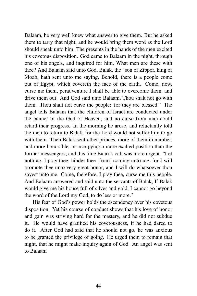Balaam, he very well knew what answer to give them. But he asked them to tarry that night, and he would bring them word as the Lord should speak unto him. The presents in the hands of the men excited his covetous disposition. God came to Balaam in the night, through one of his angels, and inquired for him, What men are these with thee? And Balaam said unto God, Balak, the "son of Zippor, king of Moab, hath sent unto me saying, Behold, there is a people come out of Egypt, which covereth the face of the earth. Come, now, curse me them, peradventure I shall be able to overcome them, and drive them out. And God said unto Balaam, Thou shalt not go with them. Thou shalt not curse the people: for they are blessed." The angel tells Balaam that the children of Israel are conducted under the banner of the God of Heaven, and no curse from man could retard their progress. In the morning he arose, and reluctantly told the men to return to Balak, for the Lord would not suffer him to go with them. Then Balak sent other princes, more of them in number, and more honorable, or occupying a more exalted position than the former messengers; and this time Balak's call was more urgent. "Let nothing, I pray thee, hinder thee [from] coming unto me, for I will promote thee unto very great honor, and I will do whatsoever thou sayest unto me. Come, therefore, I pray thee, curse me this people. And Balaam answered and said unto the servants of Balak, If Balak would give me his house full of silver and gold, I cannot go beyond the word of the Lord my God, to do less or more."

His fear of God's power holds the ascendency over his covetous disposition. Yet his course of conduct shows that his love of honor and gain was striving hard for the mastery, and he did not subdue it. He would have gratified his covetousness, if he had dared to do it. After God had said that he should not go, he was anxious to be granted the privilege of going. He urged them to remain that night, that he might make inquiry again of God. An angel was sent to Balaam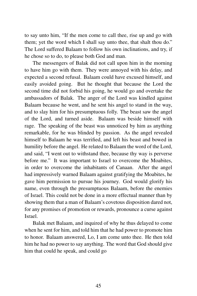to say unto him, "If the men come to call thee, rise up and go with them; yet the word which I shall say unto thee, that shalt thou do." The Lord suffered Balaam to follow his own inclinations, and try, if he chose so to do, to please both God and man.

The messengers of Balak did not call upon him in the morning to have him go with them. They were annoyed with his delay, and expected a second refusal. Balaam could have excused himself, and easily avoided going. But he thought that because the Lord the second time did not forbid his going, he would go and overtake the ambassadors of Balak. The anger of the Lord was kindled against Balaam because he went, and he sent his angel to stand in the way, and to slay him for his presumptuous folly. The beast saw the angel of the Lord, and turned aside. Balaam was beside himself with rage. The speaking of the beast was unnoticed by him as anything remarkable, for he was blinded by passion. As the angel revealed himself to Balaam he was terrified, and left his beast and bowed in humility before the angel. He related to Balaam the word of the Lord, and said, "I went out to withstand thee, because thy way is perverse before me." It was important to Israel to overcome the Moabites, in order to overcome the inhabitants of Canaan. After the angel had impressively warned Balaam against gratifying the Moabites, he gave him permission to pursue his journey. God would glorify his name, even through the presumptuous Balaam, before the enemies of Israel. This could not be done in a more effectual manner than by showing them that a man of Balaam's covetous disposition dared not, for any promises of promotion or rewards, pronounce a curse against Israel.

Balak met Balaam, and inquired of why he thus delayed to come when he sent for him, and told him that he had power to promote him to honor. Balaam answered, Lo, I am come unto thee. He then told him he had no power to say anything. The word that God should give him that could he speak, and could go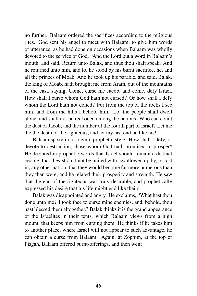no further. Balaam ordered the sacrifices according to the religious rites. God sent his angel to meet with Balaam, to give him words of utterance, as he had done on occasions when Balaam was wholly devoted to the service of God. "And the Lord put a word in Balaam's mouth, and said, Return unto Balak, and thus thou shalt speak. And he returned unto him, and lo, he stood by his burnt sacrifice, he, and all the princes of Moab. And he took up his parable, and said, Balak, the king of Moab, hath brought me from Aram, out of the mountains of the east, saying, Come, curse me Jacob, and come, defy Israel. How shall I curse whom God hath not cursed? Or how shall I defy whom the Lord hath not defied? For from the top of the rocks I see him, and from the hills I behold him. Lo, the people shall dwell alone, and shall not be reckoned among the nations. Who can count the dust of Jacob, and the number of the fourth part of Israel? Let me die the death of the righteous, and let my last end be like his!"

Balaam spoke in a solemn, prophetic style. How shall I defy, or devote to destruction, those whom God hath promised to prosper? He declared in prophetic words that Israel should remain a distinct people; that they should not be united with, swallowed up by, or lost in, any other nation; that they would become far more numerous than they then were; and he related their prosperity and strength. He saw that the end of the righteous was truly desirable, and prophetically expressed his desire that his life might end like theirs.

Balak was disappointed and angry. He exclaims, "What hast thou done unto me? I took thee to curse mine enemies, and, behold, thou hast blessed them altogether." Balak thinks it is the grand appearance of the Israelites in their tents, which Balaam views from a high mount, that keeps him from cursing them. He thinks if he takes him to another place, where Israel will not appear to such advantage, he can obtain a curse from Balaam. Again, at Zophim, at the top of Pisgah, Balaam offered burnt-offerings, and then went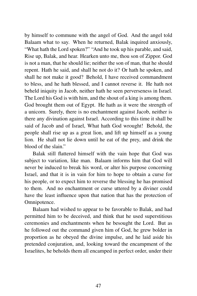by himself to commune with the angel of God. And the angel told Balaam what to say. When he returned, Balak inquired anxiously, "What hath the Lord spoken?" "And he took up his parable, and said, Rise up, Balak, and hear. Hearken unto me, thou son of Zippor. God is not a man, that he should lie; neither the son of man, that he should repent. Hath he said, and shall he not do it? Or hath he spoken, and shall he not make it good? Behold, I have received commandment to bless, and he hath blessed, and I cannot reverse it. He hath not beheld iniquity in Jacob, neither hath he seen perverseness in Israel. The Lord his God is with him, and the shout of a king is among them. God brought them out of Egypt. He hath as it were the strength of a unicorn. Surely, there is no enchantment against Jacob, neither is there any divination against Israel. According to this time it shall be said of Jacob and of Israel, What hath God wrought! Behold, the people shall rise up as a great lion, and lift up himself as a young lion. He shall not lie down until he eat of the prey, and drink the blood of the slain."

Balak still flattered himself with the vain hope that God was subject to variation, like man. Balaam informs him that God will never be induced to break his word, or alter his purpose concerning Israel, and that it is in vain for him to hope to obtain a curse for his people, or to expect him to reverse the blessing he has promised to them. And no enchantment or curse uttered by a diviner could have the least influence upon that nation that has the protection of Omnipotence.

Balaam had wished to appear to be favorable to Balak, and had permitted him to be deceived, and think that he used superstitious ceremonies and enchantments when he besought the Lord. But as he followed out the command given him of God, he grew bolder in proportion as he obeyed the divine impulse, and he laid aside his pretended conjuration, and, looking toward the encampment of the Israelites, he beholds them all encamped in perfect order, under their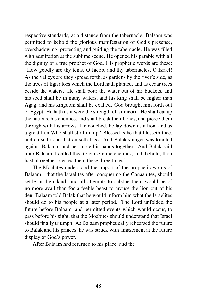respective standards, at a distance from the tabernacle. Balaam was permitted to behold the glorious manifestation of God's presence, overshadowing, protecting and guiding the tabernacle. He was filled with admiration at the sublime scene. He opened his parable with all the dignity of a true prophet of God. His prophetic words are these: "How goodly are thy tents, O Jacob, and thy tabernacles, O Israel! As the valleys are they spread forth, as gardens by the river's side, as the trees of lign aloes which the Lord hath planted, and as cedar trees beside the waters. He shall pour the water out of his buckets, and his seed shall be in many waters, and his king shall be higher than Agag, and his kingdom shall be exalted. God brought him forth out of Egypt. He hath as it were the strength of a unicorn. He shall eat up the nations, his enemies, and shall break their bones, and pierce them through with his arrows. He couched, he lay down as a lion, and as a great lion Who shall stir him up? Blessed is he that blesseth thee, and cursed is he that curseth thee. And Balak's anger was kindled against Balaam, and he smote his hands together. And Balak said unto Balaam, I called thee to curse mine enemies, and, behold, thou hast altogether blessed them these three times."

The Moabites understood the import of the prophetic words of Balaam—that the Israelites after conquering the Canaanites, should settle in their land, and all attempts to subdue them would be of no more avail than for a feeble beast to arouse the lion out of his den. Balaam told Balak that he would inform him what the Israelites should do to his people at a later period. The Lord unfolded the future before Balaam, and permitted events which would occur, to pass before his sight, that the Moabites should understand that Israel should finally triumph. As Balaam prophetically rehearsed the future to Balak and his princes, he was struck with amazement at the future display of God's power.

After Balaam had returned to his place, and the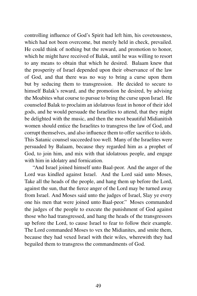controlling influence of God's Spirit had left him, his covetousness, which had not been overcome, but merely held in check, prevailed. He could think of nothing but the reward, and promotion to honor, which he might have received of Balak, until he was willing to resort to any means to obtain that which he desired. Balaam knew that the prosperity of Israel depended upon their observance of the law of God, and that there was no way to bring a curse upon them but by seducing them to transgression. He decided to secure to himself Balak's reward, and the promotion he desired, by advising the Moabites what course to pursue to bring the curse upon Israel. He counseled Balak to proclaim an idolatrous feast in honor of their idol gods, and he would persuade the Israelites to attend, that they might be delighted with the music, and then the most beautiful Midianitish women should entice the Israelites to transgress the law of God, and corrupt themselves, and also influence them to offer sacrifice to idols. This Satanic counsel succeeded too well. Many of the Israelites were persuaded by Balaam, because they regarded him as a prophet of God, to join him, and mix with that idolatrous people, and engage with him in idolatry and fornication.

"And Israel joined himself unto Baal-peor. And the anger of the Lord was kindled against Israel. And the Lord said unto Moses, Take all the heads of the people, and hang them up before the Lord, against the sun, that the fierce anger of the Lord may be turned away from Israel. And Moses said unto the judges of Israel, Slay ye every one his men that were joined unto Baal-peor." Moses commanded the judges of the people to execute the punishment of God against those who had transgressed, and hang the heads of the transgressors up before the Lord, to cause Israel to fear to follow their example. The Lord commanded Moses to vex the Midianites, and smite them, because they had vexed Israel with their wiles, wherewith they had beguiled them to transgress the commandments of God.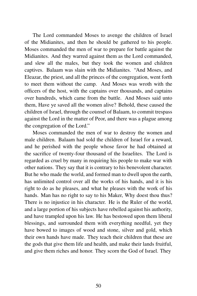The Lord commanded Moses to avenge the children of Israel of the Midianites, and then he should be gathered to his people. Moses commanded the men of war to prepare for battle against the Midianites. And they warred against them as the Lord commanded, and slew all the males, but they took the women and children captives. Balaam was slain with the Midianites. "And Moses, and Eleazar, the priest, and all the princes of the congregation, went forth to meet them without the camp. And Moses was wroth with the officers of the host, with the captains over thousands, and captains over hundreds, which came from the battle. And Moses said unto them, Have ye saved all the women alive? Behold, these caused the children of Israel, through the counsel of Balaam, to commit trespass against the Lord in the matter of Peor, and there was a plague among the congregation of the Lord."

Moses commanded the men of war to destroy the women and male children. Balaam had sold the children of Israel for a reward, and he perished with the people whose favor he had obtained at the sacrifice of twenty-four thousand of the Israelites. The Lord is regarded as cruel by many in requiring his people to make war with other nations. They say that it is contrary to his benevolent character. But he who made the world, and formed man to dwell upon the earth, has unlimited control over all the works of his hands, and it is his right to do as he pleases, and what he pleases with the work of his hands. Man has no right to say to his Maker, Why doest thou thus? There is no injustice in his character. He is the Ruler of the world, and a large portion of his subjects have rebelled against his authority, and have trampled upon his law. He has bestowed upon them liberal blessings, and surrounded them with everything needful, yet they have bowed to images of wood and stone, silver and gold, which their own hands have made. They teach their children that these are the gods that give them life and health, and make their lands fruitful, and give them riches and honor. They scorn the God of Israel. They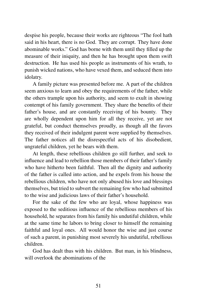despise his people, because their works are righteous "The fool hath said in his heart, there is no God. They are corrupt. They have done abominable works." God has borne with them until they filled up the measure of their iniquity, and then he has brought upon them swift destruction. He has used his people as instruments of his wrath, to punish wicked nations, who have vexed them, and seduced them into idolatry.

A family picture was presented before me. A part of the children seem anxious to learn and obey the requirements of the father, while the others trample upon his authority, and seem to exult in showing contempt of his family government. They share the benefits of their father's house, and are constantly receiving of his bounty. They are wholly dependent upon him for all they receive, yet are not grateful, but conduct themselves proudly, as though all the favors they received of their indulgent parent were supplied by themselves. The father notices all the disrespectful acts of his disobedient, ungrateful children, yet he bears with them.

At length, these rebellious children go still further, and seek to influence and lead to rebellion those members of their father's family who have hitherto been faithful. Then all the dignity and authority of the father is called into action, and he expels from his house the rebellious children, who have not only abused his love and blessings themselves, but tried to subvert the remaining few who had submitted to the wise and judicious laws of their father's household.

For the sake of the few who are loyal, whose happiness was exposed to the seditious influence of the rebellious members of his household, he separates from his family his undutiful children, while at the same time he labors to bring closer to himself the remaining faithful and loyal ones. All would honor the wise and just course of such a parent, in punishing most severely his undutiful, rebellious children.

God has dealt thus with his children. But man, in his blindness, will overlook the abominations of the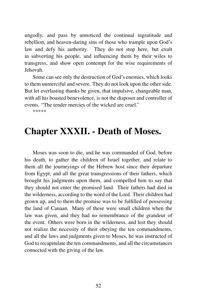ungodly, and pass by unnoticed the continual ingratitude and rebellion, and heaven-daring sins of those who trample upon God's law and defy his authority. They do not stop here, but exult in subverting his people, and influencing them by their wiles to transgress, and show open contempt for the wise requirements of Jehovah.

Some can see only the destruction of God's enemies, which looks to them unmerciful and severe. They do not look upon the other side. But let everlasting thanks be given, that impulsive, changeable man, with all his boasted benevolence, is not the disposer and controller of events. "The tender mercies of the wicked are cruel."

\*\*\*\*\*

#### Chapter XXXII. - Death of Moses.

Moses was soon to die, and he was commanded of God, before his death, to gather the children of Israel together, and relate to them all the journeyings of the Hebrew host since their departure from Egypt, and all the great transgressions of their fathers, which brought his judgments upon them, and compelled him to say that they should not enter the promised land. Their fathers had died in the wilderness, according to the word of the Lord. Their children had grown up, and to them the promise was to be fulfilled of possessing the land of Canaan. Many of these were small children when the law was given, and they had no remembrance of the grandeur of the event. Others were born in the wilderness, and lest they should not realize the necessity of their obeying the ten commandments, and all the laws and judgments given to Moses, he was instructed of God to recapitulate the ten commandments, and all the circumstances connected with the giving of the law.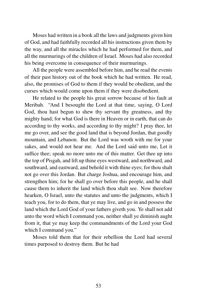Moses had written in a book all the laws and judgments given him of God, and had faithfully recorded all his instructions given them by the way, and all the miracles which he had performed for them, and all the murmurings of the children of Israel. Moses had also recorded his being overcome in consequence of their murmurings.

All the people were assembled before him, and he read the events of their past history out of the book which he had written. He read, also, the promises of God to them if they would be obedient, and the curses which would come upon them if they were disobedient.

He related to the people his great sorrow because of his fault at Meribah. "And I besought the Lord at that time, saying, O Lord God, thou hast begun to shew thy servant thy greatness, and thy mighty hand; for what God is there in Heaven or in earth, that can do according to thy works, and according to thy might? I pray thee, let me go over, and see the good land that is beyond Jordan, that goodly mountain, and Lebanon. But the Lord was wroth with me for your sakes, and would not hear me. And the Lord said unto me, Let it suffice thee; speak no more unto me of this matter. Get thee up into the top of Pisgah, and lift up thine eyes westward, and northward, and southward, and eastward, and behold it with thine eyes; for thou shalt not go over this Jordan. But charge Joshua, and encourage him, and strengthen him; for he shall go over before this people, and he shall cause them to inherit the land which thou shalt see. Now therefore hearken, O Israel, unto the statutes and unto the judgments, which I teach you, for to do them, that ye may live, and go in and possess the land which the Lord God of your fathers giveth you. Ye shall not add unto the word which I command you, neither shall ye diminish aught from it, that ye may keep the commandments of the Lord your God which I command you."

Moses told them that for their rebellion the Lord had several times purposed to destroy them. But he had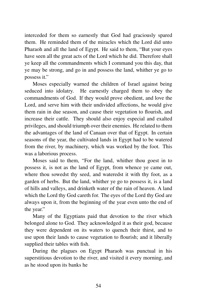interceded for them so earnestly that God had graciously spared them. He reminded them of the miracles which the Lord did unto Pharaoh and all the land of Egypt. He said to them, "But your eyes have seen all the great acts of the Lord which he did. Therefore shall ye keep all the commandments which I command you this day, that ye may be strong, and go in and possess the land, whither ye go to possess it."

Moses especially warned the children of Israel against being seduced into idolatry. He earnestly charged them to obey the commandments of God. If they would prove obedient, and love the Lord, and serve him with their undivided affections, he would give them rain in due season, and cause their vegetation to flourish, and increase their cattle. They should also enjoy especial and exalted privileges, and should triumph over their enemies. He related to them the advantages of the land of Canaan over that of Egypt. In certain seasons of the year, the cultivated lands in Egypt had to be watered from the river, by machinery, which was worked by the foot. This was a laborious process.

Moses said to them, "For the land, whither thou goest in to possess it, is not as the land of Egypt, from whence ye came out, where thou sowedst thy seed, and wateredst it with thy foot, as a garden of herbs. But the land, whither ye go to possess it, is a land of hills and valleys, and drinketh water of the rain of heaven. A land which the Lord thy God careth for. The eyes of the Lord thy God are always upon it, from the beginning of the year even unto the end of the year."

Many of the Egyptians paid that devotion to the river which belonged alone to God. They acknowledged it as their god, because they were dependent on its waters to quench their thirst, and to use upon their lands to cause vegetation to flourish; and it liberally supplied their tables with fish.

During the plagues on Egypt Pharaoh was punctual in his superstitious devotion to the river, and visited it every morning, and as he stood upon its banks he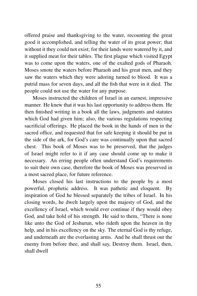offered praise and thanksgiving to the water, recounting the great good it accomplished, and telling the water of its great power; that without it they could not exist; for their lands were watered by it, and it supplied meat for their tables. The first plague which visited Egypt was to come upon the waters, one of the exalted gods of Pharaoh. Moses smote the waters before Pharaoh and his great men, and they saw the waters which they were adoring turned to blood. It was a putrid mass for seven days, and all the fish that were in it died. The people could not use the water for any purpose.

Moses instructed the children of Israel in an earnest, impressive manner. He knew that it was his last opportunity to address them. He then finished writing in a book all the laws, judgments and statutes which God had given him; also, the various regulations respecting sacrificial offerings. He placed the book in the hands of men in the sacred office, and requested that for safe keeping it should be put in the side of the ark, for God's care was continually upon that sacred chest. This book of Moses was to be preserved, that the judges of Israel might refer to it if any case should come up to make it necessary. An erring people often understand God's requirements to suit their own case, therefore the book of Moses was preserved in a most sacred place, for future reference.

Moses closed his last instructions to the people by a most powerful, prophetic address. It was pathetic and eloquent. By inspiration of God he blessed separately the tribes of Israel. In his closing words, he dwelt largely upon the majesty of God, and the excellency of Israel, which would ever continue if they would obey God, and take hold of his strength. He said to them, "There is none like unto the God of Jeshurun, who rideth upon the heaven in thy help, and in his excellency on the sky. The eternal God is thy refuge, and underneath are the everlasting arms. And he shall thrust out the enemy from before thee, and shall say, Destroy them. Israel, then, shall dwell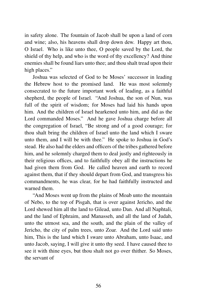in safety alone. The fountain of Jacob shall be upon a land of corn and wine; also, his heavens shall drop down dew. Happy art thou, O Israel. Who is like unto thee, O people saved by the Lord, the shield of thy help, and who is the word of thy excellency? And thine enemies shall be found liars unto thee; and thou shalt tread upon their high places."

Joshua was selected of God to be Moses' successor in leading the Hebrew host to the promised land. He was most solemnly consecrated to the future important work of leading, as a faithful shepherd, the people of Israel. "And Joshua, the son of Nun, was full of the spirit of wisdom; for Moses had laid his hands upon him. And the children of Israel hearkened unto him, and did as the Lord commanded Moses." And he gave Joshua charge before all the congregation of Israel, "Be strong and of a good courage; for thou shalt bring the children of Israel unto the land which I sware unto them, and I will be with thee." He spoke to Joshua in God's stead. He also had the elders and officers of the tribes gathered before him, and he solemnly charged them to deal justly and righteously in their religious offices, and to faithfully obey all the instructions he had given them from God. He called heaven and earth to record against them, that if they should depart from God, and transgress his commandments, he was clear, for he had faithfully instructed and warned them.

"And Moses went up from the plains of Moab unto the mountain of Nebo, to the top of Pisgah, that is over against Jericho, and the Lord shewed him all the land to Gilead, unto Dan. And all Naphtali, and the land of Ephraim, and Manasseh, and all the land of Judah, unto the utmost sea, and the south, and the plain of the valley of Jericho, the city of palm trees, unto Zoar. And the Lord said unto him, This is the land which I sware unto Abraham, unto Isaac, and unto Jacob, saying, I will give it unto thy seed. I have caused thee to see it with thine eyes, but thou shalt not go over thither. So Moses, the servant of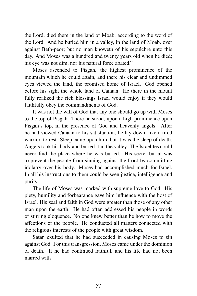the Lord, died there in the land of Moab, according to the word of the Lord. And he buried him in a valley, in the land of Moab, over against Beth-peor; but no man knoweth of his sepulchre unto this day. And Moses was a hundred and twenty years old when he died; his eye was not dim, nor his natural force abated."

Moses ascended to Pisgah, the highest prominence of the mountain which he could attain, and there his clear and undimmed eyes viewed the land, the promised home of Israel. God opened before his sight the whole land of Canaan. He there in the mount fully realized the rich blessings Israel would enjoy if they would faithfully obey the commandments of God.

It was not the will of God that any one should go up with Moses to the top of Pisgah. There he stood, upon a high prominence upon Pisgah's top, in the presence of God and heavenly angels. After he had viewed Canaan to his satisfaction, he lay down, like a tired warrior, to rest. Sleep came upon him, but it was the sleep of death. Angels took his body and buried it in the valley. The Israelites could never find the place where he was buried. His secret burial was to prevent the people from sinning against the Lord by committing idolatry over his body. Moses had accomplished much for Israel. In all his instructions to them could be seen justice, intelligence and purity.

The life of Moses was marked with supreme love to God. His piety, humility and forbearance gave him influence with the host of Israel. His zeal and faith in God were greater than those of any other man upon the earth. He had often addressed his people in words of stirring eloquence. No one knew better than he how to move the affections of the people. He conducted all matters connected with the religious interests of the people with great wisdom.

Satan exulted that he had succeeded in causing Moses to sin against God. For this transgression, Moses came under the dominion of death. If he had continued faithful, and his life had not been marred with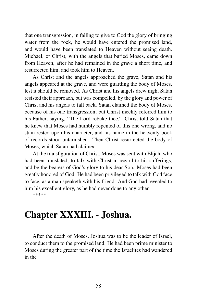that one transgression, in failing to give to God the glory of bringing water from the rock, he would have entered the promised land, and would have been translated to Heaven without seeing death. Michael, or Christ, with the angels that buried Moses, came down from Heaven, after he had remained in the grave a short time, and resurrected him, and took him to Heaven.

As Christ and the angels approached the grave, Satan and his angels appeared at the grave, and were guarding the body of Moses, lest it should be removed. As Christ and his angels drew nigh, Satan resisted their approach, but was compelled, by the glory and power of Christ and his angels to fall back. Satan claimed the body of Moses, because of his one transgression; but Christ meekly referred him to his Father, saying, "The Lord rebuke thee." Christ told Satan that he knew that Moses had humbly repented of this one wrong, and no stain rested upon his character, and his name in the heavenly book of records stood untarnished. Then Christ resurrected the body of Moses, which Satan had claimed.

At the transfiguration of Christ, Moses was sent with Elijah, who had been translated, to talk with Christ in regard to his sufferings, and be the bearers of God's glory to his dear Son. Moses had been greatly honored of God. He had been privileged to talk with God face to face, as a man speaketh with his friend. And God had revealed to him his excellent glory, as he had never done to any other.

\*\*\*\*\*

## Chapter XXXIII. - Joshua.

After the death of Moses, Joshua was to be the leader of Israel, to conduct them to the promised land. He had been prime minister to Moses during the greater part of the time the Israelites had wandered in the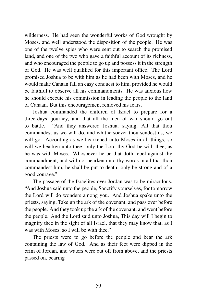wilderness. He had seen the wonderful works of God wrought by Moses, and well understood the disposition of the people. He was one of the twelve spies who were sent out to search the promised land, and one of the two who gave a faithful account of its richness, and who encouraged the people to go up and possess it in the strength of God. He was well qualified for this important office. The Lord promised Joshua to be with him as he had been with Moses, and he would make Canaan fall an easy conquest to him, provided he would be faithful to observe all his commandments. He was anxious how he should execute his commission in leading the people to the land of Canaan. But this encouragement removed his fears.

Joshua commanded the children of Israel to prepare for a three-days' journey, and that all the men of war should go out to battle. "And they answered Joshua, saying, All that thou commandest us we will do, and whithersoever thou sendest us, we will go. According as we hearkened unto Moses in all things, so will we hearken unto thee; only the Lord thy God be with thee, as he was with Moses. Whosoever he be that doth rebel against thy commandment, and will not hearken unto thy words in all that thou commandest him, he shall be put to death; only be strong and of a good courage."

The passage of the Israelites over Jordan was to be miraculous. "And Joshua said unto the people, Sanctify yourselves, for tomorrow the Lord will do wonders among you. And Joshua spake unto the priests, saying, Take up the ark of the covenant, and pass over before the people. And they took up the ark of the covenant, and went before the people. And the Lord said unto Joshua, This day will I begin to magnify thee in the sight of all Israel, that they may know that, as I was with Moses, so I will be with thee."

The priests were to go before the people and bear the ark containing the law of God. And as their feet were dipped in the brim of Jordan, and waters were cut off from above, and the priests passed on, bearing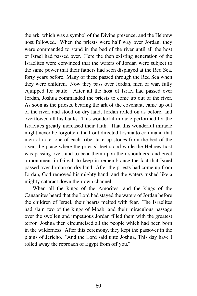the ark, which was a symbol of the Divine presence, and the Hebrew host followed. When the priests were half way over Jordan, they were commanded to stand in the bed of the river until all the host of Israel had passed over. Here the then existing generation of the Israelites were convinced that the waters of Jordan were subject to the same power that their fathers had seen displayed at the Red Sea, forty years before. Many of these passed through the Red Sea when they were children. Now they pass over Jordan, men of war, fully equipped for battle. After all the host of Israel had passed over Jordan, Joshua commanded the priests to come up out of the river. As soon as the priests, bearing the ark of the covenant, came up out of the river, and stood on dry land, Jordan rolled on as before, and overflowed all his banks. This wonderful miracle performed for the Israelites greatly increased their faith. That this wonderful miracle might never be forgotten, the Lord directed Joshua to command that men of note, one of each tribe, take up stones from the bed of the river, the place where the priests' feet stood while the Hebrew host was passing over, and to bear them upon their shoulders, and erect a monument in Gilgal, to keep in remembrance the fact that Israel passed over Jordan on dry land. After the priests had come up from Jordan, God removed his mighty hand, and the waters rushed like a mighty cataract down their own channel.

When all the kings of the Amorites, and the kings of the Canaanites heard that the Lord had stayed the waters of Jordan before the children of Israel, their hearts melted with fear. The Israelites had slain two of the kings of Moab, and their miraculous passage over the swollen and impetuous Jordan filled them with the greatest terror. Joshua then circumcised all the people which had been born in the wilderness. After this ceremony, they kept the passover in the plains of Jericho. "And the Lord said unto Joshua, This day have I rolled away the reproach of Egypt from off you."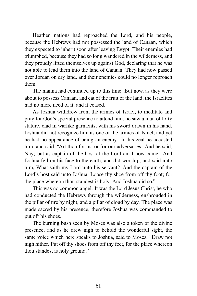Heathen nations had reproached the Lord, and his people, because the Hebrews had not possessed the land of Canaan, which they expected to inherit soon after leaving Egypt. Their enemies had triumphed, because they had so long wandered in the wilderness, and they proudly lifted themselves up against God, declaring that he was not able to lead them into the land of Canaan. They had now passed over Jordan on dry land, and their enemies could no longer reproach them.

The manna had continued up to this time. But now, as they were about to possess Canaan, and eat of the fruit of the land, the Israelites had no more need of it, and it ceased.

As Joshua withdrew from the armies of Israel, to meditate and pray for God's special presence to attend him, he saw a man of lofty stature, clad in warlike garments, with his sword drawn in his hand. Joshua did not recognize him as one of the armies of Israel, and yet he had no appearance of being an enemy. In his zeal he accosted him, and said, "Art thou for us, or for our adversaries. And he said, Nay; but as captain of the host of the Lord am I now come. And Joshua fell on his face to the earth, and did worship, and said unto him, What saith my Lord unto his servant? And the captain of the Lord's host said unto Joshua, Loose thy shoe from off thy foot; for the place whereon thou standest is holy. And Joshua did so."

This was no common angel. It was the Lord Jesus Christ, he who had conducted the Hebrews through the wilderness, enshrouded in the pillar of fire by night, and a pillar of cloud by day. The place was made sacred by his presence, therefore Joshua was commanded to put off his shoes.

The burning bush seen by Moses was also a token of the divine presence, and as he drew nigh to behold the wonderful sight, the same voice which here speaks to Joshua, said to Moses, "Draw not nigh hither. Put off thy shoes from off thy feet, for the place whereon thou standest is holy ground."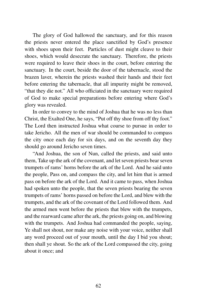The glory of God hallowed the sanctuary, and for this reason the priests never entered the place sanctified by God's presence with shoes upon their feet. Particles of dust might cleave to their shoes, which would desecrate the sanctuary. Therefore, the priests were required to leave their shoes in the court, before entering the sanctuary. In the court, beside the door of the tabernacle, stood the brazen laver, wherein the priests washed their hands and their feet before entering the tabernacle, that all impurity might be removed, "that they die not." All who officiated in the sanctuary were required of God to make special preparations before entering where God's glory was revealed.

In order to convey to the mind of Joshua that he was no less than Christ, the Exalted One, he says, "Put off thy shoe from off thy foot." The Lord then instructed Joshua what course to pursue in order to take Jericho. All the men of war should be commanded to compass the city once each day for six days, and on the seventh day they should go around Jericho seven times.

"And Joshua, the son of Nun, called the priests, and said unto them, Take up the ark of the covenant, and let seven priests bear seven trumpets of rams' horns before the ark of the Lord. And he said unto the people, Pass on, and compass the city, and let him that is armed pass on before the ark of the Lord. And it came to pass, when Joshua had spoken unto the people, that the seven priests bearing the seven trumpets of rams' horns passed on before the Lord, and blew with the trumpets, and the ark of the covenant of the Lord followed them. And the armed men went before the priests that blew with the trumpets, and the rearward came after the ark, the priests going on, and blowing with the trumpets. And Joshua had commanded the people, saying, Ye shall not shout, nor make any noise with your voice, neither shall any word proceed out of your mouth, until the day I bid you shout; then shall ye shout. So the ark of the Lord compassed the city, going about it once; and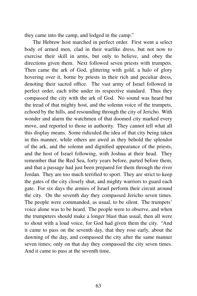they came into the camp, and lodged in the camp."

The Hebrew host marched in perfect order. First went a select body of armed men, clad in their warlike dress, but not now to exercise their skill in arms, but only to believe, and obey the directions given them. Next followed seven priests with trumpets. Then came the ark of God, glittering with gold, a halo of glory hovering over it, borne by priests in their rich and peculiar dress, denoting their sacred office. The vast army of Israel followed in perfect order, each tribe under its respective standard. Thus they compassed the city with the ark of God. No sound was heard but the tread of that mighty host, and the solemn voice of the trumpets, echoed by the hills, and resounding through the city of Jericho. With wonder and alarm the watchmen of that doomed city marked every move, and reported to those in authority. They cannot tell what all this display means. Some ridiculed the idea of that city being taken in this manner, while others are awed as they behold the splendor of the ark, and the solemn and dignified appearance of the priests, and the host of Israel following, with Joshua at their head. They remember that the Red Sea, forty years before, parted before them, and that a passage had just been prepared for them through the river Jordan. They are too much terrified to sport. They are strict to keep the gates of the city closely shut, and mighty warriors to guard each gate. For six days the armies of Israel perform their circuit around the city. On the seventh day they compassed Jericho seven times. The people were commanded, as usual, to be silent. The trumpets' voice alone was to be heard. The people were to observe, and when the trumpeters should make a longer blast than usual, then all were to shout with a loud voice, for God had given them the city. "And it came to pass on the seventh day, that they rose early, about the dawning of the day, and compassed the city after the same manner seven times; only on that day they compassed the city seven times. And it came to pass at the seventh time,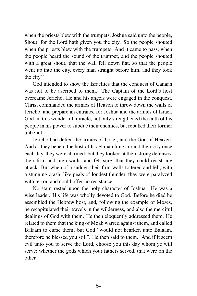when the priests blew with the trumpets, Joshua said unto the people, Shout; for the Lord hath given you the city. So the people shouted when the priests blew with the trumpets. And it came to pass, when the people heard the sound of the trumpet, and the people shouted with a great shout, that the wall fell down flat, so that the people went up into the city, every man straight before him, and they took the city."

God intended to show the Israelites that the conquest of Canaan was not to be ascribed to them. The Captain of the Lord's host overcame Jericho. He and his angels were engaged in the conquest. Christ commanded the armies of Heaven to throw down the walls of Jericho, and prepare an entrance for Joshua and the armies of Israel. God, in this wonderful miracle, not only strengthened the faith of his people in his power to subdue their enemies, but rebuked their former unbelief.

Jericho had defied the armies of Israel, and the God of Heaven. And as they beheld the host of Israel marching around their city once each day, they were alarmed; but they looked at their strong defenses, their firm and high walls, and felt sure, that they could resist any attack. But when of a sudden their firm walls tottered and fell, with a stunning crash, like peals of loudest thunder, they were paralyzed with terror, and could offer no resistance.

No stain rested upon the holy character of Joshua. He was a wise leader. His life was wholly devoted to God. Before he died he assembled the Hebrew host, and, following the example of Moses, he recapitulated their travels in the wilderness, and also the merciful dealings of God with them. He then eloquently addressed them. He related to them that the king of Moab warred against them, and called Balaam to curse them; but God "would not hearken unto Balaam, therefore he blessed you still". He then said to them, "And if it seem evil unto you to serve the Lord, choose you this day whom ye will serve; whether the gods which your fathers served, that were on the other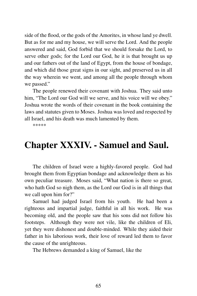side of the flood, or the gods of the Amorites, in whose land ye dwell. But as for me and my house, we will serve the Lord. And the people answered and said, God forbid that we should forsake the Lord, to serve other gods; for the Lord our God, he it is that brought us up and our fathers out of the land of Egypt, from the house of bondage, and which did those great signs in our sight, and preserved us in all the way wherein we went, and among all the people through whom we passed."

The people renewed their covenant with Joshua. They said unto him, "The Lord our God will we serve, and his voice will we obey." Joshua wrote the words of their covenant in the book containing the laws and statutes given to Moses. Joshua was loved and respected by all Israel, and his death was much lamented by them.

\*\*\*\*\*

#### Chapter XXXIV. - Samuel and Saul.

The children of Israel were a highly-favored people. God had brought them from Egyptian bondage and acknowledge them as his own peculiar treasure. Moses said, "What nation is there so great, who hath God so nigh them, as the Lord our God is in all things that we call upon him for?"

Samuel had judged Israel from his youth. He had been a righteous and impartial judge, faithful in all his work. He was becoming old, and the people saw that his sons did not follow his footsteps. Although they were not vile, like the children of Eli, yet they were dishonest and double-minded. While they aided their father in his laborious work, their love of reward led them to favor the cause of the unrighteous.

The Hebrews demanded a king of Samuel, like the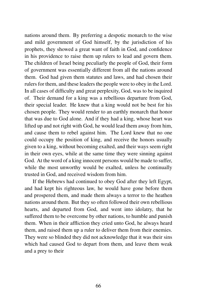nations around them. By preferring a despotic monarch to the wise and mild government of God himself, by the jurisdiction of his prophets, they showed a great want of faith in God, and confidence in his providence to raise them up rulers to lead and govern them. The children of Israel being peculiarly the people of God, their form of government was essentially different from all the nations around them. God had given them statutes and laws, and had chosen their rulers for them, and these leaders the people were to obey in the Lord. In all cases of difficulty and great perplexity, God, was to be inquired of. Their demand for a king was a rebellious departure from God, their special leader. He knew that a king would not be best for his chosen people. They would render to an earthly monarch that honor that was due to God alone. And if they had a king, whose heart was lifted up and not right with God, he would lead them away from him, and cause them to rebel against him. The Lord knew that no one could occupy the position of king, and receive the honors usually given to a king, without becoming exalted, and their ways seem right in their own eyes, while at the same time they were sinning against God. At the word of a king innocent persons would be made to suffer, while the most unworthy would be exalted, unless he continually trusted in God, and received wisdom from him.

If the Hebrews had continued to obey God after they left Egypt, and had kept his righteous law, he would have gone before them and prospered them, and made them always a terror to the heathen nations around them. But they so often followed their own rebellious hearts, and departed from God, and went into idolatry, that he suffered them to be overcome by other nations, to humble and punish them. When in their affliction they cried unto God, he always heard them, and raised them up a ruler to deliver them from their enemies. They were so blinded they did not acknowledge that it was their sins which had caused God to depart from them, and leave them weak and a prey to their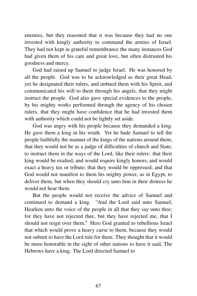enemies, but they reasoned that it was because they had no one invested with kingly authority to command the armies of Israel. They had not kept in grateful remembrance the many instances God had given them of his care and great love, but often distrusted his goodness and mercy.

God had raised up Samuel to judge Israel. He was honored by all the people. God was to be acknowledged as their great Head, yet he designated their rulers, and imbued them with his Spirit, and communicated his will to them through his angels, that they might instruct the people. God also gave special evidences to the people, by his mighty works performed through the agency of his chosen rulers, that they might have confidence that he had invested them with authority which could not be lightly set aside.

God was angry with his people because they demanded a king. He gave them a king in his wrath. Yet he bade Samuel to tell the people faithfully the manner of the kings of the nations around them; that they would not be as a judge of difficulties of church and State, to instruct them in the ways of the Lord, like their rulers: that their king would be exalted, and would require kingly honors, and would exact a heavy tax or tribute; that they would be oppressed; and that God would not manifest to them his mighty power, as in Egypt, to deliver them, but when they should cry unto him in their distress he would not hear them.

But the people would not receive the advice of Samuel and continued to demand a king. "And the Lord said unto Samuel, Hearken unto the voice of the people in all that they say unto thee; for they have not rejected thee, but they have rejected me, that I should not reign over them." Here God granted to rebellious Israel that which would prove a heavy curse to them, because they would not submit to have the Lord rule for them. They thought that it would be more honorable in the sight of other nations to have it said, The Hebrews have a king. The Lord directed Samuel to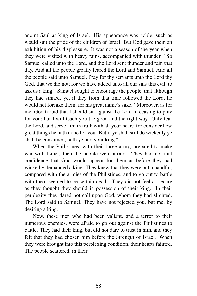anoint Saul as king of Israel. His appearance was noble, such as would suit the pride of the children of Israel. But God gave them an exhibition of his displeasure. It was not a season of the year when they were visited with heavy rains, accompanied with thunder. "So Samuel called unto the Lord, and the Lord sent thunder and rain that day. And all the people greatly feared the Lord and Samuel. And all the people said unto Samuel, Pray for thy servants unto the Lord thy God, that we die not; for we have added unto all our sins this evil, to ask us a king." Samuel sought to encourage the people, that although they had sinned, yet if they from that time followed the Lord, he would not forsake them, for his great name's sake. "Moreover, as for me, God forbid that I should sin against the Lord in ceasing to pray for you; but I will teach you the good and the right way. Only fear the Lord, and serve him in truth with all your heart; for consider how great things he hath done for you. But if ye shall still do wickedly ye shall be consumed, both ye and your king."

When the Philistines, with their large army, prepared to make war with Israel, then the people were afraid. They had not that confidence that God would appear for them as before they had wickedly demanded a king. They knew that they were but a handful, compared with the armies of the Philistines, and to go out to battle with them seemed to be certain death. They did not feel as secure as they thought they should in possession of their king. In their perplexity they dared not call upon God, whom they had slighted. The Lord said to Samuel, They have not rejected you, but me, by desiring a king.

Now, these men who had been valiant, and a terror to their numerous enemies, were afraid to go out against the Philistines to battle. They had their king, but did not dare to trust in him, and they felt that they had chosen him before the Strength of Israel. When they were brought into this perplexing condition, their hearts fainted. The people scattered, in their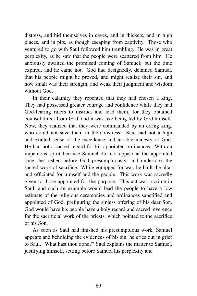distress, and hid themselves in caves, and in thickets, and in high places, and in pits, as though escaping from captivity. Those who ventured to go with Saul followed him trembling. He was in great perplexity, as he saw that the people were scattered from him. He anxiously awaited the promised coming of Samuel; but the time expired, and he came not. God had designedly, detained Samuel, that his people might be proved, and might realize their sin, and how small was their strength, and weak their judgment and wisdom without God.

In their calamity they repented that they had chosen a king. They had possessed greater courage and confidence while they had God-fearing rulers to instruct and lead them, for they obtained counsel direct from God, and it was like being led by God himself. Now, they realized that they were commanded by an erring king, who could not save them in their distress. Saul had not a high and exalted sense of the excellence and terrible majesty of God. He had not a sacred regard for his appointed ordinances. With an impetuous spirit because Samuel did not appear at the appointed time, he rushed before God presumptuously, and undertook the sacred work of sacrifice. While equipped for war, he built the altar and officiated for himself and the people. This work was sacredly given to those appointed for the purpose. This act was a crime in Saul, and such an example would lead the people to have a low estimate of the religious ceremonies and ordinances sanctified and appointed of God, prefiguring the sinless offering of his dear Son. God would have his people have a holy regard and sacred reverence for the sacrificial work of the priests, which pointed to the sacrifice of his Son.

As soon as Saul had finished his presumptuous work, Samuel appears and beholding the evidences of his sin, he cries out in grief to Saul, "What hast thou done?" Saul explains the matter to Samuel, justifying himself, setting before Samuel his perplexity and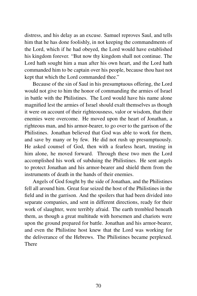distress, and his delay as an excuse. Samuel reproves Saul, and tells him that he has done foolishly, in not keeping the commandments of the Lord, which if he had obeyed, the Lord would have established his kingdom forever. "But now thy kingdom shall not continue. The Lord hath sought him a man after his own heart, and the Lord hath commanded him to be captain over his people, because thou hast not kept that which the Lord commanded thee."

Because of the sin of Saul in his presumptuous offering, the Lord would not give to him the honor of commanding the armies of Israel in battle with the Philistines. The Lord would have his name alone magnified lest the armies of Israel should exalt themselves as though it were on account of their righteousness, valor or wisdom, that their enemies were overcome. He moved upon the heart of Jonathan, a righteous man, and his armor-bearer, to go over to the garrison of the Philistines. Jonathan believed that God was able to work for them, and save by many or by few. He did not rush up presumptuously. He asked counsel of God, then with a fearless heart, trusting in him alone, he moved forward. Through these two men the Lord accomplished his work of subduing the Philistines. He sent angels to protect Jonathan and his armor-bearer and shield them from the instruments of death in the hands of their enemies.

Angels of God fought by the side of Jonathan, and the Philistines fell all around him. Great fear seized the host of the Philistines in the field and in the garrison. And the spoilers that had been divided into separate companies, and sent in different directions, ready for their work of slaughter, were terribly afraid. The earth trembled beneath them, as though a great multitude with horsemen and chariots were upon the ground prepared for battle. Jonathan and his armor-bearer, and even the Philistine host knew that the Lord was working for the deliverance of the Hebrews. The Philistines became perplexed. **There**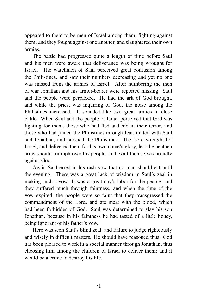appeared to them to be men of Israel among them, fighting against them; and they fought against one another, and slaughtered their own armies.

The battle had progressed quite a length of time before Saul and his men were aware that deliverance was being wrought for Israel. The watchmen of Saul perceived great confusion among the Philistines, and saw their numbers decreasing and yet no one was missed from the armies of Israel. After numbering the men of war Jonathan and his armor-bearer were reported missing. Saul and the people were perplexed. He had the ark of God brought, and while the priest was inquiring of God, the noise among the Philistines increased. It sounded like two great armies in close battle. When Saul and the people of Israel perceived that God was fighting for them, those who had fled and hid in their terror, and those who had joined the Philistines through fear, united with Saul and Jonathan, and pursued the Philistines. The Lord wrought for Israel, and delivered them for his own name's glory, lest the heathen army should triumph over his people, and exalt themselves proudly against God.

Again Saul erred in his rash vow that no man should eat until the evening. There was a great lack of wisdom in Saul's zeal in making such a vow. It was a great day's labor for the people, and they suffered much through faintness, and when the time of the vow expired, the people were so faint that they transgressed the commandment of the Lord, and ate meat with the blood, which had been forbidden of God. Saul was determined to slay his son Jonathan, because in his faintness he had tasted of a little honey, being ignorant of his father's vow.

Here was seen Saul's blind zeal, and failure to judge righteously and wisely in difficult matters. He should have reasoned thus: God has been pleased to work in a special manner through Jonathan, thus choosing him among the children of Israel to deliver them; and it would be a crime to destroy his life,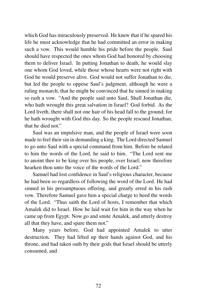which God has miraculously preserved. He knew that if he spared his life he must acknowledge that he had committed an error in making such a vow. This would humble his pride before the people. Saul should have respected the ones whom God had honored by choosing them to deliver Israel. In putting Jonathan to death, he would slay one whom God loved, while those whose hearts were not right with God he would preserve alive. God would not suffer Jonathan to die, but led the people to oppose Saul's judgment, although he were a ruling monarch, that he might be convinced that he sinned in making so rash a vow. "And the people said unto Saul, Shall Jonathan die, who hath wrought this great salvation in Israel? God forbid. As the Lord liveth, there shall not one hair of his head fall to the ground; for he hath wrought with God this day. So the people rescued Jonathan, that he died not."

Saul was an impulsive man, and the people of Israel were soon made to feel their sin in demanding a king. The Lord directed Samuel to go unto Saul with a special command from him. Before he related to him the words of the Lord, he said to him. "The Lord sent me to anoint thee to be king over his people, over Israel; now therefore hearken thou unto the voice of the words of the Lord."

Samuel had lost confidence in Saul's religious character, because he had been so regardless of following the word of the Lord. He had sinned in his presumptuous offering, and greatly erred in his rash vow. Therefore Samuel gave him a special charge to heed the words of the Lord. "Thus saith the Lord of hosts, I remember that which Amalek did to Israel. How he laid wait for him in the way when he came up from Egypt. Now go and smite Amalek, and utterly destroy all that they have, and spare them not."

Many years before, God had appointed Amalek to utter destruction. They had lifted up their hands against God, and his throne, and had taken oath by their gods that Israel should be utterly consumed, and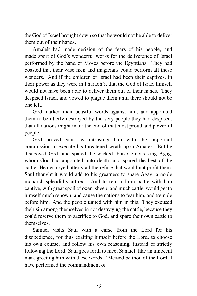the God of Israel brought down so that he would not be able to deliver them out of their hands.

Amalek had made derision of the fears of his people, and made sport of God's wonderful works for the deliverance of Israel performed by the hand of Moses before the Egyptians. They had boasted that their wise men and magicians could perform all those wonders. And if the children of Israel had been their captives, in their power as they were in Pharaoh's, that the God of Israel himself would not have been able to deliver them out of their hands. They despised Israel, and vowed to plague them until there should not be one left.

God marked their boastful words against him, and appointed them to be utterly destroyed by the very people they had despised, that all nations might mark the end of that most proud and powerful people.

God proved Saul by intrusting him with the important commission to execute his threatened wrath upon Amalek. But he disobeyed God, and spared the wicked, blasphemous king Agag, whom God had appointed unto death, and spared the best of the cattle. He destroyed utterly all the refuse that would not profit them. Saul thought it would add to his greatness to spare Agag, a noble monarch splendidly attired. And to return from battle with him captive, with great spoil of oxen, sheep, and much cattle, would get to himself much renown, and cause the nations to fear him, and tremble before him. And the people united with him in this. They excused their sin among themselves in not destroying the cattle, because they could reserve them to sacrifice to God, and spare their own cattle to themselves.

Samuel visits Saul with a curse from the Lord for his disobedience, for thus exalting himself before the Lord, to choose his own course, and follow his own reasoning, instead of strictly following the Lord. Saul goes forth to meet Samuel, like an innocent man, greeting him with these words, "Blessed be thou of the Lord. I have performed the commandment of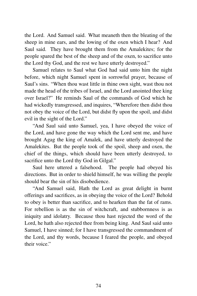the Lord. And Samuel said. What meaneth then the bleating of the sheep in mine ears, and the lowing of the oxen which I hear? And Saul said. They have brought them from the Amalekites; for the people spared the best of the sheep and of the oxen, to sacrifice unto the Lord thy God, and the rest we have utterly destroyed."

Samuel relates to Saul what God had said unto him the night before, which night Samuel spent in sorrowful prayer, because of Saul's sins. "When thou wast little in thine own sight, wast thou not made the head of the tribes of Israel, and the Lord anointed thee king over Israel?" He reminds Saul of the commands of God which he had wickedly transgressed, and inquires, "Wherefore then didst thou not obey the voice of the Lord, but didst fly upon the spoil, and didst evil in the sight of the Lord."

"And Saul said unto Samuel, yea, I have obeyed the voice of the Lord, and have gone the way which the Lord sent me, and have brought Agag the king of Amalek, and have utterly destroyed the Amalekites. But the people took of the spoil, sheep and oxen, the chief of the things, which should have been utterly destroyed, to sacrifice unto the Lord thy God in Gilgal."

Saul here uttered a falsehood. The people had obeyed his directions. But in order to shield himself, he was willing the people should bear the sin of his disobedience.

"And Samuel said, Hath the Lord as great delight in burnt offerings and sacrifices, as in obeying the voice of the Lord? Behold to obey is better than sacrifice, and to hearken than the fat of rams. For rebellion is as the sin of witchcraft, and stubbornness is as iniquity and idolatry. Because thou hast rejected the word of the Lord, he hath also rejected thee from being king. And Saul said unto Samuel, I have sinned; for I have transgressed the commandment of the Lord, and thy words, because I feared the people, and obeyed their voice."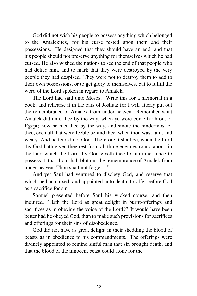God did not wish his people to possess anything which belonged to the Amalekites, for his curse rested upon them and their possessions. He designed that they should have an end, and that his people should not preserve anything for themselves which he had cursed. He also wished the nations to see the end of that people who had defied him, and to mark that they were destroyed by the very people they had despised. They were not to destroy them to add to their own possessions, or to get glory to themselves, but to fulfill the word of the Lord spoken in regard to Amalek.

The Lord had said unto Moses, "Write this for a memorial in a book, and rehearse it in the ears of Joshua; for I will utterly put out the remembrance of Amalek from under heaven. Remember what Amalek did unto thee by the way, when ye were come forth out of Egypt; how he met thee by the way, and smote the hindermost of thee, even all that were feeble behind thee, when thou wast faint and weary. And he feared not God. Therefore it shall be, when the Lord thy God hath given thee rest from all thine enemies round about, in the land which the Lord thy God giveth thee for an inheritance to possess it, that thou shalt blot out the remembrance of Amalek from under heaven. Thou shalt not forget it."

And yet Saul had ventured to disobey God, and reserve that which he had cursed, and appointed unto death, to offer before God as a sacrifice for sin.

Samuel presented before Saul his wicked course, and then inquired, "Hath the Lord as great delight in burnt-offerings and sacrifices as in obeying the voice of the Lord?" It would have been better had he obeyed God, than to make such provisions for sacrifices and offerings for their sins of disobedience.

God did not have as great delight in their shedding the blood of beasts as in obedience to his commandments. The offerings were divinely appointed to remind sinful man that sin brought death, and that the blood of the innocent beast could atone for the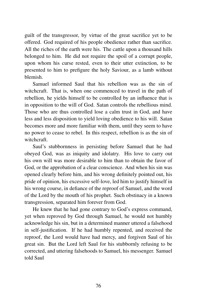guilt of the transgressor, by virtue of the great sacrifice yet to be offered. God required of his people obedience rather than sacrifice. All the riches of the earth were his. The cattle upon a thousand hills belonged to him. He did not require the spoil of a corrupt people, upon whom his curse rested, even to their utter extinction, to be presented to him to prefigure the holy Saviour, as a lamb without blemish.

Samuel informed Saul that his rebellion was as the sin of witchcraft. That is, when one commenced to travel in the path of rebellion, he yields himself to be controlled by an influence that is in opposition to the will of God. Satan controls the rebellious mind. Those who are thus controlled lose a calm trust in God, and have less and less disposition to yield loving obedience to his will. Satan becomes more and more familiar with them, until they seem to have no power to cease to rebel. In this respect, rebellion is as the sin of witchcraft.

Saul's stubbornness in persisting before Samuel that he had obeyed God, was as iniquity and idolatry. His love to carry out his own will was more desirable to him than to obtain the favor of God, or the approbation of a clear conscience. And when his sin was opened clearly before him, and his wrong definitely pointed out, his pride of opinion, his excessive self-love, led him to justify himself in his wrong course, in defiance of the reproof of Samuel, and the word of the Lord by the mouth of his prophet. Such obstinacy in a known transgression, separated him forever from God.

He knew that he had gone contrary to God's express command, yet when reproved by God through Samuel, he would not humbly acknowledge his sin, but in a determined manner uttered a falsehood in self-justification. If he had humbly repented, and received the reproof, the Lord would have had mercy, and forgiven Saul of his great sin. But the Lord left Saul for his stubbornly refusing to be corrected, and uttering falsehoods to Samuel, his messenger. Samuel told Saul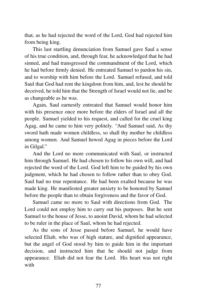that, as he had rejected the word of the Lord, God had rejected him from being king.

This last startling denunciation from Samuel gave Saul a sense of his true condition, and, through fear, he acknowledged that he had sinned, and had transgressed the commandment of the Lord, which he had before firmly denied. He entreated Samuel to pardon his sin, and to worship with him before the Lord. Samuel refused, and told Saul that God had rent the kingdom from him, and, lest he should be deceived, he told him that the Strength of Israel would not lie, and be as changeable as he was.

Again, Saul earnestly entreated that Samuel would honor him with his presence once more before the elders of Israel and all the people. Samuel yielded to his request, and called for the cruel king Agag, and he came to him very politely. "And Samuel said, As thy sword hath made women childless, so shall thy mother be childless among women. And Samuel hewed Agag in pieces before the Lord in Gilgal."

And the Lord no more communicated with Saul, or instructed him through Samuel. He had chosen to follow his own will, and had rejected the word of the Lord. God left him to be guided by his own judgment, which he had chosen to follow rather than to obey God. Saul had no true repentance. He had been exalted because he was made king. He manifested greater anxiety to be honored by Samuel before the people than to obtain forgiveness and the favor of God.

Samuel came no more to Saul with directions from God. The Lord could not employ him to carry out his purposes. But he sent Samuel to the house of Jesse, to anoint David, whom he had selected to be ruler in the place of Saul, whom he had rejected.

As the sons of Jesse passed before Samuel, he would have selected Eliab, who was of high stature, and dignified appearance, but the angel of God stood by him to guide him in the important decision, and instructed him that he should not judge from appearance. Eliab did not fear the Lord. His heart was not right with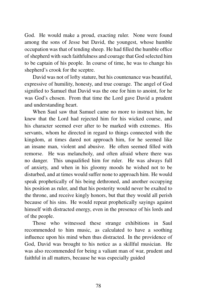God. He would make a proud, exacting ruler. None were found among the sons of Jesse but David, the youngest, whose humble occupation was that of tending sheep. He had filled the humble office of shepherd with such faithfulness and courage that God selected him to be captain of his people. In course of time, he was to change his shepherd's crook for the sceptre.

David was not of lofty stature, but his countenance was beautiful, expressive of humility, honesty, and true courage. The angel of God signified to Samuel that David was the one for him to anoint, for he was God's chosen. From that time the Lord gave David a prudent and understanding heart.

When Saul saw that Samuel came no more to instruct him, he knew that the Lord had rejected him for his wicked course, and his character seemed ever after to be marked with extremes. His servants, whom he directed in regard to things connected with the kingdom, at times dared not approach him, for he seemed like an insane man, violent and abusive. He often seemed filled with remorse. He was melancholy, and often afraid where there was no danger. This unqualified him for ruler. He was always full of anxiety, and when in his gloomy moods he wished not to be disturbed, and at times would suffer none to approach him. He would speak prophetically of his being dethroned, and another occupying his position as ruler, and that his posterity would never be exalted to the throne, and receive kingly honors, but that they would all perish because of his sins. He would repeat prophetically sayings against himself with distracted energy, even in the presence of his lords and of the people.

Those who witnessed these strange exhibitions in Saul recommended to him music, as calculated to have a soothing influence upon his mind when thus distracted. In the providence of God, David was brought to his notice as a skillful musician. He was also recommended for being a valiant man of war, prudent and faithful in all matters, because he was especially guided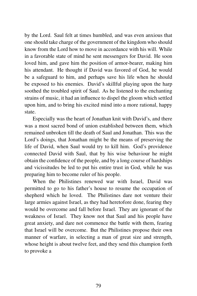by the Lord. Saul felt at times humbled, and was even anxious that one should take charge of the government of the kingdom who should know from the Lord how to move in accordance with his will. While in a favorable state of mind he sent messengers for David. He soon loved him, and gave him the position of armor-bearer, making him his attendant. He thought if David was favored of God, he would be a safeguard to him, and perhaps save his life when he should be exposed to his enemies. David's skillful playing upon the harp soothed the troubled spirit of Saul. As he listened to the enchanting strains of music, it had an influence to dispel the gloom which settled upon him, and to bring his excited mind into a more rational, happy state.

Especially was the heart of Jonathan knit with David's, and there was a most sacred bond of union established between them, which remained unbroken till the death of Saul and Jonathan. This was the Lord's doings, that Jonathan might be the means of preserving the life of David, when Saul would try to kill him. God's providence connected David with Saul, that by his wise behaviour he might obtain the confidence of the people, and by a long course of hardships and vicissitudes be led to put his entire trust in God, while he was preparing him to become ruler of his people.

When the Philistines renewed war with Israel, David was permitted to go to his father's house to resume the occupation of shepherd which he loved. The Philistines dare not venture their large armies against Israel, as they had heretofore done, fearing they would be overcome and fall before Israel. They are ignorant of the weakness of Israel. They know not that Saul and his people have great anxiety, and dare not commence the battle with them, fearing that Israel will be overcome. But the Philistines propose their own manner of warfare, in selecting a man of great size and strength, whose height is about twelve feet, and they send this champion forth to provoke a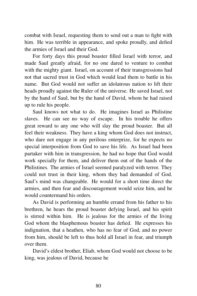combat with Israel, requesting them to send out a man to fight with him. He was terrible in appearance, and spoke proudly, and defied the armies of Israel and their God.

For forty days this proud boaster filled Israel with terror, and made Saul greatly afraid, for no one dared to venture to combat with the mighty giant. Israel, on account of their transgressions had not that sacred trust in God which would lead them to battle in his name. But God would not suffer an idolatrous nation to lift their heads proudly against the Ruler of the universe. He saved Israel, not by the hand of Saul, but by the hand of David, whom he had raised up to rule his people.

Saul knows not what to do. He imagines Israel as Philistine slaves. He can see no way of escape. In his trouble he offers great reward to any one who will slay the proud boaster. But all feel their weakness. They have a king whom God does not instruct, who dare not engage in any perilous enterprize, for he expects no special interposition from God to save his life. As Israel had been partaker with him in transgression, he had no hope that God would work specially for them, and deliver them out of the hands of the Philistines. The armies of Israel seemed paralyzed with terror. They could not trust in their king, whom they had demanded of God. Saul's mind was changeable. He would for a short time direct the armies, and then fear and discouragement would seize him, and he would countermand his orders.

As David is performing an humble errand from his father to his brethren, he hears the proud boaster defying Israel, and his spirit is stirred within him. He is jealous for the armies of the living God whom the blasphemous boaster has defied. He expresses his indignation, that a heathen, who has no fear of God, and no power from him, should be left to thus hold all Israel in fear, and triumph over them.

David's eldest brother, Eliab, whom God would not choose to be king, was jealous of David, because he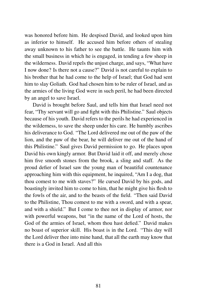was honored before him. He despised David, and looked upon him as inferior to himself. He accused him before others of stealing away unknown to his father to see the battle. He taunts him with the small business in which he is engaged, in tending a few sheep in the wilderness. David repels the unjust charge, and says, "What have I now done? Is there not a cause?" David is not careful to explain to his brother that he had come to the help of Israel; that God had sent him to slay Goliath. God had chosen him to be ruler of Israel, and as the armies of the living God were in such peril, he had been directed by an angel to save Israel.

David is brought before Saul, and tells him that Israel need not fear, "Thy servant will go and fight with this Philistine." Saul objects because of his youth. David refers to the perils he had experienced in the wilderness, to save the sheep under his care. He humbly ascribes his deliverance to God. "The Lord delivered me out of the paw of the lion, and the paw of the bear, he will deliver me out of the hand of this Philistine." Saul gives David permission to go. He places upon David his own kingly armor. But David laid it off, and merely chose him five smooth stones from the brook, a sling and staff. As the proud defier of Israel saw the young man of beautiful countenance approaching him with this equipment, he inquired, "Am I a dog, that thou comest to me with staves?" He cursed David by his gods, and boastingly invited him to come to him, that he might give his flesh to the fowls of the air, and to the beasts of the field. "Then said David to the Philistine, Thou comest to me with a sword, and with a spear, and with a shield." But I come to thee not in display of armor, nor with powerful weapons, but "in the name of the Lord of hosts, the God of the armies of Israel, whom thou hast defied." David makes no boast of superior skill. His boast is in the Lord. "This day will the Lord deliver thee into mine hand, that all the earth may know that there is a God in Israel. And all this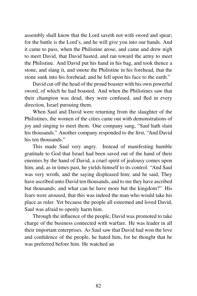assembly shall know that the Lord saveth not with sword and spear; for the battle is the Lord's, and he will give you into our hands. And it came to pass, when the Philistine arose, and came and drew nigh to meet David, that David hasted, and ran toward the army to meet the Philistine. And David put his hand in his bag, and took thence a stone, and slang it, and smote the Philistine in his forehead, that the stone sunk into his forehead; and he fell upon his face to the earth."

David cut off the head of the proud boaster with his own powerful sword, of which he had boasted. And when the Philistines saw that their champion was dead, they were confused, and fled in every direction, Israel pursuing them.

When Saul and David were returning from the slaughter of the Philistines, the women of the cities came out with demonstrations of joy and singing to meet them. One company sang, "Saul hath slain his thousands." Another company responded to the first, "And David his ten thousands."

This made Saul very angry. Instead of manifesting humble gratitude to God that Israel had been saved out of the hand of their enemies by the hand of David, a cruel spirit of jealousy comes upon him, and, as in times past, he yields himself to its control. "And Saul was very wroth, and the saying displeased him; and he said, They have ascribed unto David ten thousands, and to me they have ascribed but thousands; and what can he have more but the kingdom?" His fears were aroused, that this was indeed the man who would take his place as ruler. Yet because the people all esteemed and loved David, Saul was afraid to openly harm him.

Through the influence of the people, David was promoted to take charge of the business connected with warfare. He was leader in all their important enterprises. As Saul saw that David had won the love and confidence of the people, he hated him, for he thought that he was preferred before him. He watched an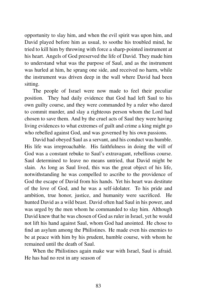opportunity to slay him, and when the evil spirit was upon him, and David played before him as usual, to soothe his troubled mind, he tried to kill him by throwing with force a sharp-pointed instrument at his heart. Angels of God preserved the life of David. They made him to understand what was the purpose of Saul, and as the instrument was hurled at him, he sprang one side, and received no harm, while the instrument was driven deep in the wall where David had been sitting.

The people of Israel were now made to feel their peculiar position. They had daily evidence that God had left Saul to his own guilty course, and they were commanded by a ruler who dared to commit murder, and slay a righteous person whom the Lord had chosen to save them. And by the cruel acts of Saul they were having living evidences to what extremes of guilt and crime a king might go who rebelled against God, and was governed by his own passions.

David had obeyed Saul as a servant, and his conduct was humble. His life was irreproachable. His faithfulness in doing the will of God was a constant rebuke to Saul's extravagant, rebellious course. Saul determined to leave no means untried, that David might be slain. As long as Saul lived, this was the great object of his life, notwithstanding he was compelled to ascribe to the providence of God the escape of David from his hands. Yet his heart was destitute of the love of God, and he was a self-idolater. To his pride and ambition, true honor, justice, and humanity were sacrificed. He hunted David as a wild beast. David often had Saul in his power, and was urged by the men whom he commanded to slay him. Although David knew that he was chosen of God as ruler in Israel, yet he would not lift his hand against Saul, whom God had anointed. He chose to find an asylum among the Philistines. He made even his enemies to be at peace with him by his prudent, humble course, with whom he remained until the death of Saul.

When the Philistines again make war with Israel, Saul is afraid. He has had no rest in any season of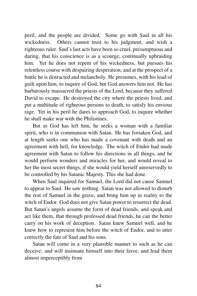peril, and the people are divided. Some go with Saul in all his wickedness. Others cannot trust to his judgment, and wish a righteous ruler. Saul's last acts have been so cruel, presumptuous and daring, that his conscience is as a scourge, continually upbraiding him. Yet he does not repent of his wickedness, but pursues his relentless course with despairing desperation, and at the prospect of a battle he is distracted and melancholy. He presumes, with his load of guilt upon him, to inquire of God, but God answers him not. He has barbarously massacred the priests of the Lord, because they suffered David to escape. He destroyed the city where the priests lived, and put a multitude of righteous persons to death, to satisfy his envious rage. Yet in his peril he dares to approach God, to inquire whether he shall make war with the Philistines.

But as God has left him, he seeks a woman with a familiar spirit, who is in communion with Satan. He has forsaken God, and at length seeks one who has made a covenant with death and an agreement with hell, for knowledge. The witch of Endor had made agreement with Satan to follow his directions in all things, and he would perform wonders and miracles for her, and would reveal to her the most secret things, if she would yield herself unreservedly to be controlled by his Satanic Majesty. This she had done.

When Saul inquired for Samuel, the Lord did not cause Samuel to appear to Saul. He saw nothing. Satan was not allowed to disturb the rest of Samuel in the grave, and bring him up in reality to the witch of Endor. God does not give Satan power to resurrect the dead. But Satan's angels assume the form of dead friends, and speak and act like them, that through professed dead friends, he can the better carry on his work of deception. Satan knew Samuel well, and he knew how to represent him before the witch of Endor, and to utter correctly the fate of Saul and his sons.

Satan will come in a very plausible manner to such as he can deceive; and will insinuate himself into their favor, and lead them almost imperceptibly from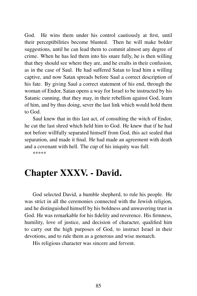God. He wins them under his control cautiously at first, until their perceptibilities become blunted. Then he will make bolder suggestions, until he can lead them to commit almost any degree of crime. When he has led them into his snare fully, he is then willing that they should see where they are, and he exults in their confusion, as in the case of Saul. He had suffered Satan to lead him a willing captive, and now Satan spreads before Saul a correct description of his fate. By giving Saul a correct statement of his end, through the woman of Endor, Satan opens a way for Israel to be instructed by his Satanic cunning, that they may, in their rebellion against God, learn of him, and by thus doing, sever the last link which would hold them to God.

Saul knew that in this last act, of consulting the witch of Endor, he cut the last shred which held him to God. He knew that if he had not before willfully separated himself from God, this act sealed that separation, and made it final. He had made an agreement with death and a covenant with hell. The cup of his iniquity was full.

\*\*\*\*\*

## Chapter XXXV. - David.

God selected David, a humble shepherd, to rule his people. He was strict in all the ceremonies connected with the Jewish religion, and he distinguished himself by his boldness and unwavering trust in God. He was remarkable for his fidelity and reverence. His firmness, humility, love of justice, and decision of character, qualified him to carry out the high purposes of God, to instruct Israel in their devotions, and to rule them as a generous and wise monarch.

His religious character was sincere and fervent.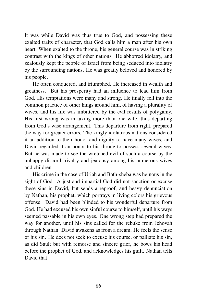It was while David was thus true to God, and possessing these exalted traits of character, that God calls him a man after his own heart. When exalted to the throne, his general course was in striking contrast with the kings of other nations. He abhorred idolatry, and zealously kept the people of Israel from being seduced into idolatry by the surrounding nations. He was greatly beloved and honored by his people.

He often conquered, and triumphed. He increased in wealth and greatness. But his prosperity had an influence to lead him from God. His temptations were many and strong. He finally fell into the common practice of other kings around him, of having a plurality of wives, and his life was imbittered by the evil results of polygamy. His first wrong was in taking more than one wife, thus departing from God's wise arrangement. This departure from right, prepared the way for greater errors. The kingly idolatrous nations considered it an addition to their honor and dignity to have many wives, and David regarded it an honor to his throne to possess several wives. But he was made to see the wretched evil of such a course by the unhappy discord, rivalry and jealousy among his numerous wives and children.

His crime in the case of Uriah and Bath-sheba was heinous in the sight of God. A just and impartial God did not sanction or excuse these sins in David, but sends a reproof, and heavy denunciation by Nathan, his prophet, which portrays in living colors his grievous offense. David had been blinded to his wonderful departure from God. He had excused his own sinful course to himself, until his ways seemed passable in his own eyes. One wrong step had prepared the way for another, until his sins called for the rebuke from Jehovah through Nathan. David awakens as from a dream. He feels the sense of his sin. He does not seek to excuse his course, or palliate his sin, as did Saul; but with remorse and sincere grief, he bows his head before the prophet of God, and acknowledges his guilt. Nathan tells David that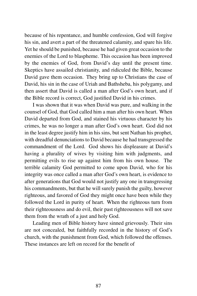because of his repentance, and humble confession, God will forgive his sin, and avert a part of the threatened calamity, and spare his life. Yet he should be punished, because he had given great occasion to the enemies of the Lord to blaspheme. This occasion has been improved by the enemies of God, from David's day until the present time. Skeptics have assailed christianity, and ridiculed the Bible, because David gave them occasion. They bring up to Christians the case of David, his sin in the case of Uriah and Bathsheba, his polygamy, and then assert that David is called a man after God's own heart, and if the Bible record is correct, God justified David in his crimes.

I was shown that it was when David was pure, and walking in the counsel of God, that God called him a man after his own heart. When David departed from God, and stained his virtuous character by his crimes, he was no longer a man after God's own heart. God did not in the least degree justify him in his sins, but sent Nathan his prophet, with dreadful denunciations to David because he had transgressed the commandment of the Lord. God shows his displeasure at David's having a plurality of wives by visiting him with judgments, and permitting evils to rise up against him from his own house. The terrible calamity God permitted to come upon David, who for his integrity was once called a man after God's own heart, is evidence to after generations that God would not justify any one in transgressing his commandments, but that he will surely punish the guilty, however righteous, and favored of God they might once have been while they followed the Lord in purity of heart. When the righteous turn from their righteousness and do evil, their past righteousness will not save them from the wrath of a just and holy God.

Leading men of Bible history have sinned grievously. Their sins are not concealed, but faithfully recorded in the history of God's church, with the punishment from God, which followed the offenses. These instances are left on record for the benefit of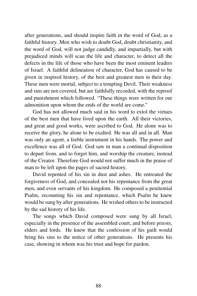after generations, and should inspire faith in the word of God, as a faithful history. Men who wish to doubt God, doubt christianity, and the word of God, will not judge candidly, and impartially, but with prejudiced minds will scan the life and character, to detect all the defects in the life of those who have been the most eminent leaders of Israel. A faithful delineation of character, God has caused to be given in inspired history, of the best and greatest men in their day. These men were mortal, subject to a tempting Devil. Their weakness and sins are not covered, but are faithfully recorded, with the reproof and punishment which followed. "These things were written for our admonition upon whom the ends of the world are come."

God has not allowed much said in his word to extol the virtues of the best men that have lived upon the earth. All their victories, and great and good works, were ascribed to God. He alone was to receive the glory, he alone to be exalted. He was all and in all. Man was only an agent, a feeble instrument in his hands. The power and excellence was all of God. God saw in man a continual disposition to depart from, and to forget him, and worship the creature, instead of the Creator. Therefore God would not suffer much in the praise of man to be left upon the pages of sacred history.

David repented of his sin in dust and ashes. He entreated the forgiveness of God, and concealed not his repentance from the great men, and even servants of his kingdom. He composed a penitential Psalm, recounting his sin and repentance, which Psalm he knew would be sung by after generations. He wished others to be instructed by the sad history of his life.

The songs which David composed were sung by all Israel, especially in the presence of the assembled court, and before priests, elders and lords. He knew that the confession of his guilt would bring his sins to the notice of other generations. He presents his case, showing in whom was his trust and hope for pardon.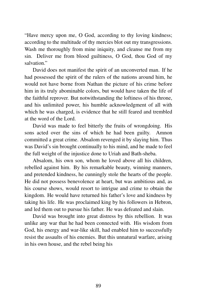"Have mercy upon me, O God, according to thy loving kindness; according to the multitude of thy mercies blot out my transgressions. Wash me thoroughly from mine iniquity, and cleanse me from my sin. Deliver me from blood guiltiness, O God, thou God of my salvation."

David does not manifest the spirit of an unconverted man. If he had possessed the spirit of the rulers of the nations around him, he would not have borne from Nathan the picture of his crime before him in its truly abominable colors, but would have taken the life of the faithful reprover. But notwithstanding the loftiness of his throne, and his unlimited power, his humble acknowledgment of all with which he was charged, is evidence that he still feared and trembled at the word of the Lord.

David was made to feel bitterly the fruits of wrongdoing. His sons acted over the sins of which he had been guilty. Amnon committed a great crime. Absalom revenged it by slaying him. Thus was David's sin brought continually to his mind, and he made to feel the full weight of the injustice done to Uriah and Bath-sheba.

Absalom, his own son, whom he loved above all his children, rebelled against him. By his remarkable beauty, winning manners, and pretended kindness, he cunningly stole the hearts of the people. He did not possess benevolence at heart, but was ambitious and, as his course shows, would resort to intrigue and crime to obtain the kingdom. He would have returned his father's love and kindness by taking his life. He was proclaimed king by his followers in Hebron, and led them out to pursue his father. He was defeated and slain.

David was brought into great distress by this rebellion. It was unlike any war that he had been connected with. His wisdom from God, his energy and war-like skill, had enabled him to successfully resist the assaults of his enemies. But this unnatural warfare, arising in his own house, and the rebel being his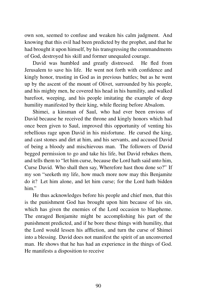own son, seemed to confuse and weaken his calm judgment. And knowing that this evil had been predicted by the prophet, and that he had brought it upon himself, by his transgressing the commandments of God, destroyed his skill and former unequaled courage.

David was humbled and greatly distressed. He fled from Jerusalem to save his life. He went not forth with confidence and kingly honor, trusting in God as in previous battles; but as he went up by the ascent of the mount of Olivet, surrounded by his people, and his mighty men, he covered his head in his humility, and walked barefoot, weeping, and his people imitating the example of deep humility manifested by their king, while fleeing before Absalom.

Shimei, a kinsman of Saul, who had ever been envious of David because he received the throne and kingly honors which had once been given to Saul, improved this opportunity of venting his rebellious rage upon David in his misfortune. He cursed the king, and cast stones and dirt at him, and his servants, and accused David of being a bloody and mischievous man. The followers of David begged permission to go and take his life, but David rebukes them, and tells them to "let him curse, because the Lord hath said unto him, Curse David. Who shall then say, Wherefore hast thou done so?" If my son "seeketh my life, how much more now may this Benjamite do it? Let him alone, and let him curse; for the Lord hath bidden him"

He thus acknowledges before his people and chief men, that this is the punishment God has brought upon him because of his sin, which has given the enemies of the Lord occasion to blaspheme. The enraged Benjamite might be accomplishing his part of the punishment predicted, and if he bore these things with humility, that the Lord would lessen his affliction, and turn the curse of Shimei into a blessing. David does not manifest the spirit of an unconverted man. He shows that he has had an experience in the things of God. He manifests a disposition to receive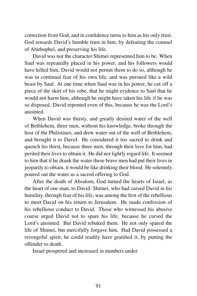correction from God, and in confidence turns to him as his only trust. God rewards David's humble trust in him, by defeating the counsel of Ahithophel, and preserving his life.

David was not the character Shimei represented him to be. When Saul was repeatedly placed in his power, and his followers would have killed him, David would not permit them to do so, although he was in continual fear of his own life, and was pursued like a wild beast by Saul. At one time when Saul was in his power, he cut off a piece of the skirt of his robe, that he might evidence to Saul that he would not harm him, although he might have taken his life if he was so disposed. David repented even of this, because he was the Lord's anointed.

When David was thirsty, and greatly desired water of the well of Bethlehem, three men, without his knowledge, broke through the host of the Philistines, and drew water out of the well of Bethlehem, and brought it to David. He considered it too sacred to drink and quench his thirst, because three men, through their love for him, had periled their lives to obtain it. He did not lightly regard life. It seemed to him that if he drank the water these brave men had put their lives in jeopardy to obtain, it would be like drinking their blood. He solemnly poured out the water as a sacred offering to God.

After the death of Absalom, God turned the hearts of Israel, as the heart of one man, to David. Shimei, who had cursed David in his humility, through fear of his life, was among the first of the rebellious to meet David on his return to Jerusalem. He made confession of his rebellious conduct to David. Those who witnessed his abusive course urged David not to spare his life, because he cursed the Lord's anointed. But David rebuked them. He not only spared the life of Shimei, but mercifully forgave him. Had David possessed a revengeful spirit, he could readily have gratified it, by putting the offender to death.

Israel prospered and increased in numbers under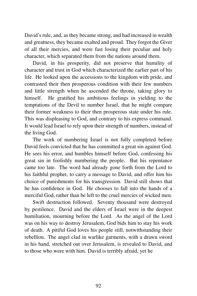David's rule, and, as they became strong, and had increased in wealth and greatness, they became exalted and proud. They forgot the Giver of all their mercies, and were fast losing their peculiar and holy character, which separated them from the nations around them.

David, in his prosperity, did not preserve that humility of character and trust in God which characterized the earlier part of his life. He looked upon the accessions to the kingdom with pride, and contrasted their then prosperous condition with their few numbers and little strength when he ascended the throne, taking glory to himself. He gratified his ambitious feelings in yielding to the temptations of the Devil to number Israel, that he might compare their former weakness to their then prosperous state under his rule. This was displeasing to God, and contrary to his express command. It would lead Israel to rely upon their strength of numbers, instead of the living God.

The work of numbering Israel is not fully completed before David feels convicted that he has committed a great sin against God. He sees his error, and humbles himself before God, confessing his great sin in foolishly numbering the people. But his repentance came too late. The word had already gone forth from the Lord to his faithful prophet, to carry a message to David, and offer him his choice of punishments for his transgression. David still shows that he has confidence in God. He chooses to fall into the hands of a merciful God, rather than be left to the cruel mercies of wicked men.

Swift destruction followed. Seventy thousand were destroyed by pestilence. David and the elders of Israel were in the deepest humiliation, mourning before the Lord. As the angel of the Lord was on his way to destroy Jerusalem, God bids him to stay his work of death. A pitiful God loves his people still, notwithstanding their rebellion. The angel clad in warlike garments, with a drawn sword in his hand, stretched out over Jerusalem, is revealed to David, and to those who were with him. David is terribly afraid, yet he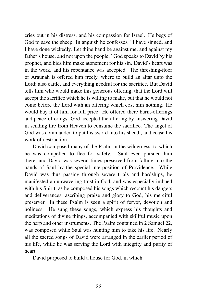cries out in his distress, and his compassion for Israel. He begs of God to save the sheep. In anguish he confesses, "I have sinned, and I have done wickedly. Let thine hand be against me, and against my father's house, and not upon the people." God speaks to David by his prophet, and bids him make atonement for his sin. David's heart was in the work, and his repentance was accepted. The threshing-floor of Araunah is offered him freely, where to build an altar unto the Lord; also cattle, and everything needful for the sacrifice. But David tells him who would make this generous offering, that the Lord will accept the sacrifice which he is willing to make, but that he would not come before the Lord with an offering which cost him nothing. He would buy it of him for full price. He offered there burnt-offerings and peace-offerings. God accepted the offering by answering David in sending fire from Heaven to consume the sacrifice. The angel of God was commanded to put his sword into his sheath, and cease his work of destruction.

David composed many of the Psalm in the wilderness, to which he was compelled to flee for safety. Saul even pursued him there, and David was several times preserved from falling into the hands of Saul by the special interposition of Providence. While David was thus passing through severe trials and hardships, he manifested an unwavering trust in God, and was especially imbued with his Spirit, as he composed his songs which recount his dangers and deliverances, ascribing praise and glory to God, his merciful preserver. In these Psalm is seen a spirit of fervor, devotion and holiness. He sung these songs, which express his thoughts and meditations of divine things, accompanied with skillful music upon the harp and other instruments. The Psalm contained in 2 Samuel 22, was composed while Saul was hunting him to take his life. Nearly all the sacred songs of David were arranged in the earlier period of his life, while he was serving the Lord with integrity and purity of heart.

David purposed to build a house for God, in which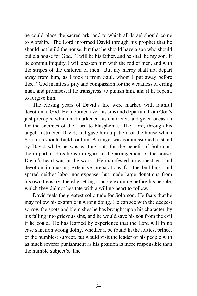he could place the sacred ark, and to which all Israel should come to worship. The Lord informed David through his prophet that he should not build the house, but that he should have a son who should build a house for God. "I will be his father, and he shall be my son. If he commit iniquity, I will chasten him with the rod of men, and with the stripes of the children of men. But my mercy shall not depart away from him, as I took it from Saul, whom I put away before thee." God manifests pity and compassion for the weakness of erring man, and promises, if he transgress, to punish him, and if he repent, to forgive him.

The closing years of David's life were marked with faithful devotion to God. He mourned over his sins and departure from God's just precepts, which had darkened his character, and given occasion for the enemies of the Lord to blaspheme. The Lord, through his angel, instructed David, and gave him a pattern of the house which Solomon should build for him. An angel was commissioned to stand by David while he was writing out, for the benefit of Solomon, the important directions in regard to the arrangement of the house. David's heart was in the work. He manifested an earnestness and devotion in making extensive preparations for the building, and spared neither labor nor expense, but made large donations from his own treasury, thereby setting a noble example before his people, which they did not hesitate with a willing heart to follow.

David feels the greatest solicitude for Solomon. He fears that he may follow his example in wrong doing. He can see with the deepest sorrow the spots and blemishes he has brought upon his character, by his falling into grievous sins, and he would save his son from the evil if he could. He has learned by experience that the Lord will in no case sanction wrong doing, whether it be found in the loftiest prince, or the humblest subject, but would visit the leader of his people with as much severer punishment as his position is more responsible than the humble subject's. The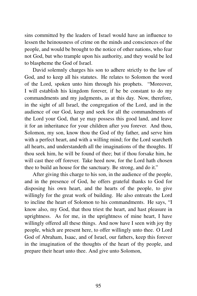sins committed by the leaders of Israel would have an influence to lessen the heinousness of crime on the minds and consciences of the people, and would be brought to the notice of other nations, who fear not God, but who trample upon his authority, and they would be led to blaspheme the God of Israel.

David solemnly charges his son to adhere strictly to the law of God, and to keep all his statutes. He relates to Solomon the word of the Lord, spoken unto him through his prophets. "Moreover, I will establish his kingdom forever, if he be constant to do my commandments and my judgments, as at this day. Now, therefore, in the sight of all Israel, the congregation of the Lord, and in the audience of our God, keep and seek for all the commandments of the Lord your God, that ye may possess this good land, and leave it for an inheritance for your children after you forever. And thou, Solomon, my son, know thou the God of thy father, and serve him with a perfect heart, and with a willing mind; for the Lord searcheth all hearts, and understandeth all the imaginations of the thoughts. If thou seek him, he will be found of thee; but if thou forsake him, he will cast thee off forever. Take heed now, for the Lord hath chosen thee to build an house for the sanctuary. Be strong, and do it."

After giving this charge to his son, in the audience of the people, and in the presence of God, he offers grateful thanks to God for disposing his own heart, and the hearts of the people, to give willingly for the great work of building. He also entreats the Lord to incline the heart of Solomon to his commandments. He says, "I know also, my God, that thou triest the heart, and hast pleasure in uprightness. As for me, in the uprightness of mine heart, I have willingly offered all these things. And now have I seen with joy thy people, which are present here, to offer willingly unto thee. O Lord God of Abraham, Isaac, and of Israel, our fathers, keep this forever in the imagination of the thoughts of the heart of thy people, and prepare their heart unto thee. And give unto Solomon,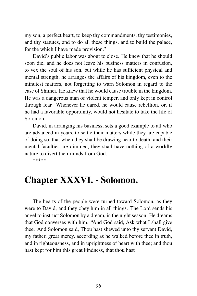my son, a perfect heart, to keep thy commandments, thy testimonies, and thy statutes, and to do all these things, and to build the palace, for the which I have made provision."

David's public labor was about to close. He knew that he should soon die, and he does not leave his business matters in confusion, to vex the soul of his son, but while he has sufficient physical and mental strength, he arranges the affairs of his kingdom, even to the minutest matters, not forgetting to warn Solomon in regard to the case of Shimei. He knew that he would cause trouble in the kingdom. He was a dangerous man of violent temper, and only kept in control through fear. Whenever he dared, he would cause rebellion, or, if he had a favorable opportunity, would not hesitate to take the life of Solomon.

David, in arranging his business, sets a good example to all who are advanced in years, to settle their matters while they are capable of doing so, that when they shall be drawing near to death, and their mental faculties are dimmed, they shall have nothing of a worldly nature to divert their minds from God.

\*\*\*\*\*

## Chapter XXXVI. - Solomon.

The hearts of the people were turned toward Solomon, as they were to David, and they obey him in all things. The Lord sends his angel to instruct Solomon by a dream, in the night season. He dreams that God converses with him. "And God said, Ask what I shall give thee. And Solomon said, Thou hast shewed unto thy servant David, my father, great mercy, according as he walked before thee in truth, and in righteousness, and in uprightness of heart with thee; and thou hast kept for him this great kindness, that thou hast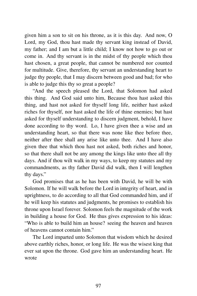given him a son to sit on his throne, as it is this day. And now, O Lord, my God, thou hast made thy servant king instead of David, my father; and I am but a little child; I know not how to go out or come in. And thy servant is in the midst of thy people which thou hast chosen, a great people, that cannot be numbered nor counted for multitude. Give, therefore, thy servant an understanding heart to judge thy people, that I may discern between good and bad; for who is able to judge this thy so great a people?

"And the speech pleased the Lord, that Solomon had asked this thing. And God said unto him, Because thou hast asked this thing, and hast not asked for thyself long life, neither hast asked riches for thyself, nor hast asked the life of thine enemies; but hast asked for thyself understanding to discern judgment, behold, I have done according to thy word. Lo, I have given thee a wise and an understanding heart, so that there was none like thee before thee, neither after thee shall any arise like unto thee. And I have also given thee that which thou hast not asked, both riches and honor, so that there shall not be any among the kings like unto thee all thy days. And if thou wilt walk in my ways, to keep my statutes and my commandments, as thy father David did walk, then I will lengthen thy days."

God promises that as he has been with David, he will be with Solomon. If he will walk before the Lord in integrity of heart, and in uprightness, to do according to all that God commanded him, and if he will keep his statutes and judgments, he promises to establish his throne upon Israel forever. Solomon feels the magnitude of the work in building a house for God. He thus gives expression to his ideas: "Who is able to build him an house? seeing the heaven and heaven of heavens cannot contain him."

The Lord imparted unto Solomon that wisdom which he desired above earthly riches, honor, or long life. He was the wisest king that ever sat upon the throne. God gave him an understanding heart. He wrote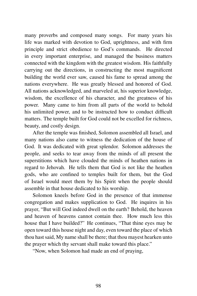many proverbs and composed many songs. For many years his life was marked with devotion to God, uprightness, and with firm principle and strict obedience to God's commands. He directed in every important enterprise, and managed the business matters connected with the kingdom with the greatest wisdom. His faithfully carrying out the directions, in constructing the most magnificent building the world ever saw, caused his fame to spread among the nations everywhere. He was greatly blessed and honored of God. All nations acknowledged, and marveled at, his superior knowledge, wisdom, the excellence of his character, and the greatness of his power. Many came to him from all parts of the world to behold his unlimited power, and to be instructed how to conduct difficult matters. The temple built for God could not be excelled for richness, beauty, and costly design.

After the temple was finished, Solomon assembled all Israel, and many nations also came to witness the dedication of the house of God. It was dedicated with great splendor. Solomon addresses the people, and seeks to tear away from the minds of all present the superstitions which have clouded the minds of heathen nations in regard to Jehovah. He tells them that God is not like the heathen gods, who are confined to temples built for them, but the God of Israel would meet them by his Spirit when the people should assemble in that house dedicated to his worship.

Solomon kneels before God in the presence of that immense congregation and makes supplication to God. He inquires in his prayer, "But will God indeed dwell on the earth? Behold, the heaven and heaven of heavens cannot contain thee. How much less this house that I have builded?" He continues, "That thine eyes may be open toward this house night and day, even toward the place of which thou hast said, My name shall be there; that thou mayest hearken unto the prayer which thy servant shall make toward this place."

"Now, when Solomon had made an end of praying,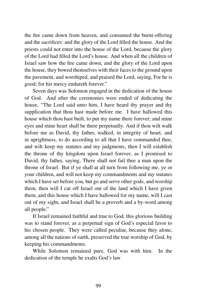the fire came down from heaven, and consumed the burnt-offering and the sacrifices: and the glory of the Lord filled the house. And the priests could not enter into the house of the Lord, because the glory of the Lord had filled the Lord's house. And when all the children of Israel saw how the fire came down, and the glory of the Lord upon the house, they bowed themselves with their faces to the ground upon the pavement, and worshiped, and praised the Lord, saying, For he is good; for his mercy endureth forever."

Seven days was Solomon engaged in the dedication of the house of God. And after the ceremonies were ended of dedicating the house, "The Lord said unto him, I have heard thy prayer and thy supplication that thou hast made before me. I have hallowed this house which thou hast built, to put my name there forever; and mine eyes and mine heart shall be there perpetually. And if thou wilt walk before me as David, thy father, walked, in integrity of heart, and in uprightness, to do according to all that I have commanded thee, and wilt keep my statutes and my judgments, then I will establish the throne of thy kingdom upon Israel forever, as I promised to David, thy father, saying, There shall not fail thee a man upon the throne of Israel. But if ye shall at all turn from following me, ye or your children, and will not keep my commandments and my statutes which I have set before you, but go and serve other gods, and worship them, then will I cut off Israel out of the land which I have given them, and this house which I have hallowed for my name, will I cast out of my sight, and Israel shall be a proverb and a by-word among all people."

If Israel remained faithful and true to God, this glorious building was to stand forever, as a perpetual sign of God's especial favor to his chosen people. They were called peculiar, because they alone, among all the nations of earth, preserved the true worship of God, by keeping his commandments.

While Solomon remained pure, God was with him. In the dedication of the temple he exalts God's law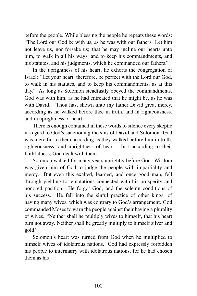before the people. While blessing the people he repeats these words: "The Lord our God be with us, as he was with our fathers. Let him not leave us, nor forsake us; that he may incline our hearts unto him, to walk in all his ways, and to keep his commandments, and his statutes, and his judgments, which he commanded our fathers."

In the uprightness of his heart, he exhorts the congregation of Israel: "Let your heart, therefore, be perfect with the Lord our God, to walk in his statutes, and to keep his commandments, as at this day." As long as Solomon steadfastly obeyed the commandments, God was with him, as he had entreated that he might be, as he was with David. "Thou hast shown unto my father David great mercy, according as he walked before thee in truth, and in righteousness, and in uprightness of heart."

There is enough contained in these words to silence every skeptic in regard to God's sanctioning the sins of David and Solomon. God was merciful to them according as they walked before him in truth, righteousness, and uprightness of heart. Just according to their faithfulness, God dealt with them.

Solomon walked for many years uprightly before God. Wisdom was given him of God to judge the people with impartiality and mercy. But even this exalted, learned, and once good man, fell through yielding to temptations connected with his prosperity and honored position. He forgot God, and the solemn conditions of his success. He fell into the sinful practice of other kings, of having many wives, which was contrary to God's arrangement. God commanded Moses to warn the people against their having a plurality of wives. "Neither shall he multiply wives to himself, that his heart turn not away. Neither shall he greatly multiply to himself silver and gold."

Solomon's heart was turned from God when he multiplied to himself wives of idolatrous nations. God had expressly forbidden his people to intermarry with idolatrous nations, for he had chosen them as his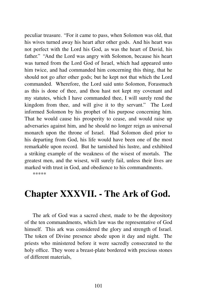peculiar treasure. "For it came to pass, when Solomon was old, that his wives turned away his heart after other gods. And his heart was not perfect with the Lord his God, as was the heart of David, his father." "And the Lord was angry with Solomon, because his heart was turned from the Lord God of Israel, which had appeared unto him twice, and had commanded him concerning this thing, that he should not go after other gods; but he kept not that which the Lord commanded. Wherefore, the Lord said unto Solomon, Forasmuch as this is done of thee, and thou hast not kept my covenant and my statutes, which I have commanded thee, I will surely rend the kingdom from thee, and will give it to thy servant." The Lord informed Solomon by his prophet of his purpose concerning him. That he would cause his prosperity to cease, and would raise up adversaries against him, and he should no longer reign as universal monarch upon the throne of Israel. Had Solomon died prior to his departing from God, his life would have been one of the most remarkable upon record. But he tarnished his lustre, and exhibited a striking example of the weakness of the wisest of mortals. The greatest men, and the wisest, will surely fail, unless their lives are marked with trust in God, and obedience to his commandments.

\*\*\*\*\*

## Chapter XXXVII. - The Ark of God.

The ark of God was a sacred chest, made to be the depository of the ten commandments, which law was the representative of God himself. This ark was considered the glory and strength of Israel. The token of Divine presence abode upon it day and night. The priests who ministered before it were sacredly consecrated to the holy office. They wore a breast-plate bordered with precious stones of different materials,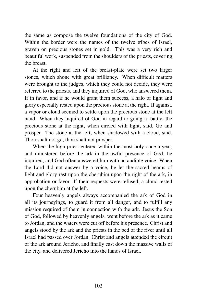the same as compose the twelve foundations of the city of God. Within the border were the names of the twelve tribes of Israel, graven on precious stones set in gold. This was a very rich and beautiful work, suspended from the shoulders of the priests, covering the breast.

At the right and left of the breast-plate were set two larger stones, which shone with great brilliancy. When difficult matters were brought to the judges, which they could not decide, they were referred to the priests, and they inquired of God, who answered them. If in favor, and if he would grant them success, a halo of light and glory especially rested upon the precious stone at the right. If against, a vapor or cloud seemed to settle upon the precious stone at the left hand. When they inquired of God in regard to going to battle, the precious stone at the right, when circled with light, said, Go and prosper. The stone at the left, when shadowed with a cloud, said, Thou shalt not go, thou shalt not prosper.

When the high priest entered within the most holy once a year, and ministered before the ark in the awful presence of God, he inquired, and God often answered him with an audible voice. When the Lord did not answer by a voice, he let the sacred beams of light and glory rest upon the cherubim upon the right of the ark, in approbation or favor. If their requests were refused, a cloud rested upon the cherubim at the left.

Four heavenly angels always accompanied the ark of God in all its journeyings, to guard it from all danger, and to fulfill any mission required of them in connection with the ark. Jesus the Son of God, followed by heavenly angels, went before the ark as it came to Jordan, and the waters were cut off before his presence. Christ and angels stood by the ark and the priests in the bed of the river until all Israel had passed over Jordan. Christ and angels attended the circuit of the ark around Jericho, and finally cast down the massive walls of the city, and delivered Jericho into the hands of Israel.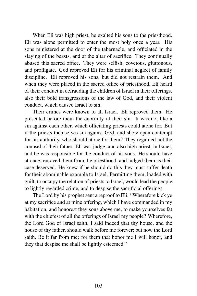When Eli was high priest, he exalted his sons to the priesthood. Eli was alone permitted to enter the most holy once a year. His sons ministered at the door of the tabernacle, and officiated in the slaying of the beasts, and at the altar of sacrifice. They continually abused this sacred office. They were selfish, covetous, gluttonous, and profligate. God reproved Eli for his criminal neglect of family discipline. Eli reproved his sons, but did not restrain them. And when they were placed in the sacred office of priesthood, Eli heard of their conduct in defrauding the children of Israel in their offerings, also their bold transgressions of the law of God, and their violent conduct, which caused Israel to sin.

Their crimes were known to all Israel. Eli reproved them. He presented before them the enormity of their sin. It was not like a sin against each other, which officiating priests could atone for. But if the priests themselves sin against God, and show open contempt for his authority, who should atone for them? They regarded not the counsel of their father. Eli was judge, and also high priest, in Israel, and he was responsible for the conduct of his sons. He should have at once removed them from the priesthood, and judged them as their case deserved. He knew if he should do this they must suffer death for their abominable example to Israel. Permitting them, loaded with guilt, to occupy the relation of priests to Israel, would lead the people to lightly regarded crime, and to despise the sacrificial offerings.

The Lord by his prophet sent a reproof to Eli. "Wherefore kick ye at my sacrifice and at mine offering, which I have commanded in my habitation, and honorest they sons above me, to make yourselves fat with the chiefest of all the offerings of Israel my people? Wherefore, the Lord God of Israel saith, I said indeed that thy house, and the house of thy father, should walk before me forever; but now the Lord saith, Be it far from me; for them that honor me I will honor, and they that despise me shall be lightly esteemed."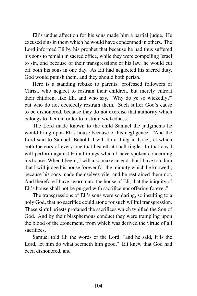Eli's undue affection for his sons made him a partial judge. He excused sins in them which he would have condemned in others. The Lord informed Eli by his prophet that because he had thus suffered his sons to remain in sacred office, while they were compelling Israel to sin, and because of their transgressions of his law, he would cut off both his sons in one day. As Eli had neglected his sacred duty, God would punish them, and they should both perish.

Here is a standing rebuke to parents, professed followers of Christ, who neglect to restrain their children, but merely entreat their children, like Eli, and who say, "Why do ye so wickedly?" but who do not decidedly restrain them. Such suffer God's cause to be dishonored, because they do not exercise that authority which belongs to them in order to restrain wickedness.

The Lord made known to the child Samuel the judgments he would bring upon Eli's house because of his negligence. "And the Lord said to Samuel, Behold, I will do a thing in Israel, at which both the ears of every one that heareth it shall tingle. In that day I will perform against Eli all things which I have spoken concerning his house. When I begin, I will also make an end. For I have told him that I will judge his house forever for the iniquity which he knoweth; because his sons made themselves vile, and he restrained them not. And therefore I have sworn unto the house of Eli, that the iniquity of Eli's house shall not be purged with sacrifice nor offering forever."

The transgressions of Eli's sons were so daring, so insulting to a holy God, that no sacrifice could atone for such willful transgression. These sinful priests profaned the sacrifices which typified the Son of God. And by their blasphemous conduct they were trampling upon the blood of the atonement, from which was derived the virtue of all sacrifices.

Samuel told Eli the words of the Lord, "and he said, It is the Lord, let him do what seemeth him good." Eli knew that God had been dishonored, and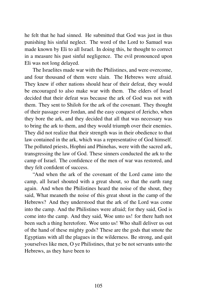he felt that he had sinned. He submitted that God was just in thus punishing his sinful neglect. The word of the Lord to Samuel was made known by Eli to all Israel. In doing this, he thought to correct in a measure his past sinful negligence. The evil pronounced upon Eli was not long delayed.

The Israelites made war with the Philistines, and were overcome, and four thousand of them were slain. The Hebrews were afraid. They knew if other nations should hear of their defeat, they would be encouraged to also make war with them. The elders of Israel decided that their defeat was because the ark of God was not with them. They sent to Shiloh for the ark of the covenant. They thought of their passage over Jordan, and the easy conquest of Jericho, when they bore the ark, and they decided that all that was necessary was to bring the ark to them, and they would triumph over their enemies. They did not realize that their strength was in their obedience to that law contained in the ark, which was a representative of God himself. The polluted priests, Hophni and Phinehas, were with the sacred ark, transgressing the law of God. These sinners conducted the ark to the camp of Israel. The confidence of the men of war was restored, and they felt confident of success.

"And when the ark of the covenant of the Lord came into the camp, all Israel shouted with a great shout, so that the earth rang again. And when the Philistines heard the noise of the shout, they said, What meaneth the noise of this great shout in the camp of the Hebrews? And they understood that the ark of the Lord was come into the camp. And the Philistines were afraid; for they said, God is come into the camp. And they said, Woe unto us! for there hath not been such a thing heretofore. Woe unto us! Who shall deliver us out of the hand of these mighty gods? These are the gods that smote the Egyptians with all the plagues in the wilderness. Be strong, and quit yourselves like men, O ye Philistines, that ye be not servants unto the Hebrews, as they have been to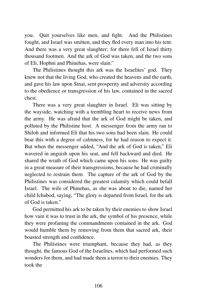you. Quit yourselves like men, and fight. And the Philistines fought, and Israel was smitten, and they fled every man into his tent. And there was a very great slaughter; for there fell of Israel thirty thousand footmen. And the ark of God was taken, and the two sons of Eli, Hophni and Phinehas, were slain."

The Philistines thought this ark was the Israelites' god. They knew not that the living God, who created the heavens and the earth, and gave his law upon Sinai, sent prosperity and adversity according to the obedience or transgression of his law, contained in the sacred chest.

There was a very great slaughter in Israel. Eli was sitting by the wayside, watching with a trembling heart to receive news from the army. He was afraid that the ark of God might be taken, and polluted by the Philistine host. A messenger from the army ran to Shiloh and informed Eli that his two sons had been slain. He could bear this with a degree of calmness, for he had reason to expect it. But when the messenger added, "And the ark of God is taken," Eli wavered in anguish upon his seat, and fell backward and died. He shared the wrath of God which came upon his sons. He was guilty in a great measure of their transgressions, because he had criminally neglected to restrain them. The capture of the ark of God by the Philistines was considered the greatest calamity which could befall Israel. The wife of Phinehas, as she was about to die, named her child Ichabod, saying, "The glory is departed from Israel, for the ark of God is taken."

God permitted his ark to be taken by their enemies to show Israel how vain it was to trust in the ark, the symbol of his presence, while they were profaning the commandments contained in the ark. God would humble them by removing from them that sacred ark, their boasted strength and confidence.

The Philistines were triumphant, because they had, as they thought, the famous God of the Israelites, which had performed such wonders for them, and had made them a terror to their enemies. They took the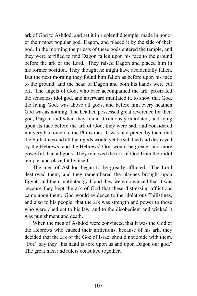ark of God to Ashdod, and set it in a splendid temple, made in honor of their most popular god, Dagon, and placed it by the side of their god. In the morning the priests of these gods entered the temple, and they were terrified to find Dagon fallen upon his face to the ground before the ark of the Lord. They raised Dagon and placed him in his former position. They thought he might have accidentally fallen. But the next morning they found him fallen as before upon his face to the ground, and the head of Dagon and both his hands were cut off. The angels of God, who ever accompanied the ark, prostrated the senseless idol god, and afterward mutilated it, to show that God, the living God, was above all gods, and before him every heathen God was as nothing. The heathen possessed great reverence for their god, Dagon, and when they found it ruinously mutilated, and lying upon its face before the ark of God, they were sad, and considered it a very bad omen to the Philistines. It was interpreted by them that the Philistines and all their gods would yet be subdued and destroyed by the Hebrews, and the Hebrews' God would be greater and more powerful than all gods. They removed the ark of God from their idol temple, and placed it by itself.

The men of Ashdod began to be greatly afflicted. The Lord destroyed them, and they remembered the plagues brought upon Egypt, and their mutilated god, and they were convinced that it was because they kept the ark of God that these distressing afflictions came upon them. God would evidence to the idolatrous Philistines, and also to his people, that the ark was strength and power to those who were obedient to his law, and to the disobedient and wicked it was punishment and death.

When the men of Ashdod were convinced that it was the God of the Hebrews who caused their afflictions, because of his ark, they decided that the ark of the God of Israel should not abide with them. "For," say they "his hand is sore upon us and upon Dagon our god." The great men and rulers consulted together,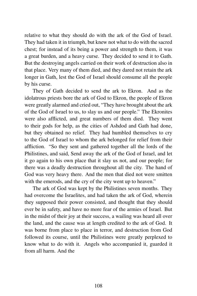relative to what they should do with the ark of the God of Israel. They had taken it in triumph, but knew not what to do with the sacred chest; for instead of its being a power and strength to them, it was a great burden, and a heavy curse. They decided to send it to Gath. But the destroying angels carried on their work of destruction also in that place. Very many of them died, and they dared not retain the ark longer in Gath, lest the God of Israel should consume all the people by his curse.

They of Gath decided to send the ark to Ekron. And as the idolatrous priests bore the ark of God to Ekron, the people of Ekron were greatly alarmed and cried out, "They have brought about the ark of the God of Israel to us, to slay us and our people." The Ekronites were also afflicted, and great numbers of them died. They went to their gods for help, as the cities of Ashdod and Gath had done, but they obtained no relief. They had humbled themselves to cry to the God of Israel to whom the ark belonged for relief from their affliction. "So they sent and gathered together all the lords of the Philistines, and said, Send away the ark of the God of Israel, and let it go again to his own place that it slay us not, and our people; for there was a deadly destruction throughout all the city. The hand of God was very heavy there. And the men that died not were smitten with the emerods, and the cry of the city went up to heaven."

The ark of God was kept by the Philistines seven months. They had overcome the Israelites, and had taken the ark of God, wherein they supposed their power consisted, and thought that they should ever be in safety, and have no more fear of the armies of Israel. But in the midst of their joy at their success, a wailing was heard all over the land, and the cause was at length credited to the ark of God. It was borne from place to place in terror, and destruction from God followed its course, until the Philistines were greatly perplexed to know what to do with it. Angels who accompanied it, guarded it from all harm. And the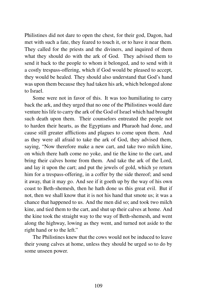Philistines did not dare to open the chest, for their god, Dagon, had met with such a fate, they feared to touch it, or to have it near them. They called for the priests and the diviners, and inquired of them what they should do with the ark of God. They advised them to send it back to the people to whom it belonged, and to send with it a costly trespass-offering, which if God would be pleased to accept, they would be healed. They should also understand that God's hand was upon them because they had taken his ark, which belonged alone to Israel.

Some were not in favor of this. It was too humiliating to carry back the ark, and they urged that no one of the Philistines would dare venture his life to carry the ark of the God of Israel which had brought such death upon them. Their counselors entreated the people not to harden their hearts, as the Egyptians and Pharaoh had done, and cause still greater afflictions and plagues to come upon them. And as they were all afraid to take the ark of God, they advised them, saying, "Now therefore make a new cart, and take two milch kine, on which there hath come no yoke, and tie the kine to the cart, and bring their calves home from them. And take the ark of the Lord, and lay it upon the cart; and put the jewels of gold, which ye return him for a trespass-offering, in a coffer by the side thereof; and send it away, that it may go. And see if it goeth up by the way of his own coast to Beth-shemesh, then he hath done us this great evil. But if not, then we shall know that it is not his hand that smote us; it was a chance that happened to us. And the men did so; and took two milch kine, and tied them to the cart, and shut up their calves at home. And the kine took the straight way to the way of Beth-shemesh, and went along the highway, lowing as they went, and turned not aside to the right hand or to the left."

The Philistines knew that the cows would not be induced to leave their young calves at home, unless they should be urged so to do by some unseen power.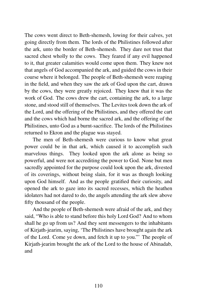The cows went direct to Beth-shemesh, lowing for their calves, yet going directly from them. The lords of the Philistines followed after the ark, unto the border of Beth-shemesh. They dare not trust that sacred chest wholly to the cows. They feared if any evil happened to it, that greater calamities would come upon them. They knew not that angels of God accompanied the ark, and guided the cows in their course where it belonged. The people of Beth-shemesh were reaping in the field, and when they saw the ark of God upon the cart, drawn by the cows, they were greatly rejoiced. They knew that it was the work of God. The cows drew the cart, containing the ark, to a large stone, and stood still of themselves. The Levites took down the ark of the Lord, and the offering of the Philistines, and they offered the cart and the cows which had borne the sacred ark, and the offering of the Philistines, unto God as a burnt-sacrifice. The lords of the Philistines returned to Ekron and the plague was stayed.

The men of Beth-shemesh were curious to know what great power could be in that ark, which caused it to accomplish such marvelous things. They looked upon the ark alone as being so powerful, and were not accrediting the power to God. None but men sacredly appointed for the purpose could look upon the ark, divested of its coverings, without being slain, for it was as though looking upon God himself. And as the people gratified their curiosity, and opened the ark to gaze into its sacred recesses, which the heathen idolaters had not dared to do, the angels attending the ark slew above fifty thousand of the people.

And the people of Beth-shemesh were afraid of the ark, and they said, "Who is able to stand before this holy Lord God? And to whom shall he go up from us? And they sent messengers to the inhabitants of Kirjath-jearim, saying, 'The Philistines have brought again the ark of the Lord. Come ye down, and fetch it up to you."' The people of Kirjath-jearim brought the ark of the Lord to the house of Abinadab, and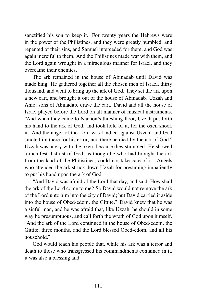sanctified his son to keep it. For twenty years the Hebrews were in the power of the Philistines, and they were greatly humbled, and repented of their sins, and Samuel interceded for them, and God was again merciful to them. And the Philistines made war with them, and the Lord again wrought in a miraculous manner for Israel, and they overcame their enemies.

The ark remained in the house of Abinadab until David was made king. He gathered together all the chosen men of Israel, thirty thousand, and went to bring up the ark of God. They set the ark upon a new cart, and brought it out of the house of Abinadab. Uzzah and Ahio, sons of Abinadab, drave the cart. David and all the house of Israel played before the Lord on all manner of musical instruments. "And when they came to Nachon's threshing-floor, Uzzah put forth his hand to the ark of God, and took hold of it, for the oxen shook it. And the anger of the Lord was kindled against Uzzah, and God smote him there for his error; and there he died by the ark of God." Uzzah was angry with the oxen, because they stumbled. He showed a manifest distrust of God, as though he who had brought the ark from the land of the Philistines, could not take care of it. Angels who attended the ark struck down Uzzah for presuming impatiently to put his hand upon the ark of God.

"And David was afraid of the Lord that day, and said, How shall the ark of the Lord come to me? So David would not remove the ark of the Lord unto him into the city of David; but David carried it aside into the house of Obed-edom, the Gittite." David knew that he was a sinful man, and he was afraid that, like Uzzah, he should in some way be presumptuous, and call forth the wrath of God upon himself. "And the ark of the Lord continued in the house of Obed-edom, the Gittite, three months, and the Lord blessed Obed-edom, and all his household."

God would teach his people that, while his ark was a terror and death to those who transgressed his commandments contained in it, it was also a blessing and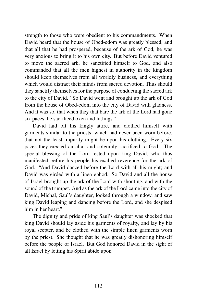strength to those who were obedient to his commandments. When David heard that the house of Obed-edom was greatly blessed, and that all that he had prospered, because of the ark of God, he was very anxious to bring it to his own city. But before David ventured to move the sacred ark, he sanctified himself to God, and also commanded that all the men highest in authority in the kingdom should keep themselves from all worldly business, and everything which would distract their minds from sacred devotion. Thus should they sanctify themselves for the purpose of conducting the sacred ark to the city of David. "So David went and brought up the ark of God from the house of Obed-edom into the city of David with gladness. And it was so, that when they that bare the ark of the Lord had gone six paces, he sacrificed oxen and fatlings."

David laid off his kingly attire, and clothed himself with garments similar to the priests, which had never been worn before, that not the least impurity might be upon his clothing. Every six paces they erected an altar and solemnly sacrificed to God. The special blessing of the Lord rested upon king David, who thus manifested before his people his exalted reverence for the ark of God. "And David danced before the Lord with all his might; and David was girded with a linen ephod. So David and all the house of Israel brought up the ark of the Lord with shouting, and with the sound of the trumpet. And as the ark of the Lord came into the city of David, Michal, Saul's daughter, looked through a window, and saw king David leaping and dancing before the Lord, and she despised him in her heart."

The dignity and pride of king Saul's daughter was shocked that king David should lay aside his garments of royalty, and lay by his royal scepter, and be clothed with the simple linen garments worn by the priest. She thought that he was greatly dishonoring himself before the people of Israel. But God honored David in the sight of all Israel by letting his Spirit abide upon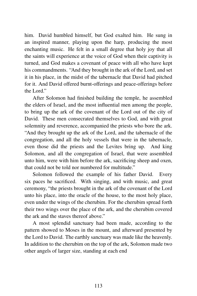him. David humbled himself, but God exalted him. He sung in an inspired manner, playing upon the harp, producing the most enchanting music. He felt in a small degree that holy joy that all the saints will experience at the voice of God when their captivity is turned, and God makes a covenant of peace with all who have kept his commandments. "And they brought in the ark of the Lord, and set it in his place, in the midst of the tabernacle that David had pitched for it. And David offered burnt-offerings and peace-offerings before the Lord."

After Solomon had finished building the temple, he assembled the elders of Israel, and the most influential men among the people, to bring up the ark of the covenant of the Lord out of the city of David. These men consecrated themselves to God, and with great solemnity and reverence, accompanied the priests who bore the ark. "And they brought up the ark of the Lord, and the tabernacle of the congregation, and all the holy vessels that were in the tabernacle, even those did the priests and the Levites bring up. And king Solomon, and all the congregation of Israel, that were assembled unto him, were with him before the ark, sacrificing sheep and oxen, that could not be told nor numbered for multitude."

Solomon followed the example of his father David. Every six paces he sacrificed. With singing, and with music, and great ceremony, "the priests brought in the ark of the covenant of the Lord unto his place, into the oracle of the house, to the most holy place, even under the wings of the cherubim. For the cherubim spread forth their two wings over the place of the ark, and the cherubim covered the ark and the staves thereof above."

A most splendid sanctuary had been made, according to the pattern showed to Moses in the mount, and afterward presented by the Lord to David. The earthly sanctuary was made like the heavenly. In addition to the cherubim on the top of the ark, Solomon made two other angels of larger size, standing at each end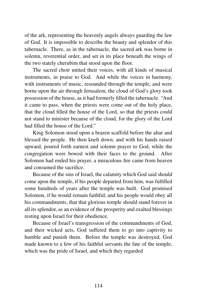of the ark, representing the heavenly angels always guarding the law of God. It is impossible to describe the beauty and splendor of this tabernacle. There, as in the tabernacle, the sacred ark was borne in solemn, reverential order, and set in its place beneath the wings of the two stately cherubim that stood upon the floor.

The sacred choir united their voices, with all kinds of musical instruments, in praise to God. And while the voices in harmony, with instruments of music, resounded through the temple, and were borne upon the air through Jerusalem, the cloud of God's glory took possession of the house, as it had formerly filled the tabernacle. "And it came to pass, when the priests were come out of the holy place, that the cloud filled the house of the Lord, so that the priests could not stand to minister because of the cloud, for the glory of the Lord had filled the house of the Lord."

King Solomon stood upon a brazen scaffold before the altar and blessed the people. He then knelt down, and with his hands raised upward, poured forth earnest and solemn prayer to God, while the congregation were bowed with their faces to the ground. After Solomon had ended his prayer, a miraculous fire came from heaven and consumed the sacrifice.

Because of the sins of Israel, the calamity which God said should come upon the temple, if his people departed from him, was fulfilled some hundreds of years after the temple was built. God promised Solomon, if he would remain faithful, and his people would obey all his commandments, that that glorious temple should stand forever in all its splendor, as an evidence of the prosperity and exalted blessings resting upon Israel for their obedience.

Because of Israel's transgression of the commandments of God, and their wicked acts, God suffered them to go into captivity to humble and punish them. Before the temple was destroyed, God made known to a few of his faithful servants the fate of the temple, which was the pride of Israel, and which they regarded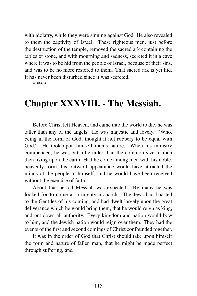with idolatry, while they were sinning against God. He also revealed to them the captivity of Israel. These righteous men, just before the destruction of the temple, removed the sacred ark containing the tables of stone, and with mourning and sadness, secreted it in a cave where it was to be hid from the people of Israel, because of their sins, and was to be no more restored to them. That sacred ark is yet hid. It has never been disturbed since it was secreted.

\*\*\*\*\*

## Chapter XXXVIII. - The Messiah.

Before Christ left Heaven, and came into the world to die, he was taller than any of the angels. He was majestic and lovely. "Who, being in the form of God, thought it not robbery to be equal with God." He took upon himself man's nature. When his ministry commenced, he was but little taller than the common size of men then living upon the earth. Had he come among men with his noble, heavenly form, his outward appearance would have attracted the minds of the people to himself, and he would have been received without the exercise of faith.

About that period Messiah was expected. By many he was looked for to come as a mighty monarch. The Jews had boasted to the Gentiles of his coming, and had dwelt largely upon the great deliverance which he would bring them, that he would reign as king, and put down all authority. Every kingdom and nation would bow to him, and the Jewish nation would reign over them. They had the events of the first and second comings of Christ confounded together.

It was in the order of God that Christ should take upon himself the form and nature of fallen man, that he might be made perfect through suffering, and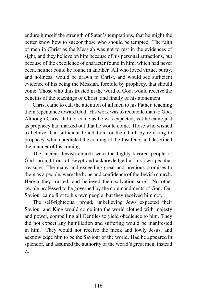endure himself the strength of Satan's temptations, that he might the better know how to succor those who should be tempted. The faith of men in Christ as the Messiah was not to rest in the evidences of sight, and they believe on him because of his personal attractions, but because of the excellence of character found in him, which had never been, neither could be found in another. All who loved virtue, purity, and holiness, would be drawn to Christ, and would see sufficient evidence of his being the Messiah, foretold by prophecy, that should come. Those who thus trusted in the word of God, would receive the benefits of the teachings of Christ, and finally of his atonement.

Christ came to call the attention of all men to his Father, teaching them repentance toward God. His work was to reconcile man to God. Although Christ did not come as he was expected, yet he came just as prophecy had marked out that he would come. Those who wished to believe, had sufficient foundation for their faith by referring to prophecy, which predicted the coming of the Just One, and described the manner of his coming.

The ancient Jewish church were the highly-favored people of God, brought out of Egypt and acknowledged as his own peculiar treasure. The many and exceeding great and precious promises to them as a people, were the hope and confidence of the Jewish church. Herein they trusted, and believed their salvation sure. No other people professed to be governed by the commandments of God. Our Saviour came first to his own people, but they received him not.

The self-righteous, proud, unbelieving Jews expected their Saviour and King would come into the world clothed with majesty and power, compelling all Gentiles to yield obedience to him. They did not expect any humiliation and suffering would be manifested in him. They would not receive the meek and lowly Jesus, and acknowledge him to be the Saviour of the world. Had he appeared in splendor, and assumed the authority of the world's great men, instead of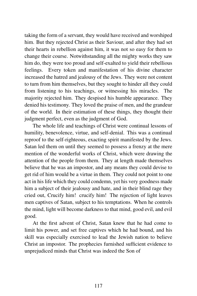taking the form of a servant, they would have received and worshiped him. But they rejected Christ as their Saviour, and after they had set their hearts in rebellion against him, it was not so easy for them to change their course. Notwithstanding all the mighty works they saw him do, they were too proud and self-exalted to yield their rebellious feelings. Every token and manifestation of his divine character increased the hatred and jealousy of the Jews. They were not content to turn from him themselves, but they sought to hinder all they could from listening to his teachings, or witnessing his miracles. The majority rejected him. They despised his humble appearance. They denied his testimony. They loved the praise of men, and the grandeur of the world. In their estimation of these things, they thought their judgment perfect, even as the judgment of God.

The whole life and teachings of Christ were continual lessons of humility, benevolence, virtue, and self-denial. This was a continual reproof to the self-righteous, exacting spirit manifested by the Jews. Satan led them on until they seemed to possess a frenzy at the mere mention of the wonderful works of Christ, which were drawing the attention of the people from them. They at length made themselves believe that he was an impostor, and any means they could devise to get rid of him would be a virtue in them. They could not point to one act in his life which they could condemn, yet his very goodness made him a subject of their jealousy and hate, and in their blind rage they cried out, Crucify him! crucify him! The rejection of light leaves men captives of Satan, subject to his temptations. When he controls the mind, light will become darkness to that mind, good evil, and evil good.

At the first advent of Christ, Satan knew that he had come to limit his power, and set free captives which he had bound, and his skill was especially exercised to lead the Jewish nation to believe Christ an impostor. The prophecies furnished sufficient evidence to unprejudiced minds that Christ was indeed the Son of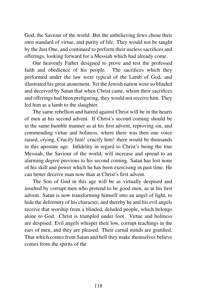God, the Saviour of the world. But the unbelieving Jews chose their own standard of virtue, and purity of life. They would not be taught by the Just One, and continued to perform their useless sacrifices and offerings, looking forward for a Messiah which had already come.

Our heavenly Father designed to prove and test the professed faith and obedience of his people. The sacrifices which they performed under the law were typical of the Lamb of God, and illustrated his great atonement. Yet the Jewish nation were so blinded and deceived by Satan that when Christ came, whom their sacrifices and offerings had been prefiguring, they would not receive him. They led him as a lamb to the slaughter.

The same rebellion and hatred against Christ will be in the hearts of men at his second advent. If Christ's second coming should be in the same humble manner as at his first advent, reproving sin, and commending virtue and holiness, where there was then one voice raised, crying, Crucify him! crucify him! there would be thousands in this apostate age. Infidelity in regard to Christ's being the true Messiah, the Saviour of the world, will increase and spread to an alarming degree previous to his second coming. Satan has lost none of his skill and power which he has been exercising in past time. He can better deceive man now than at Christ's first advent.

The Son of God in this age will be as virtually despised and insulted by corrupt men who pretend to be good men, as at his first advent. Satan is now transforming himself into an angel of light, to hide the deformity of his character, and thereby he and his evil angels receive that worship from a blinded, deluded people, which belongs alone to God. Christ is trampled under foot. Virtue and holiness are despised. Evil angels whisper their low, corrupt teachings in the ears of men, and they are pleased. Their carnal minds are gratified. That which comes from Satan and hell they make themselves believe comes from the spirits of the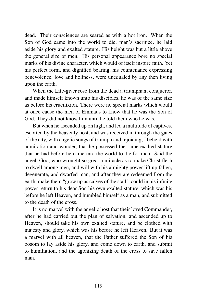dead. Their consciences are seared as with a hot iron. When the Son of God came into the world to die, man's sacrifice, he laid aside his glory and exalted stature. His height was but a little above the general size of men. His personal appearance bore no special marks of his divine character, which would of itself inspire faith. Yet his perfect form, and dignified bearing, his countenance expressing benevolence, love and holiness, were unequaled by any then living upon the earth.

When the Life-giver rose from the dead a triumphant conqueror, and made himself known unto his disciples, he was of the same size as before his crucifixion. There were no special marks which would at once cause the men of Emmaus to know that he was the Son of God. They did not know him until he told them who he was.

But when he ascended up on high, and led a multitude of captives, escorted by the heavenly host, and was received in through the gates of the city, with angelic songs of triumph and rejoicing, I beheld with admiration and wonder, that he possessed the same exalted stature that he had before he came into the world to die for man. Said the angel, God, who wrought so great a miracle as to make Christ flesh to dwell among men, and will with his almighty power lift up fallen, degenerate, and dwarfed man, and after they are redeemed from the earth, make them "grow up as calves of the stall," could in his infinite power return to his dear Son his own exalted stature, which was his before he left Heaven, and humbled himself as a man, and submitted to the death of the cross.

It is no marvel with the angelic host that their loved Commander, after he had carried out the plan of salvation, and ascended up to Heaven, should take his own exalted stature, and be clothed with majesty and glory, which was his before he left Heaven. But it was a marvel with all heaven, that the Father suffered the Son of his bosom to lay aside his glory, and come down to earth, and submit to humiliation, and the agonizing death of the cross to save fallen man.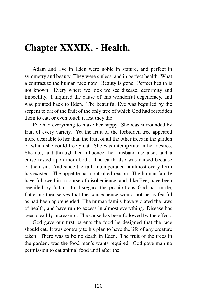## Chapter XXXIX. - Health.

Adam and Eve in Eden were noble in stature, and perfect in symmetry and beauty. They were sinless, and in perfect health. What a contrast to the human race now! Beauty is gone. Perfect health is not known. Every where we look we see disease, deformity and imbecility. I inquired the cause of this wonderful degeneracy, and was pointed back to Eden. The beautiful Eve was beguiled by the serpent to eat of the fruit of the only tree of which God had forbidden them to eat, or even touch it lest they die.

Eve had everything to make her happy. She was surrounded by fruit of every variety. Yet the fruit of the forbidden tree appeared more desirable to her than the fruit of all the other trees in the garden of which she could freely eat. She was intemperate in her desires. She ate, and through her influence, her husband ate also, and a curse rested upon them both. The earth also was cursed because of their sin. And since the fall, intemperance in almost every form has existed. The appetite has controlled reason. The human family have followed in a course of disobedience, and, like Eve, have been beguiled by Satan: to disregard the prohibitions God has made, flattering themselves that the consequence would not be as fearful as had been apprehended. The human family have violated the laws of health, and have run to excess in almost everything. Disease has been steadily increasing. The cause has been followed by the effect.

God gave our first parents the food he designed that the race should eat. It was contrary to his plan to have the life of any creature taken. There was to be no death in Eden. The fruit of the trees in the garden, was the food man's wants required. God gave man no permission to eat animal food until after the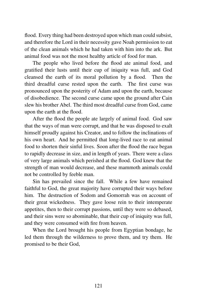flood. Every thing had been destroyed upon which man could subsist, and therefore the Lord in their necessity gave Noah permission to eat of the clean animals which he had taken with him into the ark. But animal food was not the most healthy article of food for man.

The people who lived before the flood ate animal food, and gratified their lusts until their cup of iniquity was full, and God cleansed the earth of its moral pollution by a flood. Then the third dreadful curse rested upon the earth. The first curse was pronounced upon the posterity of Adam and upon the earth, because of disobedience. The second curse came upon the ground after Cain slew his brother Abel. The third most dreadful curse from God, came upon the earth at the flood.

After the flood the people ate largely of animal food. God saw that the ways of man were corrupt, and that he was disposed to exalt himself proudly against his Creator, and to follow the inclinations of his own heart. And he permitted that long-lived race to eat animal food to shorten their sinful lives. Soon after the flood the race began to rapidly decrease in size, and in length of years. There were a class of very large animals which perished at the flood. God knew that the strength of man would decrease, and these mammoth animals could not be controlled by feeble man.

Sin has prevailed since the fall. While a few have remained faithful to God, the great majority have corrupted their ways before him. The destruction of Sodom and Gomorrah was on account of their great wickedness. They gave loose rein to their intemperate appetites, then to their corrupt passions, until they were so debased, and their sins were so abominable, that their cup of iniquity was full, and they were consumed with fire from heaven.

When the Lord brought his people from Egyptian bondage, he led them through the wilderness to prove them, and try them. He promised to be their God,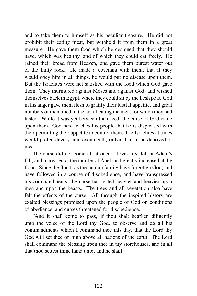and to take them to himself as his peculiar treasure. He did not prohibit their eating meat, but withheld it from them in a great measure. He gave them food which he designed that they should have, which was healthy, and of which they could eat freely. He rained their bread from Heaven, and gave them purest water out of the flinty rock. He made a covenant with them, that if they would obey him in all things, he would put no disease upon them. But the Israelites were not satisfied with the food which God gave them. They murmured against Moses and against God, and wished themselves back in Egypt, where they could sit by the flesh pots. God in his anger gave them flesh to gratify their lustful appetite, and great numbers of them died in the act of eating the meat for which they had lusted. While it was yet between their teeth the curse of God came upon them. God here teaches his people that he is displeased with their permitting their appetite to control them. The Israelites at times would prefer slavery, and even death, rather than to be deprived of meat.

The curse did not come all at once. It was first felt at Adam's fall, and increased at the murder of Abel, and greatly increased at the flood. Since the flood, as the human family have forgotten God, and have followed in a course of disobedience, and have transgressed his commandments, the curse has rested heavier and heavier upon men and upon the beasts. The trees and all vegetation also have felt the effects of the curse. All through the inspired history are exalted blessings promised upon the people of God on conditions of obedience, and curses threatened for disobedience.

"And it shall come to pass, if thou shalt hearken diligently unto the voice of the Lord thy God, to observe and do all his commandments which I command thee this day, that the Lord thy God will set thee on high above all nations of the earth. The Lord shall command the blessing upon thee in thy storehouses, and in all that thou settest thine hand unto; and he shall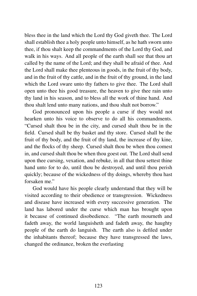bless thee in the land which the Lord thy God giveth thee. The Lord shall establish thee a holy people unto himself, as he hath sworn unto thee, if thou shalt keep the commandments of the Lord thy God, and walk in his ways. And all people of the earth shall see that thou art called by the name of the Lord; and they shall be afraid of thee. And the Lord shall make thee plenteous in goods, in the fruit of thy body, and in the fruit of thy cattle, and in the fruit of thy ground, in the land which the Lord sware unto thy fathers to give thee. The Lord shall open unto thee his good treasure, the heaven to give thee rain unto thy land in his season, and to bless all the work of thine hand. And thou shalt lend unto many nations, and thou shalt not borrow."

God pronounced upon his people a curse if they would not hearken unto his voice to observe to do all his commandments. "Cursed shalt thou be in the city, and cursed shalt thou be in the field. Cursed shall be thy basket and thy store. Cursed shall be the fruit of thy body, and the fruit of thy land, the increase of thy kine, and the flocks of thy sheep. Cursed shalt thou be when thou comest in, and cursed shalt thou be when thou goest out. The Lord shall send upon thee cursing, vexation, and rebuke, in all that thou settest thine hand unto for to do, until thou be destroyed, and until thou perish quickly; because of the wickedness of thy doings, whereby thou hast forsaken me."

God would have his people clearly understand that they will be visited according to their obedience or transgression. Wickedness and disease have increased with every successive generation. The land has labored under the curse which man has brought upon it because of continued disobedience. "The earth mourneth and fadeth away, the world languisheth and fadeth away, the haughty people of the earth do languish. The earth also is defiled under the inhabitants thereof; because they have transgressed the laws, changed the ordinance, broken the everlasting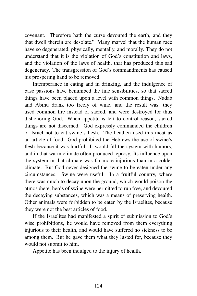covenant. Therefore hath the curse devoured the earth, and they that dwell therein are desolate." Many marvel that the human race have so degenerated, physically, mentally, and morally. They do not understand that it is the violation of God's constitution and laws, and the violation of the laws of health, that has produced this sad degeneracy. The transgression of God's commandments has caused his prospering hand to be removed.

Intemperance in eating and in drinking, and the indulgence of base passions have benumbed the fine sensibilities, so that sacred things have been placed upon a level with common things. Nadab and Abihu drank too freely of wine, and the result was, they used common fire instead of sacred, and were destroyed for thus dishonoring God. When appetite is left to control reason, sacred things are not discerned. God expressly commanded the children of Israel not to eat swine's flesh. The heathen used this meat as an article of food. God prohibited the Hebrews the use of swine's flesh because it was hurtful. It would fill the system with humors, and in that warm climate often produced leprosy. Its influence upon the system in that climate was far more injurious than in a colder climate. But God never designed the swine to be eaten under any circumstances. Swine were useful. In a fruitful country, where there was much to decay upon the ground, which would poison the atmosphere, herds of swine were permitted to run free, and devoured the decaying substances, which was a means of preserving health. Other animals were forbidden to be eaten by the Israelites, because they were not the best articles of food.

If the Israelites had manifested a spirit of submission to God's wise prohibitions, he would have removed from them everything injurious to their health, and would have suffered no sickness to be among them. But he gave them what they lusted for, because they would not submit to him.

Appetite has been indulged to the injury of health.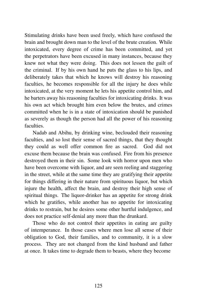Stimulating drinks have been used freely, which have confused the brain and brought down man to the level of the brute creation. While intoxicated, every degree of crime has been committed, and yet the perpetrators have been excused in many instances, because they knew not what they were doing. This does not lessen the guilt of the criminal. If by his own hand he puts the glass to his lips, and deliberately takes that which he knows will destroy his reasoning faculties, he becomes responsible for all the injury he does while intoxicated, at the very moment he lets his appetite control him, and he barters away his reasoning faculties for intoxicating drinks. It was his own act which brought him even below the brutes, and crimes committed when he is in a state of intoxication should be punished as severely as though the person had all the power of his reasoning faculties.

Nadab and Abihu, by drinking wine, beclouded their reasoning faculties, and so lost their sense of sacred things, that they thought they could as well offer common fire as sacred. God did not excuse them because the brain was confused. Fire from his presence destroyed them in their sin. Some look with horror upon men who have been overcome with liquor, and are seen reeling and staggering in the street, while at the same time they are gratifying their appetite for things differing in their nature from spirituous liquor, but which injure the health, affect the brain, and destroy their high sense of spiritual things. The liquor-drinker has an appetite for strong drink which he gratifies, while another has no appetite for intoxicating drinks to restrain, but he desires some other hurtful indulgence, and does not practice self-denial any more than the drunkard.

Those who do not control their appetites in eating are guilty of intemperance. In those cases where men lose all sense of their obligation to God, their families, and to community, it is a slow process. They are not changed from the kind husband and father at once. It takes time to degrade them to beasts, where they become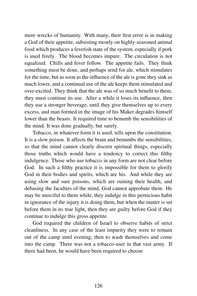mere wrecks of humanity. With many, their first error is in making a God of their appetite, subsisting mostly on highly-seasoned animal food which produces a feverish state of the system, especially if pork is used freely. The blood becomes impure. The circulation is not equalized. Chills and fever follow. The appetite fails. They think something must be done, and perhaps send for ale, which stimulates for the time, but as soon as the influence of the ale is gone they sink as much lower, and a continual use of the ale keeps them stimulated and over-excited. They think that the ale was of so much benefit to them, they must continue its use. After a while it loses its influence, then they use a stronger beverage, until they give themselves up to every excess, and man formed in the image of his Maker degrades himself lower than the beasts. It required time to benumb the sensibilities of the mind. It was done gradually, but surely.

Tobacco, in whatever form it is used, tells upon the constitution. It is a slow poison. It affects the brain and benumbs the sensibilities, so that the mind cannot clearly discern spiritual things, especially those truths which would have a tendency to correct this filthy indulgence. Those who use tobacco in any form are not clear before God. In such a filthy practice it is impossible for them to glorify God in their bodies and spirits, which are his. And while they are using slow and sure poisons, which are ruining their health, and debasing the faculties of the mind, God cannot approbate them. He may be merciful to them while, they indulge in this pernicious habit in ignorance of the injury it is doing them, but when the matter is set before them in its true light, then they are guilty before God if they continue to indulge this gross appetite.

God required the children of Israel to observe habits of strict cleanliness. In any case of the least impurity they were to remain out of the camp until evening, then to wash themselves and come into the camp. There was not a tobacco-user in that vast army. If there had been, he would have been required to choose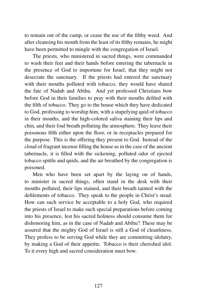to remain out of the camp, or cease the use of the filthy weed. And after cleansing his mouth from the least of its filthy remains, he might have been permitted to mingle with the congregation of Israel.

The priests, who ministered in sacred things, were commanded to wash their feet and their hands before entering the tabernacle in the presence of God to importune for Israel, that they might not desecrate the sanctuary. If the priests had entered the sanctuary with their mouths polluted with tobacco, they would have shared the fate of Nadab and Abihu. And yet professed Christians bow before God in their families to pray with their mouths defiled with the filth of tobacco. They go to the house which they have dedicated to God, professing to worship him, with a stupefying quid of tobacco in their mouths, and the high-colored saliva staining their lips and chin, and their foul breath polluting the atmosphere. They leave their poisonous filth either upon the floor, or in receptacles prepared for the purpose. This is the offering they present to God. Instead of the cloud of fragrant incense filling the house as in the case of the ancient tabernacle, it is filled with the sickening, polluted odor of ejected tobacco spittle and quids, and the air breathed by the congregation is poisoned.

Men who have been set apart by the laying on of hands, to minister in sacred things, often stand in the desk with their mouths polluted, their lips stained, and their breath tainted with the defilements of tobacco. They speak to the people in Christ's stead. How can such service be acceptable to a holy God, who required the priests of Israel to make such special preparations before coming into his presence, lest his sacred holiness should consume them for dishonoring him, as in the case of Nadab and Abihu? These may be assured that the mighty God of Israel is still a God of cleanliness. They profess to be serving God while they are committing idolatry, by making a God of their appetite. Tobacco is their cherished idol. To it every high and sacred consideration must bow.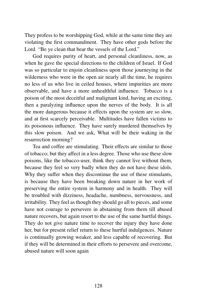They profess to be worshipping God, while at the same time they are violating the first commandment. They have other gods before the Lord. "Be ye clean that bear the vessels of the Lord."

God requires purity of heart, and personal cleanliness, now, as when he gave the special directions to the children of Israel. If God was so particular to enjoin cleanliness upon those journeying in the wilderness who were in the open air nearly all the time, he requires no less of us who live in ceiled houses, where impurities are more observable, and have a more unhealthful influence. Tobacco is a poison of the most deceitful and malignant kind, having an exciting, then a paralyzing influence upon the nerves of the body. It is all the more dangerous because it effects upon the system are so slow, and at first scarcely perceivable. Multitudes have fallen victims to its poisonous influence. They have surely murdered themselves by this slow poison. And we ask, What will be their waking in the resurrection morning?

Tea and coffee are stimulating. Their effects are similar to those of tobacco; but they affect in a less degree. Those who use these slow poisons, like the tobacco-user, think they cannot live without them, because they feel so very badly when they do not have these idols. Why they suffer when they discontinue the use of these stimulants, is because they have been breaking down nature in her work of preserving the entire system in harmony and in health. They will be troubled with dizziness, headache, numbness, nervousness, and irritability. They feel as though they should go all to pieces, and some have not courage to persevere in abstaining from them till abused nature recovers, but again resort to the use of the same hurtful things. They do not give nature time to recover the injury they have done her, but for present relief return to these hurtful indulgences. Nature is continually growing weaker, and less capable of recovering. But if they will be determined in their efforts to persevere and overcome, abused nature will soon again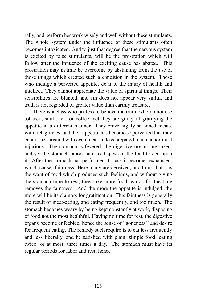rally, and perform her work wisely and well without these stimulants. The whole system under the influence of these stimulants often becomes intoxicated. And to just that degree that the nervous system is excited by false stimulants, will be the prostration which will follow after the influence of the exciting cause has abated. This prostration may in time be overcome by abstaining from the use of those things which created such a condition in the system. Those who indulge a perverted appetite, do it to the injury of health and intellect. They cannot appreciate the value of spiritual things. Their sensibilities are blunted, and sin does not appear very sinful, and truth is not regarded of greater value than earthly treasure.

There is a class who profess to believe the truth, who do not use tobacco, snuff, tea, or coffee, yet they are guilty of gratifying the appetite in a different manner. They crave highly-seasoned meats, with rich gravies, and their appetite has become so perverted that they cannot be satisfied with even meat, unless prepared in a manner most injurious. The stomach is fevered, the digestive organs are taxed, and yet the stomach labors hard to dispose of the load forced upon it. After the stomach has performed its task it becomes exhausted, which causes faintness. Here many are deceived, and think that it is the want of food which produces such feelings, and without giving the stomach time to rest, they take more food, which for the time removes the faintness. And the more the appetite is indulged, the more will be its clamors for gratification. This faintness is generally the result of meat-eating, and eating frequently, and too much. The stomach becomes weary by being kept constantly at work, disposing of food not the most healthful. Having no time for rest, the digestive organs become enfeebled, hence the sense of "goneness," and desire for frequent eating. The remedy such require is to eat less frequently and less liberally, and be satisfied with plain, simple food, eating twice, or at most, three times a day. The stomach must have its regular periods for labor and rest, hence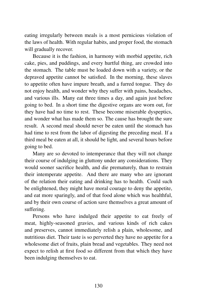eating irregularly between meals is a most pernicious violation of the laws of health. With regular habits, and proper food, the stomach will gradually recover.

Because it is the fashion, in harmony with morbid appetite, rich cake, pies, and puddings, and every hurtful thing, are crowded into the stomach. The table must be loaded down with a variety, or the depraved appetite cannot be satisfied. In the morning, these slaves to appetite often have impure breath, and a furred tongue. They do not enjoy health, and wonder why they suffer with pains, headaches, and various ills. Many eat three times a day, and again just before going to bed. In a short time the digestive organs are worn out, for they have had no time to rest. These become miserable dyspeptics, and wonder what has made them so. The cause has brought the sure result. A second meal should never be eaten until the stomach has had time to rest from the labor of digesting the preceding meal. If a third meal be eaten at all, it should be light, and several hours before going to bed.

Many are so devoted to intemperance that they will not change their course of indulging in gluttony under any considerations. They would sooner sacrifice health, and die prematurely, than to restrain their intemperate appetite. And there are many who are ignorant of the relation their eating and drinking has to health. Could such be enlightened, they might have moral courage to deny the appetite, and eat more sparingly, and of that food alone which was healthful, and by their own course of action save themselves a great amount of suffering.

Persons who have indulged their appetite to eat freely of meat, highly-seasoned gravies, and various kinds of rich cakes and preserves, cannot immediately relish a plain, wholesome, and nutritious diet. Their taste is so perverted they have no appetite for a wholesome diet of fruits, plain bread and vegetables. They need not expect to relish at first food so different from that which they have been indulging themselves to eat.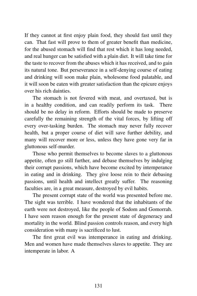If they cannot at first enjoy plain food, they should fast until they can. That fast will prove to them of greater benefit than medicine, for the abused stomach will find that rest which it has long needed, and real hunger can be satisfied with a plain diet. It will take time for the taste to recover from the abuses which it has received, and to gain its natural tone. But perseverance in a self-denying course of eating and drinking will soon make plain, wholesome food palatable, and it will soon be eaten with greater satisfaction than the epicure enjoys over his rich dainties.

The stomach is not fevered with meat, and overtaxed, but is in a healthy condition, and can readily perform its task. There should be no delay in reform. Efforts should be made to preserve carefully the remaining strength of the vital forces, by lifting off every over-tasking burden. The stomach may never fully recover health, but a proper course of diet will save further debility, and many will recover more or less, unless they have gone very far in gluttonous self-murder.

Those who permit themselves to become slaves to a gluttonous appetite, often go still further, and debase themselves by indulging their corrupt passions, which have become excited by intemperance in eating and in drinking. They give loose rein to their debasing passions, until health and intellect greatly suffer. The reasoning faculties are, in a great measure, destroyed by evil habits.

The present corrupt state of the world was presented before me. The sight was terrible. I have wondered that the inhabitants of the earth were not destroyed, like the people of Sodom and Gomorrah. I have seen reason enough for the present state of degeneracy and mortality in the world. Blind passion controls reason, and every high consideration with many is sacrificed to lust.

The first great evil was intemperance in eating and drinking. Men and women have made themselves slaves to appetite. They are intemperate in labor. A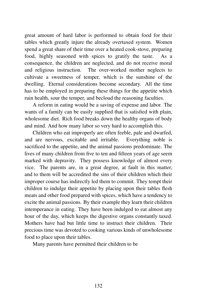great amount of hard labor is performed to obtain food for their tables which greatly injure the already overtaxed system. Women spend a great share of their time over a heated cook-stove, preparing food, highly seasoned with spices to gratify the taste. As a consequence, the children are neglected, and do not receive moral and religious instruction. The over-worked mother neglects to cultivate a sweetness of temper, which is the sunshine of the dwelling. Eternal considerations become secondary. All the time has to be employed in preparing these things for the appetite which ruin health, sour the temper, and becloud the reasoning faculties.

A reform in eating would be a saving of expense and labor. The wants of a family can be easily supplied that is satisfied with plain, wholesome diet. Rich food breaks down the healthy organs of body and mind. And how many labor so very hard to accomplish this.

Children who eat improperly are often feeble, pale and dwarfed, and are nervous, excitable and irritable. Everything noble is sacrificed to the appetite, and the animal passions predominate. The lives of many children from five to ten and fifteen years of age seem marked with depravity. They possess knowledge of almost every vice. The parents are, in a great degree, at fault in this matter, and to them will be accredited the sins of their children which their improper course has indirectly led them to commit. They tempt their children to indulge their appetite by placing upon their tables flesh meats and other food prepared with spices, which have a tendency to excite the animal passions. By their example they learn their children intemperance in eating. They have been indulged to eat almost any hour of the day, which keeps the digestive organs constantly taxed. Mothers have had but little time to instruct their children. Their precious time was devoted to cooking various kinds of unwholesome food to place upon their tables.

Many parents have permitted their children to be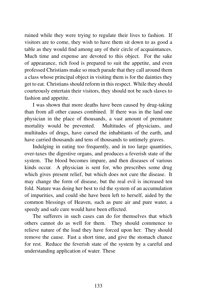ruined while they were trying to regulate their lives to fashion. If visitors are to come, they wish to have them sit down to as good a table as they would find among any of their circle of acquaintances. Much time and expense are devoted to this object. For the sake of appearance, rich food is prepared to suit the appetite, and even professed Christians make so much parade that they call around them a class whose principal object in visiting them is for the dainties they get to eat. Christians should reform in this respect. While they should courteously entertain their visitors, they should not be such slaves to fashion and appetite.

I was shown that more deaths have been caused by drug-taking than from all other causes combined. If there was in the land one physician in the place of thousands, a vast amount of premature mortality would be prevented. Multitudes of physicians, and multitudes of drugs, have cursed the inhabitants of the earth, and have carried thousands and tens of thousands to untimely graves.

Indulging in eating too frequently, and in too large quantities, over-taxes the digestive organs, and produces a feverish state of the system. The blood becomes impure, and then diseases of various kinds occur. A physician is sent for, who prescribes some drug which gives present relief, but which does not cure the disease. It may change the form of disease, but the real evil is increased ten fold. Nature was doing her best to rid the system of an accumulation of impurities, and could she have been left to herself, aided by the common blessings of Heaven, such as pure air and pure water, a speedy and safe cure would have been effected.

The sufferers in such cases can do for themselves that which others cannot do as well for them. They should commence to relieve nature of the load they have forced upon her. They should remove the cause. Fast a short time, and give the stomach chance for rest. Reduce the feverish state of the system by a careful and understanding application of water. These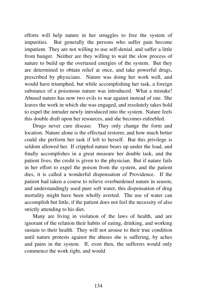efforts will help nature in her struggles to free the system of impurities. But generally the persons who suffer pain become impatient. They are not willing to use self-denial, and suffer a little from hunger. Neither are they willing to wait the slow process of nature to build up the overtaxed energies of the system. But they are determined to obtain relief at once, and take powerful drugs, prescribed by physicians. Nature was doing her work well, and would have triumphed, but while accomplishing her task, a foreign substance of a poisonous nature was introduced. What a mistake! Abused nature has now two evils to war against instead of one. She leaves the work in which she was engaged, and resolutely takes hold to expel the intruder newly introduced into the system. Nature feels this double draft upon her resources, and she becomes enfeebled.

Drugs never cure disease. They only change the form and location. Nature alone is the effectual restorer, and how much better could she perform her task if left to herself. But this privilege is seldom allowed her. If crippled nature bears up under the load, and finally accomplishes in a great measure her double task, and the patient lives, the credit is given to the physician. But if nature fails in her effort to expel the poison from the system, and the patient dies, it is called a wonderful dispensation of Providence. If the patient had taken a course to relieve overburdened nature in season, and understandingly used pure soft water, this dispensation of drug mortality might have been wholly averted. The use of water can accomplish but little, if the patient does not feel the necessity of also strictly attending to his diet.

Many are living in violation of the laws of health, and are ignorant of the relation their habits of eating, drinking, and working sustain to their health. They will not arouse to their true condition until nature protests against the abuses she is suffering, by aches and pains in the system. If, even then, the sufferers would only commence the work right, and would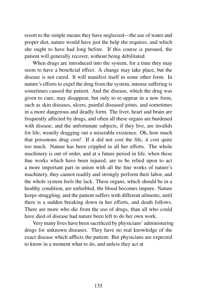resort to the simple means they have neglected—the use of water and proper diet, nature would have just the help she requires, and which she ought to have had long before. If this course is pursued, the patient will generally recover, without being debilitated.

When drugs are introduced into the system, for a time they may seem to have a beneficial effect. A change may take place, but the disease is not cured. It will manifest itself in some other form. In nature's efforts to expel the drug from the system, intense suffering is sometimes caused the patient. And the disease, which the drug was given to cure, may disappear, but only to re-appear in a new form, such as skin diseases, ulcers, painful diseased joints, and sometimes in a more dangerous and deadly form. The liver, heart and brain are frequently affected by drugs, and often all these organs are burdened with disease, and the unfortunate subjects, if they live, are invalids for life, wearily dragging out a miserable existence. Oh, how much that poisonous drug cost! If it did not cost the life, it cost quite too much. Nature has been crippled in all her efforts. The whole machinery is out of order, and at a future period in life, when these fine works which have been injured, are to be relied upon to act a more important part in union with all the fine works of nature's machinery, they cannot readily and strongly perform their labor, and the whole system feels the lack. These organs, which should be in a healthy condition, are enfeebled, the blood becomes impure. Nature keeps struggling, and the patient suffers with different ailments, until there is a sudden breaking down in her efforts, and death follows. There are more who die from the use of drugs, than all who could have died of disease had nature been left to do her own work.

Very many lives have been sacrificed by physicians' administering drugs for unknown diseases. They have no real knowledge of the exact disease which afflicts the patient. But physicians are expected to know in a moment what to do, and unless they act at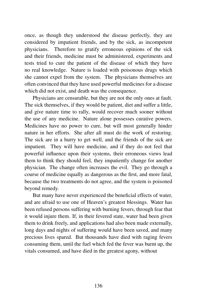once, as though they understood the disease perfectly, they are considered by impatient friends, and by the sick, as incompetent physicians. Therefore to gratify erroneous opinions of the sick and their friends, medicine must be administered, experiments and tests tried to cure the patient of the disease of which they have no real knowledge. Nature is loaded with poisonous drugs which she cannot expel from the system. The physicians themselves are often convinced that they have used powerful medicines for a disease which did not exist, and death was the consequence.

Physicians are censurable, but they are not the only ones at fault. The sick themselves, if they would be patient, diet and suffer a little, and give nature time to rally, would recover much sooner without the use of any medicine. Nature alone possesses curative powers. Medicines have no power to cure, but will most generally hinder nature in her efforts. She after all must do the work of restoring. The sick are in a hurry to get well, and the friends of the sick are impatient. They will have medicine, and if they do not feel that powerful influence upon their systems, their erroneous views lead them to think they should feel, they impatiently change for another physician. The change often increases the evil. They go through a course of medicine equally as dangerous as the first, and more fatal, because the two treatments do not agree, and the system is poisoned beyond remedy.

But many have never experienced the beneficial effects of water, and are afraid to use one of Heaven's greatest blessings. Water has been refused persons suffering with burning fevers, through fear that it would injure them. If, in their fevered state, water had been given them to drink freely, and applications had also been made externally, long days and nights of suffering would have been saved, and many precious lives spared. But thousands have died with raging fevers consuming them, until the fuel which fed the fever was burnt up, the vitals consumed, and have died in the greatest agony, without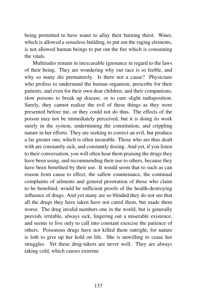being permitted to have water to allay their burning thirst. Water, which is allowed a senseless building, to put out the raging elements, is not allowed human beings to put out the fire which is consuming the vitals.

Multitudes remain in inexcusable ignorance in regard to the laws of their being. They are wondering why our race is so feeble, and why so many die prematurely. Is there not a cause? Physicians who profess to understand the human organism, prescribe for their patients, and even for their own dear children, and their companions, slow poisons to break up disease, or to cure slight indisposition. Surely, they cannot realize the evil of these things as they were presented before me, or they could not do thus. The effects of the poison may not be immediately perceived, but it is doing its work surely in the system, undermining the constitution, and crippling nature in her efforts. They are seeking to correct an evil, but produce a far greater one, which is often incurable. Those who are thus dealt with are constantly sick, and constantly dosing. And yet, if you listen to their conversation, you will often hear them praising the drugs they have been using, and recommending their use to others, because they have been benefited by their use. It would seem that to such as can reason from cause to effect, the sallow countenance, the continual complaints of ailments and general prostration of those who claim to be benefited, would be sufficient proofs of the health-destroying influence of drugs. And yet many are so blinded they do not see that all the drugs they have taken have not cured them, but made them worse. The drug invalid numbers one in the world, but is generally peevish, irritable, always sick, lingering out a miserable existence, and seems to live only to call into constant exercise the patience of others. Poisonous drugs have not killed them outright, for nature is loth to give up her hold on life. She is unwilling to cease her struggles. Yet these drug-takers are never well. They are always taking cold, which causes extreme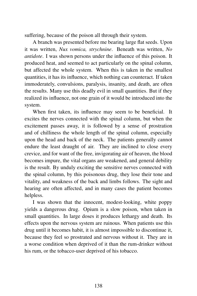suffering, because of the poison all through their system.

A branch was presented before me bearing large flat seeds. Upon it was written, *Nux vomica, strychnine*. Beneath was written, *No antidote*. I was shown persons under the influence of this poison. It produced heat, and seemed to act particularly on the spinal column, but affected the whole system. When this is taken in the smallest quantities, it has its influence, which nothing can counteract. If taken immoderately, convulsions, paralysis, insanity, and death, are often the results. Many use this deadly evil in small quantities. But if they realized its influence, not one grain of it would be introduced into the system.

When first taken, its influence may seem to be beneficial. It excites the nerves connected with the spinal column, but when the excitement passes away, it is followed by a sense of prostration and of chilliness the whole length of the spinal column, especially upon the head and back of the neck. The patients generally cannot endure the least draught of air. They are inclined to close every crevice, and for want of the free, invigorating air of heaven, the blood becomes impure, the vital organs are weakened, and general debility is the result. By unduly exciting the sensitive nerves connected with the spinal column, by this poisonous drug, they lose their tone and vitality, and weakness of the back and limbs follows. The sight and hearing are often affected, and in many cases the patient becomes helpless.

I was shown that the innocent, modest-looking, white poppy yields a dangerous drug. Opium is a slow poison, when taken in small quantities. In large doses it produces lethargy and death. Its effects upon the nervous system are ruinous. When patients use this drug until it becomes habit, it is almost impossible to discontinue it, because they feel so prostrated and nervous without it. They are in a worse condition when deprived of it than the rum-drinker without his rum, or the tobacco-user deprived of his tobacco.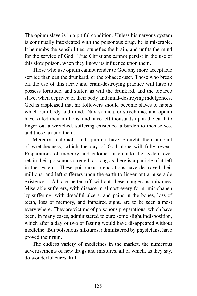The opium slave is in a pitiful condition. Unless his nervous system is continually intoxicated with the poisonous drug, he is miserable. It benumbs the sensibilities, stupefies the brain, and unfits the mind for the service of God. True Christians cannot persist in the use of this slow poison, when they know its influence upon them.

Those who use opium cannot render to God any more acceptable service than can the drunkard, or the tobacco-user. Those who break off the use of this nerve and brain-destroying practice will have to possess fortitude, and suffer, as will the drunkard, and the tobacco slave, when deprived of their body and mind-destroying indulgences. God is displeased that his followers should become slaves to habits which ruin body and mind. Nux vomica, or strychnine, and opium have killed their millions, and have left thousands upon the earth to linger out a wretched, suffering existence, a burden to themselves, and those around them.

Mercury, calomel, and quinine have brought their amount of wretchedness, which the day of God alone will fully reveal. Preparations of mercury and calomel taken into the system ever retain their poisonous strength as long as there is a particle of it left in the system. These poisonous preparations have destroyed their millions, and left sufferers upon the earth to linger out a miserable existence. All are better off without these dangerous mixtures. Miserable sufferers, with disease in almost every form, mis-shapen by suffering, with dreadful ulcers, and pains in the bones, loss of teeth, loss of memory, and impaired sight, are to be seen almost every where. They are victims of poisonous preparations, which have been, in many cases, administered to cure some slight indisposition, which after a day or two of fasting would have disappeared without medicine. But poisonous mixtures, administered by physicians, have proved their ruin.

The endless variety of medicines in the market, the numerous advertisements of new drugs and mixtures, all of which, as they say, do wonderful cures, kill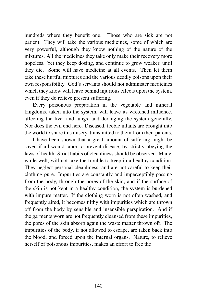hundreds where they benefit one. Those who are sick are not patient. They will take the various medicines, some of which are very powerful, although they know nothing of the nature of the mixtures. All the medicines they take only make their recovery more hopeless. Yet they keep dosing, and continue to grow weaker, until they die. Some will have medicine at all events. Then let them take these hurtful mixtures and the various deadly poisons upon their own responsibility. God's servants should not administer medicines which they know will leave behind injurious effects upon the system. even if they do relieve present suffering.

Every poisonous preparation in the vegetable and mineral kingdoms, taken into the system, will leave its wretched influence, affecting the liver and lungs, and deranging the system generally. Nor does the evil end here. Diseased, feeble infants are brought into the world to share this misery, transmitted to them from their parents.

I have been shown that a great amount of suffering might be saved if all would labor to prevent disease, by strictly obeying the laws of health. Strict habits of cleanliness should be observed. Many, while well, will not take the trouble to keep in a healthy condition. They neglect personal cleanliness, and are not careful to keep their clothing pure. Impurities are constantly and imperceptibly passing from the body, through the pores of the skin, and if the surface of the skin is not kept in a healthy condition, the system is burdened with impure matter. If the clothing worn is not often washed, and frequently aired, it becomes filthy with impurities which are thrown off from the body by sensible and insensible perspiration. And if the garments worn are not frequently cleansed from these impurities, the pores of the skin absorb again the waste matter thrown off. The impurities of the body, if not allowed to escape, are taken back into the blood, and forced upon the internal organs. Nature, to relieve herself of poisonous impurities, makes an effort to free the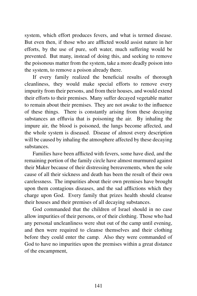system, which effort produces fevers, and what is termed disease. But even then, if those who are afflicted would assist nature in her efforts, by the use of pure, soft water, much suffering would be prevented. But many, instead of doing this, and seeking to remove the poisonous matter from the system, take a more deadly poison into the system, to remove a poison already there.

If every family realized the beneficial results of thorough cleanliness, they would make special efforts to remove every impurity from their persons, and from their houses, and would extend their efforts to their premises. Many suffer decayed vegetable matter to remain about their premises. They are not awake to the influence of these things. There is constantly arising from these decaying substances an effluvia that is poisoning the air. By inhaling the impure air, the blood is poisoned, the lungs become affected, and the whole system is diseased. Disease of almost every description will be caused by inhaling the atmosphere affected by these decaying substances.

Families have been afflicted with fevers, some have died, and the remaining portion of the family circle have almost murmured against their Maker because of their distressing bereavements, when the sole cause of all their sickness and death has been the result of their own carelessness. The impurities about their own premises have brought upon them contagious diseases, and the sad afflictions which they charge upon God. Every family that prizes health should cleanse their houses and their premises of all decaying substances.

God commanded that the children of Israel should in no case allow impurities of their persons, or of their clothing. Those who had any personal uncleanliness were shut out of the camp until evening, and then were required to cleanse themselves and their clothing before they could enter the camp. Also they were commanded of God to have no impurities upon the premises within a great distance of the encampment,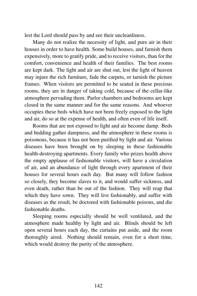lest the Lord should pass by and see their uncleanliness.

Many do not realize the necessity of light, and pure air in their houses in order to have health. Some build houses, and furnish them expensively, more to gratify pride, and to receive visitors, than for the comfort, convenience and health of their families. The best rooms are kept dark. The light and air are shut out, lest the light of heaven may injure the rich furniture, fade the carpets, or tarnish the picture frames. When visitors are permitted to be seated in these precious rooms, they are in danger of taking cold, because of the cellar-like atmosphere pervading them. Parlor chambers and bedrooms are kept closed in the same manner and for the same reasons. And whoever occupies these beds which have not been freely exposed to the light and air, do so at the expense of health, and often even of life itself.

Rooms that are not exposed to light and air become damp. Beds and bedding gather dampness, and the atmosphere in these rooms is poisonous, because it has not been purified by light and air. Various diseases have been brought on by sleeping in these fashionable health-destroying apartments. Every family who prizes health above the empty applause of fashionable visitors, will have a circulation of air, and an abundance of light through every apartment of their houses for several hours each day. But many will follow fashion so closely, they become slaves to it, and would suffer sickness, and even death, rather than be out of the fashion. They will reap that which they have sown. They will live fashionably, and suffer with diseases as the result, be doctored with fashionable poisons, and die fashionable deaths.

Sleeping rooms especially should be well ventilated, and the atmosphere made healthy by light and air. Blinds should be left open several hours each day, the curtains put aside, and the room thoroughly aired. Nothing should remain, even for a short time, which would destroy the purity of the atmosphere.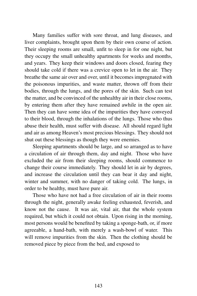Many families suffer with sore throat, and lung diseases, and liver complaints, brought upon them by their own course of action. Their sleeping rooms are small, unfit to sleep in for one night, but they occupy the small unhealthy apartments for weeks and months, and years. They keep their windows and doors closed, fearing they should take cold if there was a crevice open to let in the air. They breathe the same air over and over, until it becomes impregnated with the poisonous impurities, and waste matter, thrown off from their bodies, through the lungs, and the pores of the skin. Such can test the matter, and be convinced of the unhealthy air in their close rooms, by entering them after they have remained awhile in the open air. Then they can have some idea of the impurities they have conveyed to their blood, through the inhalations of the lungs. Those who thus abuse their health, must suffer with disease. All should regard light and air as among Heaven's most precious blessings. They should not shut out these blessings as though they were enemies.

Sleeping apartments should be large, and so arranged as to have a circulation of air through them, day and night. Those who have excluded the air from their sleeping rooms, should commence to change their course immediately. They should let in air by degrees, and increase the circulation until they can bear it day and night, winter and summer, with no danger of taking cold. The lungs, in order to be healthy, must have pure air.

Those who have not had a free circulation of air in their rooms through the night, generally awake feeling exhausted, feverish, and know not the cause. It was air, vital air, that the whole system required, but which it could not obtain. Upon rising in the morning, most persons would be benefited by taking a sponge-bath, or, if more agreeable, a hand-bath, with merely a wash-bowl of water. This will remove impurities from the skin. Then the clothing should be removed piece by piece from the bed, and exposed to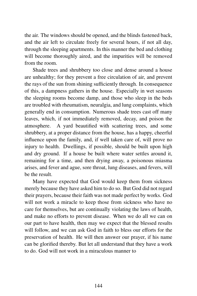the air. The windows should be opened, and the blinds fastened back, and the air left to circulate freely for several hours, if not all day, through the sleeping apartments. In this manner the bed and clothing will become thoroughly aired, and the impurities will be removed from the room.

Shade trees and shrubbery too close and dense around a house are unhealthy; for they prevent a free circulation of air, and prevent the rays of the sun from shining sufficiently through. In consequence of this, a dampness gathers in the house. Especially in wet seasons the sleeping rooms become damp, and those who sleep in the beds are troubled with rheumatism, neuralgia, and lung complaints, which generally end in consumption. Numerous shade trees cast off many leaves, which, if not immediately removed, decay, and poison the atmosphere. A yard beautified with scattering trees, and some shrubbery, at a proper distance from the house, has a happy, cheerful influence upon the family, and, if well taken care of, will prove no injury to health. Dwellings, if possible, should be built upon high and dry ground. If a house be built where water settles around it, remaining for a time, and then drying away, a poisonous miasma arises, and fever and ague, sore throat, lung diseases, and fevers, will be the result.

Many have expected that God would keep them from sickness merely because they have asked him to do so. But God did not regard their prayers, because their faith was not made perfect by works. God will not work a miracle to keep those from sickness who have no care for themselves, but are continually violating the laws of health, and make no efforts to prevent disease. When we do all we can on our part to have health, then may we expect that the blessed results will follow, and we can ask God in faith to bless our efforts for the preservation of health. He will then answer our prayer, if his name can be glorified thereby. But let all understand that they have a work to do. God will not work in a miraculous manner to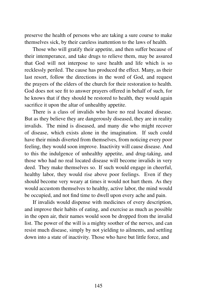preserve the health of persons who are taking a sure course to make themselves sick, by their careless inattention to the laws of health.

Those who will gratify their appetite, and then suffer because of their intemperance, and take drugs to relieve them, may be assured that God will not interpose to save health and life which is so recklessly periled. The cause has produced the effect. Many, as their last resort, follow the directions in the word of God, and request the prayers of the elders of the church for their restoration to health. God does not see fit to answer prayers offered in behalf of such, for he knows that if they should be restored to health, they would again sacrifice it upon the altar of unhealthy appetite.

There is a class of invalids who have no real located disease. But as they believe they are dangerously diseased, they are in reality invalids. The mind is diseased, and many die who might recover of disease, which exists alone in the imagination. If such could have their minds diverted from themselves, from noticing every poor feeling, they would soon improve. Inactivity will cause disease. And to this the indulgence of unhealthy appetite, and drug-taking, and those who had no real located disease will become invalids in very deed. They make themselves so. If such would engage in cheerful, healthy labor, they would rise above poor feelings. Even if they should become very weary at times it would not hurt them. As they would accustom themselves to healthy, active labor, the mind would be occupied, and not find time to dwell upon every ache and pain.

If invalids would dispense with medicines of every description, and improve their habits of eating, and exercise as much as possible in the open air, their names would soon be dropped from the invalid list. The power of the will is a mighty soother of the nerves, and can resist much disease, simply by not yielding to ailments, and settling down into a state of inactivity. Those who have but little force, and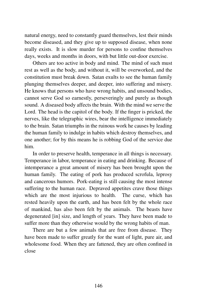natural energy, need to constantly guard themselves, lest their minds become diseased, and they give up to supposed disease, when none really exists. It is slow murder for persons to confine themselves days, weeks and months in doors, with but little out-door exercise.

Others are too active in body and mind. The mind of such must rest as well as the body, and without it, will be overworked, and the constitution must break down. Satan exults to see the human family plunging themselves deeper, and deeper, into suffering and misery. He knows that persons who have wrong habits, and unsound bodies, cannot serve God so earnestly, perseveringly and purely as though sound. A diseased body affects the brain. With the mind we serve the Lord. The head is the capitol of the body. If the finger is pricked, the nerves, like the telegraphic wires, bear the intelligence immediately to the brain. Satan triumphs in the ruinous work he causes by leading the human family to indulge in habits which destroy themselves, and one another; for by this means he is robbing God of the service due him.

In order to preserve health, temperance in all things is necessary. Temperance in labor, temperance in eating and drinking. Because of intemperance a great amount of misery has been brought upon the human family. The eating of pork has produced scrofula, leprosy and cancerous humors. Pork-eating is still causing the most intense suffering to the human race. Depraved appetites crave those things which are the most injurious to health. The curse, which has rested heavily upon the earth, and has been felt by the whole race of mankind, has also been felt by the animals. The beasts have degenerated [in] size, and length of years. They have been made to suffer more than they otherwise would by the wrong habits of man.

There are but a few animals that are free from disease. They have been made to suffer greatly for the want of light, pure air, and wholesome food. When they are fattened, they are often confined in close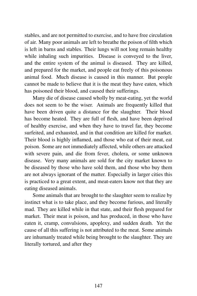stables, and are not permitted to exercise, and to have free circulation of air. Many poor animals are left to breathe the poison of filth which is left in barns and stables. Their lungs will not long remain healthy while inhaling such impurities. Disease is conveyed to the liver, and the entire system of the animal is diseased. They are killed, and prepared for the market, and people eat freely of this poisonous animal food. Much disease is caused in this manner. But people cannot be made to believe that it is the meat they have eaten, which has poisoned their blood, and caused their sufferings.

Many die of disease caused wholly by meat-eating, yet the world does not seem to be the wiser. Animals are frequently killed that have been driven quite a distance for the slaughter. Their blood has become heated. They are full of flesh, and have been deprived of healthy exercise, and when they have to travel far, they become surfeited, and exhausted, and in that condition are killed for market. Their blood is highly inflamed, and those who eat of their meat, eat poison. Some are not immediately affected, while others are attacked with severe pain, and die from fever, cholera, or some unknown disease. Very many animals are sold for the city market known to be diseased by those who have sold them, and those who buy them are not always ignorant of the matter. Especially in larger cities this is practiced to a great extent, and meat-eaters know not that they are eating diseased animals.

Some animals that are brought to the slaughter seem to realize by instinct what is to take place, and they become furious, and literally mad. They are killed while in that state, and their flesh prepared for market. Their meat is poison, and has produced, in those who have eaten it, cramp, convulsions, apoplexy, and sudden death. Yet the cause of all this suffering is not attributed to the meat. Some animals are inhumanly treated while being brought to the slaughter. They are literally tortured, and after they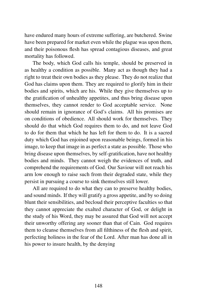have endured many hours of extreme suffering, are butchered. Swine have been prepared for market even while the plague was upon them, and their poisonous flesh has spread contagious diseases, and great mortality has followed.

The body, which God calls his temple, should be preserved in as healthy a condition as possible. Many act as though they had a right to treat their own bodies as they please. They do not realize that God has claims upon them. They are required to glorify him in their bodies and spirits, which are his. While they give themselves up to the gratification of unhealthy appetites, and thus bring disease upon themselves, they cannot render to God acceptable service. None should remain in ignorance of God's claims. All his promises are on conditions of obedience. All should work for themselves. They should do that which God requires them to do, and not leave God to do for them that which he has left for them to do. It is a sacred duty which God has enjoined upon reasonable beings, formed in his image, to keep that image in as perfect a state as possible. Those who bring disease upon themselves, by self-gratification, have not healthy bodies and minds. They cannot weigh the evidences of truth, and comprehend the requirements of God. Our Saviour will not reach his arm low enough to raise such from their degraded state, while they persist in pursuing a course to sink themselves still lower.

All are required to do what they can to preserve healthy bodies, and sound minds. If they will gratify a gross appetite, and by so doing blunt their sensibilities, and becloud their perceptive faculties so that they cannot appreciate the exalted character of God, or delight in the study of his Word, they may be assured that God will not accept their unworthy offering any sooner than that of Cain. God requires them to cleanse themselves from all filthiness of the flesh and spirit, perfecting holiness in the fear of the Lord. After man has done all in his power to insure health, by the denying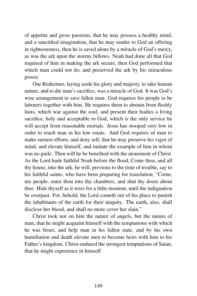of appetite and gross passions, that he may possess a healthy mind, and a sanctified imagination, that he may render to God an offering in righteousness, then he is saved alone by a miracle of God's mercy, as was the ark upon the stormy billows. Noah had done all that God required of him in making the ark secure, then God performed that which man could not do, and preserved the ark by his miraculous power.

Our Redeemer, laying aside his glory and majesty, to take human nature, and to die man's sacrifice, was a miracle of God. It was God's wise arrangement to save fallen man. God requires his people to be laborers together with him. He requires them to abstain from fleshly lusts, which war against the soul, and present their bodies a living sacrifice, holy and acceptable to God, which is the only service he will accept from reasonable mortals. Jesus has stooped very low in order to reach man in his low estate. And God requires of man to make earnest efforts, and deny self, that he may preserve his vigor of mind, and elevate himself, and imitate the example of him in whom was no guile. Then will he be benefited with the atonement of Christ. As the Lord bade faithful Noah before the flood, Come thou, and all thy house, into the ark, he will, previous to the time of trouble, say to his faithful saints, who have been preparing for translation, "Come, my people, enter thou into thy chambers, and shut thy doors about thee. Hide thyself as it were for a little moment, until the indignation be overpast. For, behold, the Lord cometh out of his place to punish the inhabitants of the earth for their iniquity. The earth, also, shall disclose her blood, and shall no more cover her slain."

Christ took not on him the nature of angels, but the nature of man, that he might acquaint himself with the temptations with which he was beset, and help man in his fallen state, and by his own humiliation and death elevate men to become heirs with him to his Father's kingdom. Christ endured the strongest temptations of Satan, that he might experience in himself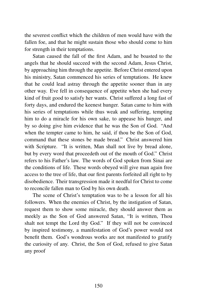the severest conflict which the children of men would have with the fallen foe, and that he might sustain those who should come to him for strength in their temptations.

Satan caused the fall of the first Adam, and he boasted to the angels that he should succeed with the second Adam, Jesus Christ, by approaching him through the appetite. Before Christ entered upon his ministry, Satan commenced his series of temptations. He knew that he could lead astray through the appetite sooner than in any other way. Eve fell in consequence of appetite when she had every kind of fruit good to satisfy her wants. Christ suffered a long fast of forty days, and endured the keenest hunger. Satan came to him with his series of temptations while thus weak and suffering, tempting him to do a miracle for his own sake, to appease his hunger, and by so doing give him evidence that he was the Son of God. "And when the tempter came to him, he said, if thou be the Son of God, command that these stones be made bread." Christ answered him with Scripture. "It is written, Man shall not live by bread alone, but by every word that proceedeth out of the mouth of God." Christ refers to his Father's law. The words of God spoken from Sinai are the conditions of life. These words obeyed will give man again free access to the tree of life, that our first parents forfeited all right to by disobedience. Their transgression made it needful for Christ to come to reconcile fallen man to God by his own death.

The scene of Christ's temptation was to be a lesson for all his followers. When the enemies of Christ, by the instigation of Satan, request them to show some miracle, they should answer them as meekly as the Son of God answered Satan, "It is written, Thou shalt not tempt the Lord thy God." If they will not be convinced by inspired testimony, a manifestation of God's power would not benefit them. God's wondrous works are not manifested to gratify the curiosity of any. Christ, the Son of God, refused to give Satan any proof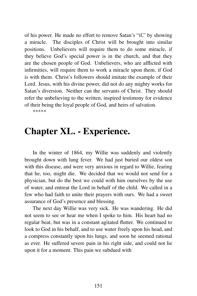of his power. He made no effort to remove Satan's "if," by showing a miracle. The disciples of Christ will be brought into similar positions. Unbelievers will require them to do some miracle, if they believe God's special power is in the church, and that they are the chosen people of God. Unbelievers, who are afflicted with infirmities, will require them to work a miracle upon them, if God is with them. Christ's followers should imitate the example of their Lord. Jesus, with his divine power, did not do any mighty works for Satan's diversion. Neither can the servants of Christ. They should refer the unbelieving to the written, inspired testimony for evidence of their being the loyal people of God, and heirs of salvation.

\*\*\*\*\*

## Chapter XL. - Experience.

In the winter of 1864, my Willie was suddenly and violently brought down with lung fever. We had just buried our oldest son with this disease, and were very anxious in regard to Willie, fearing that he, too, might die. We decided that we would not send for a physician, but do the best we could with him ourselves by the use of water, and entreat the Lord in behalf of the child. We called in a few who had faith to unite their prayers with ours. We had a sweet assurance of God's presence and blessing.

The next day Willie was very sick. He was wandering. He did not seem to see or hear me when I spoke to him. His heart had no regular beat, but was in a constant agitated flutter. We continued to look to God in his behalf, and to use water freely upon his head, and a compress constantly upon his lungs, and soon he seemed rational as ever. He suffered severe pain in his right side, and could not lie upon it for a moment. This pain we subdued with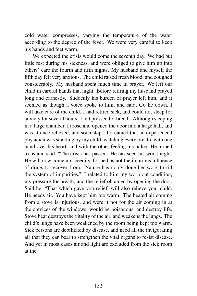cold water compresses, varying the temperature of the water according to the degree of the fever. We were very careful to keep his hands and feet warm.

We expected the crisis would come the seventh day. We had but little rest during his sickness, and were obliged to give him up into others' care the fourth and fifth nights. My husband and myself the fifth day felt very anxious. The child raised fresh blood, and coughed considerably. My husband spent much time in prayer. We left our child in careful hands that night. Before retiring my husband prayed long and earnestly. Suddenly his burden of prayer left him, and it seemed as though a voice spoke to him, and said, Go lie down, I will take care of the child. I had retired sick, and could not sleep for anxiety for several hours. I felt pressed for breath. Although sleeping in a large chamber, I arose and opened the door into a large hall, and was at once relieved, and soon slept. I dreamed that an experienced physician was standing by my child, watching every breath, with one hand over his heart, and with the other feeling his pulse. He turned to us and said, "The crisis has passed. He has seen his worst night. He will now come up speedily, for he has not the injurious influence of drugs to recover from. Nature has nobly done her work to rid the system of impurities." I related to him my worn-out condition, my pressure for breath, and the relief obtained by opening the door. Said he, "That which gave you relief, will also relieve your child. He needs air. You have kept him too warm. The heated air coming from a stove is injurious, and were it not for the air coming in at the crevices of the windows, would be poisonous, and destroy life. Stove heat destroys the vitality of the air, and weakens the lungs. The child's lungs have been weakened by the room being kept too warm. Sick persons are debilitated by disease, and need all the invigorating air that they can bear to strengthen the vital organs to resist disease. And yet in most cases air and light are excluded from the sick room at the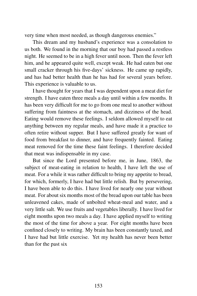very time when most needed, as though dangerous enemies."

This dream and my husband's experience was a consolation to us both. We found in the morning that our boy had passed a restless night. He seemed to be in a high fever until noon. Then the fever left him, and he appeared quite well, except weak. He had eaten but one small cracker through his five-days' sickness. He came up rapidly, and has had better health than he has had for several years before. This experience is valuable to us.

I have thought for years that I was dependent upon a meat diet for strength. I have eaten three meals a day until within a few months. It has been very difficult for me to go from one meal to another without suffering from faintness at the stomach, and dizziness of the head. Eating would remove these feelings. I seldom allowed myself to eat anything between my regular meals, and have made it a practice to often retire without supper. But I have suffered greatly for want of food from breakfast to dinner, and have frequently fainted. Eating meat removed for the time these faint feelings. I therefore decided that meat was indispensable in my case.

But since the Lord presented before me, in June, 1863, the subject of meat-eating in relation to health, I have left the use of meat. For a while it was rather difficult to bring my appetite to bread, for which, formerly, I have had but little relish. But by persevering, I have been able to do this. I have lived for nearly one year without meat. For about six months most of the bread upon our table has been unleavened cakes, made of unbolted wheat-meal and water, and a very little salt. We use fruits and vegetables liberally. I have lived for eight months upon two meals a day. I have applied myself to writing the most of the time for above a year. For eight months have been confined closely to writing. My brain has been constantly taxed, and I have had but little exercise. Yet my health has never been better than for the past six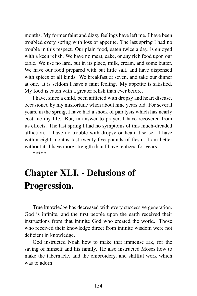months. My former faint and dizzy feelings have left me. I have been troubled every spring with loss of appetite. The last spring I had no trouble in this respect. Our plain food, eaten twice a day, is enjoyed with a keen relish. We have no meat, cake, or any rich food upon our table. We use no lard, but in its place, milk, cream, and some butter. We have our food prepared with but little salt, and have dispensed with spices of all kinds. We breakfast at seven, and take our dinner at one. It is seldom I have a faint feeling. My appetite is satisfied. My food is eaten with a greater relish than ever before.

I have, since a child, been afflicted with dropsy and heart disease, occasioned by my misfortune when about nine years old. For several years, in the spring, I have had a shock of paralysis which has nearly cost me my life. But, in answer to prayer, I have recovered from its effects. The last spring I had no symptoms of this much-dreaded affliction. I have no trouble with dropsy or heart disease. I have within eight months lost twenty-five pounds of flesh. I am better without it. I have more strength than I have realized for years.

\*\*\*\*\*

## Chapter XLI. - Delusions of Progression.

True knowledge has decreased with every successive generation. God is infinite, and the first people upon the earth received their instructions from that infinite God who created the world. Those who received their knowledge direct from infinite wisdom were not deficient in knowledge.

God instructed Noah how to make that immense ark, for the saving of himself and his family. He also instructed Moses how to make the tabernacle, and the embroidery, and skillful work which was to adorn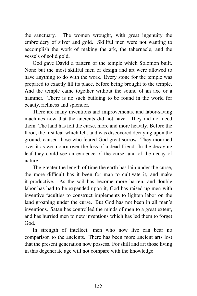the sanctuary. The women wrought, with great ingenuity the embroidery of silver and gold. Skillful men were not wanting to accomplish the work of making the ark, the tabernacle, and the vessels of solid gold.

God gave David a pattern of the temple which Solomon built. None but the most skillful men of design and art were allowed to have anything to do with the work. Every stone for the temple was prepared to exactly fill its place, before being brought to the temple. And the temple came together without the sound of an axe or a hammer. There is no such building to be found in the world for beauty, richness and splendor.

There are many inventions and improvements, and labor-saving machines now that the ancients did not have. They did not need them. The land has felt the curse, more and more heavily. Before the flood, the first leaf which fell, and was discovered decaying upon the ground, caused those who feared God great sorrow. They mourned over it as we mourn over the loss of a dead friend. In the decaying leaf they could see an evidence of the curse, and of the decay of nature.

The greater the length of time the earth has lain under the curse, the more difficult has it been for man to cultivate it, and make it productive. As the soil has become more barren, and double labor has had to be expended upon it, God has raised up men with inventive faculties to construct implements to lighten labor on the land groaning under the curse. But God has not been in all man's inventions. Satan has controlled the minds of men to a great extent, and has hurried men to new inventions which has led them to forget God.

In strength of intellect, men who now live can bear no comparison to the ancients. There has been more ancient arts lost that the present generation now possess. For skill and art those living in this degenerate age will not compare with the knowledge